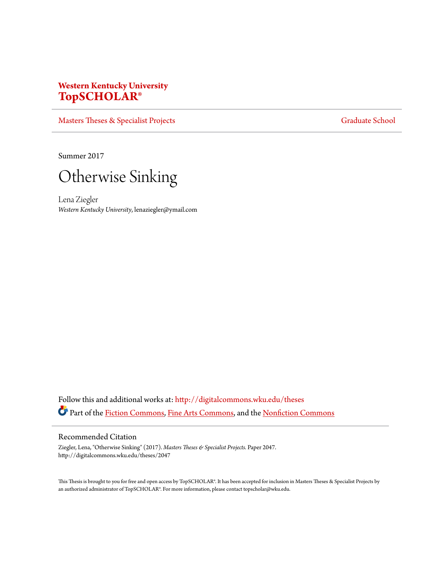# **Western Kentucky University [TopSCHOLAR®](http://digitalcommons.wku.edu?utm_source=digitalcommons.wku.edu%2Ftheses%2F2047&utm_medium=PDF&utm_campaign=PDFCoverPages)**

[Masters Theses & Specialist Projects](http://digitalcommons.wku.edu/theses?utm_source=digitalcommons.wku.edu%2Ftheses%2F2047&utm_medium=PDF&utm_campaign=PDFCoverPages) [Graduate School](http://digitalcommons.wku.edu/Graduate?utm_source=digitalcommons.wku.edu%2Ftheses%2F2047&utm_medium=PDF&utm_campaign=PDFCoverPages) Graduate School

Summer 2017



Lena Ziegler *Western Kentucky University*, lenaziegler@ymail.com

Follow this and additional works at: [http://digitalcommons.wku.edu/theses](http://digitalcommons.wku.edu/theses?utm_source=digitalcommons.wku.edu%2Ftheses%2F2047&utm_medium=PDF&utm_campaign=PDFCoverPages) Part of the [Fiction Commons](http://network.bepress.com/hgg/discipline/1151?utm_source=digitalcommons.wku.edu%2Ftheses%2F2047&utm_medium=PDF&utm_campaign=PDFCoverPages), [Fine Arts Commons](http://network.bepress.com/hgg/discipline/1141?utm_source=digitalcommons.wku.edu%2Ftheses%2F2047&utm_medium=PDF&utm_campaign=PDFCoverPages), and the [Nonfiction Commons](http://network.bepress.com/hgg/discipline/1152?utm_source=digitalcommons.wku.edu%2Ftheses%2F2047&utm_medium=PDF&utm_campaign=PDFCoverPages)

### Recommended Citation

Ziegler, Lena, "Otherwise Sinking" (2017). *Masters Theses & Specialist Projects.* Paper 2047. http://digitalcommons.wku.edu/theses/2047

This Thesis is brought to you for free and open access by TopSCHOLAR®. It has been accepted for inclusion in Masters Theses & Specialist Projects by an authorized administrator of TopSCHOLAR®. For more information, please contact topscholar@wku.edu.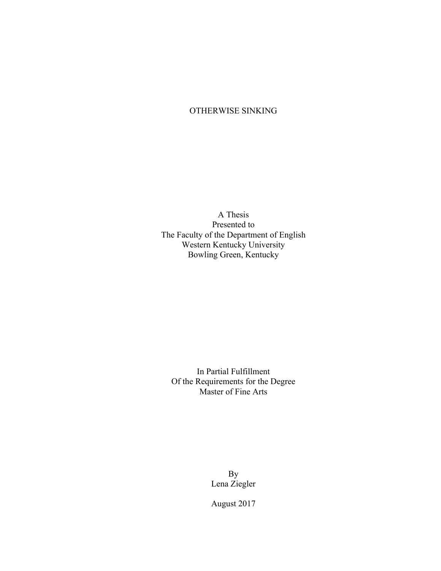# OTHERWISE SINKING

A Thesis Presented to The Faculty of the Department of English Western Kentucky University Bowling Green, Kentucky

In Partial Fulfillment Of the Requirements for the Degree Master of Fine Arts

> By Lena Ziegler

August 2017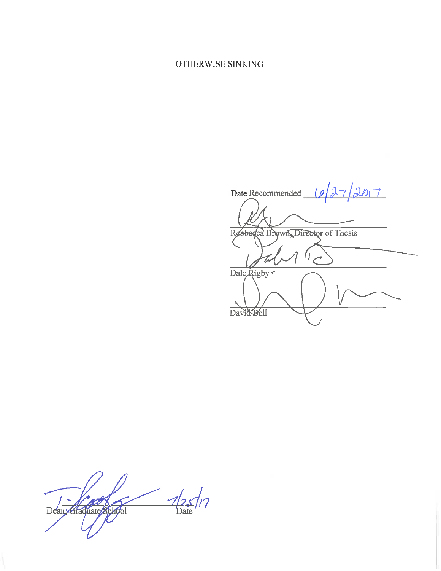## OTHERWISE SINKING

Date Recommended  $127/2017$ Rebbedca Brown Director of Thesis  $1<$ Dale Rigby Λ David Dell

 $\frac{1}{2}$  $\mathcal{P}$ Deany-Graduate School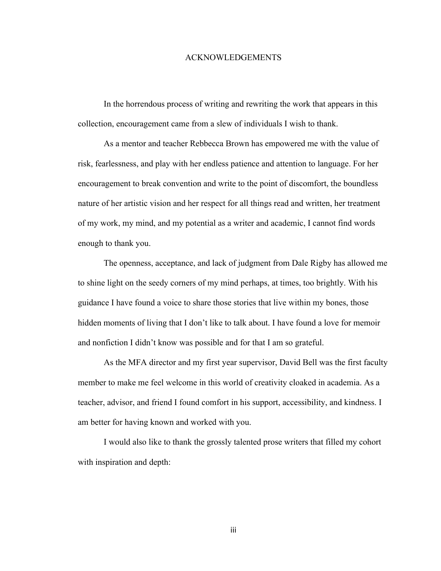### ACKNOWLEDGEMENTS

In the horrendous process of writing and rewriting the work that appears in this collection, encouragement came from a slew of individuals I wish to thank.

As a mentor and teacher Rebbecca Brown has empowered me with the value of risk, fearlessness, and play with her endless patience and attention to language. For her encouragement to break convention and write to the point of discomfort, the boundless nature of her artistic vision and her respect for all things read and written, her treatment of my work, my mind, and my potential as a writer and academic, I cannot find words enough to thank you.

The openness, acceptance, and lack of judgment from Dale Rigby has allowed me to shine light on the seedy corners of my mind perhaps, at times, too brightly. With his guidance I have found a voice to share those stories that live within my bones, those hidden moments of living that I don't like to talk about. I have found a love for memoir and nonfiction I didn't know was possible and for that I am so grateful.

As the MFA director and my first year supervisor, David Bell was the first faculty member to make me feel welcome in this world of creativity cloaked in academia. As a teacher, advisor, and friend I found comfort in his support, accessibility, and kindness. I am better for having known and worked with you.

I would also like to thank the grossly talented prose writers that filled my cohort with inspiration and depth:

iii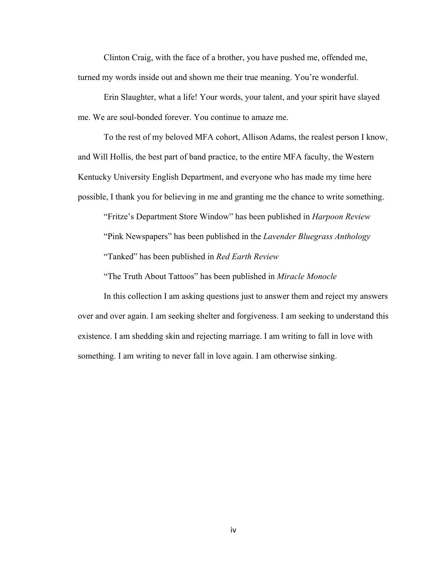Clinton Craig, with the face of a brother, you have pushed me, offended me, turned my words inside out and shown me their true meaning. You're wonderful.

Erin Slaughter, what a life! Your words, your talent, and your spirit have slayed me. We are soul-bonded forever. You continue to amaze me.

To the rest of my beloved MFA cohort, Allison Adams, the realest person I know, and Will Hollis, the best part of band practice, to the entire MFA faculty, the Western Kentucky University English Department, and everyone who has made my time here possible, I thank you for believing in me and granting me the chance to write something.

"Fritze's Department Store Window" has been published in *Harpoon Review* "Pink Newspapers" has been published in the *Lavender Bluegrass Anthology* "Tanked" has been published in *Red Earth Review*

"The Truth About Tattoos" has been published in *Miracle Monocle* 

In this collection I am asking questions just to answer them and reject my answers over and over again. I am seeking shelter and forgiveness. I am seeking to understand this existence. I am shedding skin and rejecting marriage. I am writing to fall in love with something. I am writing to never fall in love again. I am otherwise sinking.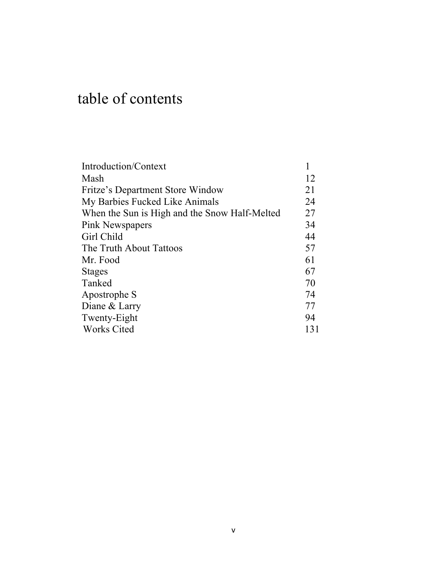# table of contents

| Introduction/Context                          |     |
|-----------------------------------------------|-----|
| Mash                                          | 12  |
| Fritze's Department Store Window              | 21  |
| My Barbies Fucked Like Animals                | 24  |
| When the Sun is High and the Snow Half-Melted | 27  |
| Pink Newspapers                               | 34  |
| Girl Child                                    | 44  |
| The Truth About Tattoos                       | 57  |
| Mr. Food                                      | 61  |
| <b>Stages</b>                                 | 67  |
| Tanked                                        | 70  |
| Apostrophe S                                  | 74  |
| Diane & Larry                                 | 77  |
| Twenty-Eight                                  | 94  |
| Works Cited                                   | 131 |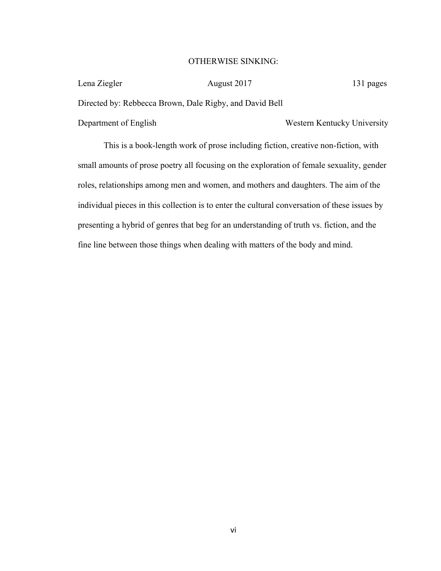### OTHERWISE SINKING:

| Lena Ziegler                                            | August 2017 | 131 pages                   |
|---------------------------------------------------------|-------------|-----------------------------|
| Directed by: Rebbecca Brown, Dale Rigby, and David Bell |             |                             |
| Department of English                                   |             | Western Kentucky University |

This is a book-length work of prose including fiction, creative non-fiction, with small amounts of prose poetry all focusing on the exploration of female sexuality, gender roles, relationships among men and women, and mothers and daughters. The aim of the individual pieces in this collection is to enter the cultural conversation of these issues by presenting a hybrid of genres that beg for an understanding of truth vs. fiction, and the fine line between those things when dealing with matters of the body and mind.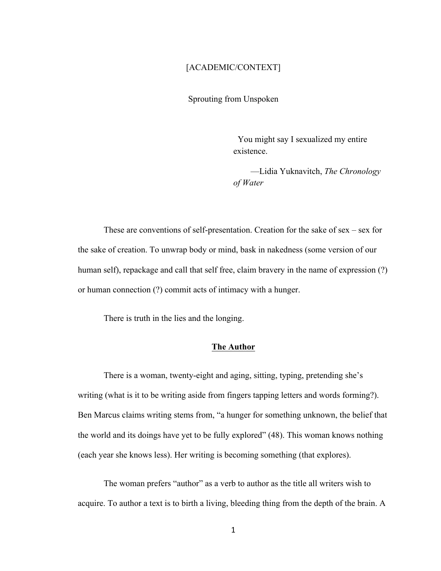### [ACADEMIC/CONTEXT]

Sprouting from Unspoken

 You might say I sexualized my entire existence.

 —Lidia Yuknavitch, *The Chronology of Water*

These are conventions of self-presentation. Creation for the sake of sex – sex for the sake of creation. To unwrap body or mind, bask in nakedness (some version of our human self), repackage and call that self free, claim bravery in the name of expression (?) or human connection (?) commit acts of intimacy with a hunger.

There is truth in the lies and the longing.

### **The Author**

There is a woman, twenty-eight and aging, sitting, typing, pretending she's writing (what is it to be writing aside from fingers tapping letters and words forming?). Ben Marcus claims writing stems from, "a hunger for something unknown, the belief that the world and its doings have yet to be fully explored" (48). This woman knows nothing (each year she knows less). Her writing is becoming something (that explores).

The woman prefers "author" as a verb to author as the title all writers wish to acquire. To author a text is to birth a living, bleeding thing from the depth of the brain. A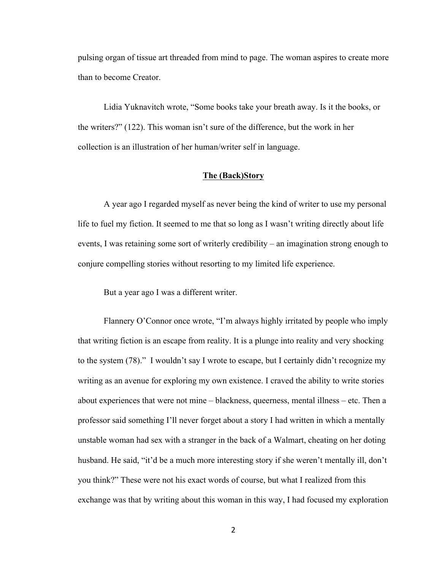pulsing organ of tissue art threaded from mind to page. The woman aspires to create more than to become Creator.

Lidia Yuknavitch wrote, "Some books take your breath away. Is it the books, or the writers?" (122). This woman isn't sure of the difference, but the work in her collection is an illustration of her human/writer self in language.

### **The (Back)Story**

A year ago I regarded myself as never being the kind of writer to use my personal life to fuel my fiction. It seemed to me that so long as I wasn't writing directly about life events, I was retaining some sort of writerly credibility – an imagination strong enough to conjure compelling stories without resorting to my limited life experience.

But a year ago I was a different writer.

Flannery O'Connor once wrote, "I'm always highly irritated by people who imply that writing fiction is an escape from reality. It is a plunge into reality and very shocking to the system (78)." I wouldn't say I wrote to escape, but I certainly didn't recognize my writing as an avenue for exploring my own existence. I craved the ability to write stories about experiences that were not mine – blackness, queerness, mental illness – etc. Then a professor said something I'll never forget about a story I had written in which a mentally unstable woman had sex with a stranger in the back of a Walmart, cheating on her doting husband. He said, "it'd be a much more interesting story if she weren't mentally ill, don't you think?" These were not his exact words of course, but what I realized from this exchange was that by writing about this woman in this way, I had focused my exploration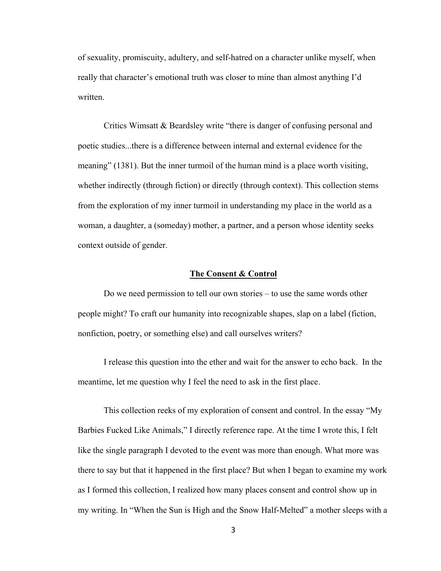of sexuality, promiscuity, adultery, and self-hatred on a character unlike myself, when really that character's emotional truth was closer to mine than almost anything I'd written.

Critics Wimsatt & Beardsley write "there is danger of confusing personal and poetic studies...there is a difference between internal and external evidence for the meaning" (1381). But the inner turmoil of the human mind is a place worth visiting, whether indirectly (through fiction) or directly (through context). This collection stems from the exploration of my inner turmoil in understanding my place in the world as a woman, a daughter, a (someday) mother, a partner, and a person whose identity seeks context outside of gender.

### **The Consent & Control**

Do we need permission to tell our own stories – to use the same words other people might? To craft our humanity into recognizable shapes, slap on a label (fiction, nonfiction, poetry, or something else) and call ourselves writers?

I release this question into the ether and wait for the answer to echo back. In the meantime, let me question why I feel the need to ask in the first place.

This collection reeks of my exploration of consent and control. In the essay "My Barbies Fucked Like Animals," I directly reference rape. At the time I wrote this, I felt like the single paragraph I devoted to the event was more than enough. What more was there to say but that it happened in the first place? But when I began to examine my work as I formed this collection, I realized how many places consent and control show up in my writing. In "When the Sun is High and the Snow Half-Melted" a mother sleeps with a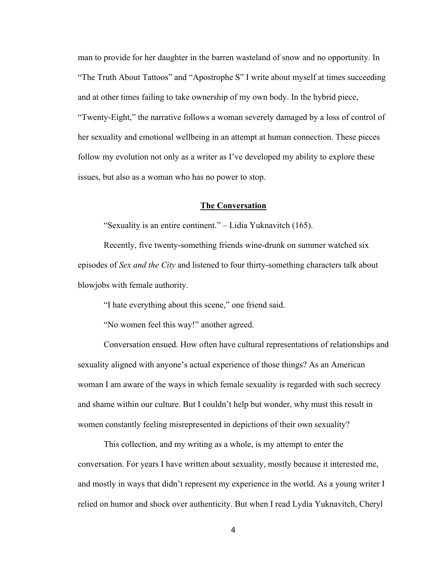man to provide for her daughter in the barren wasteland of snow and no opportunity. In "The Truth About Tattoos" and "Apostrophe S" I write about myself at times succeeding and at other times failing to take ownership of my own body. In the hybrid piece, "Twenty-Eight," the narrative follows a woman severely damaged by a loss of control of her sexuality and emotional wellbeing in an attempt at human connection. These pieces follow my evolution not only as a writer as I've developed my ability to explore these issues, but also as a woman who has no power to stop.

### **The Conversation**

"Sexuality is an entire continent." – Lidia Yuknavitch (165).

Recently, five twenty-something friends wine-drunk on summer watched six episodes of *Sex and the City* and listened to four thirty-something characters talk about blowjobs with female authority.

"I hate everything about this scene," one friend said.

"No women feel this way!" another agreed.

Conversation ensued. How often have cultural representations of relationships and sexuality aligned with anyone's actual experience of those things? As an American woman I am aware of the ways in which female sexuality is regarded with such secrecy and shame within our culture. But I couldn't help but wonder, why must this result in women constantly feeling misrepresented in depictions of their own sexuality?

This collection, and my writing as a whole, is my attempt to enter the conversation. For years I have written about sexuality, mostly because it interested me, and mostly in ways that didn't represent my experience in the world. As a young writer I relied on humor and shock over authenticity. But when I read Lydia Yuknavitch, Cheryl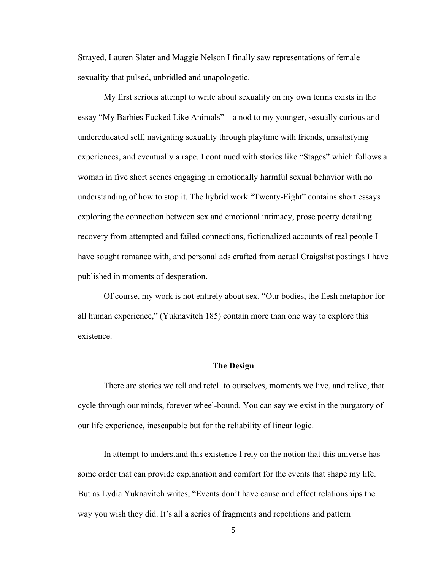Strayed, Lauren Slater and Maggie Nelson I finally saw representations of female sexuality that pulsed, unbridled and unapologetic.

My first serious attempt to write about sexuality on my own terms exists in the essay "My Barbies Fucked Like Animals" – a nod to my younger, sexually curious and undereducated self, navigating sexuality through playtime with friends, unsatisfying experiences, and eventually a rape. I continued with stories like "Stages" which follows a woman in five short scenes engaging in emotionally harmful sexual behavior with no understanding of how to stop it. The hybrid work "Twenty-Eight" contains short essays exploring the connection between sex and emotional intimacy, prose poetry detailing recovery from attempted and failed connections, fictionalized accounts of real people I have sought romance with, and personal ads crafted from actual Craigslist postings I have published in moments of desperation.

Of course, my work is not entirely about sex. "Our bodies, the flesh metaphor for all human experience," (Yuknavitch 185) contain more than one way to explore this existence.

### **The Design**

There are stories we tell and retell to ourselves, moments we live, and relive, that cycle through our minds, forever wheel-bound. You can say we exist in the purgatory of our life experience, inescapable but for the reliability of linear logic.

In attempt to understand this existence I rely on the notion that this universe has some order that can provide explanation and comfort for the events that shape my life. But as Lydia Yuknavitch writes, "Events don't have cause and effect relationships the way you wish they did. It's all a series of fragments and repetitions and pattern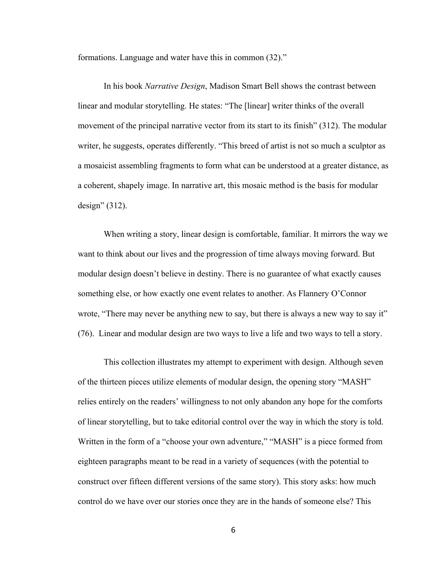formations. Language and water have this in common (32)."

In his book *Narrative Design*, Madison Smart Bell shows the contrast between linear and modular storytelling. He states: "The [linear] writer thinks of the overall movement of the principal narrative vector from its start to its finish" (312). The modular writer, he suggests, operates differently. "This breed of artist is not so much a sculptor as a mosaicist assembling fragments to form what can be understood at a greater distance, as a coherent, shapely image. In narrative art, this mosaic method is the basis for modular design" (312).

When writing a story, linear design is comfortable, familiar. It mirrors the way we want to think about our lives and the progression of time always moving forward. But modular design doesn't believe in destiny. There is no guarantee of what exactly causes something else, or how exactly one event relates to another. As Flannery O'Connor wrote, "There may never be anything new to say, but there is always a new way to say it" (76). Linear and modular design are two ways to live a life and two ways to tell a story.

This collection illustrates my attempt to experiment with design. Although seven of the thirteen pieces utilize elements of modular design, the opening story "MASH" relies entirely on the readers' willingness to not only abandon any hope for the comforts of linear storytelling, but to take editorial control over the way in which the story is told. Written in the form of a "choose your own adventure," "MASH" is a piece formed from eighteen paragraphs meant to be read in a variety of sequences (with the potential to construct over fifteen different versions of the same story). This story asks: how much control do we have over our stories once they are in the hands of someone else? This

6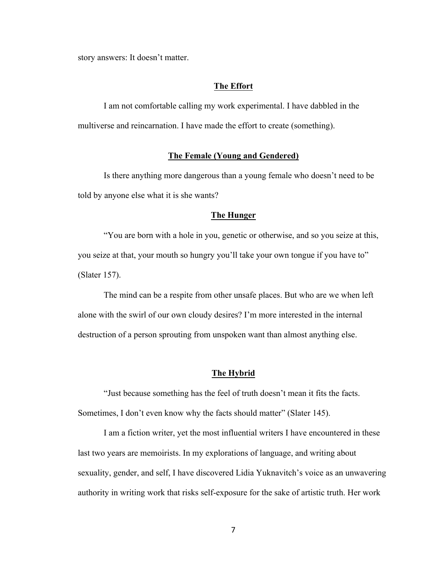story answers: It doesn't matter.

### **The Effort**

I am not comfortable calling my work experimental. I have dabbled in the multiverse and reincarnation. I have made the effort to create (something).

### **The Female (Young and Gendered)**

Is there anything more dangerous than a young female who doesn't need to be told by anyone else what it is she wants?

### **The Hunger**

"You are born with a hole in you, genetic or otherwise, and so you seize at this, you seize at that, your mouth so hungry you'll take your own tongue if you have to" (Slater 157).

The mind can be a respite from other unsafe places. But who are we when left alone with the swirl of our own cloudy desires? I'm more interested in the internal destruction of a person sprouting from unspoken want than almost anything else.

### **The Hybrid**

"Just because something has the feel of truth doesn't mean it fits the facts. Sometimes, I don't even know why the facts should matter" (Slater 145).

I am a fiction writer, yet the most influential writers I have encountered in these last two years are memoirists. In my explorations of language, and writing about sexuality, gender, and self, I have discovered Lidia Yuknavitch's voice as an unwavering authority in writing work that risks self-exposure for the sake of artistic truth. Her work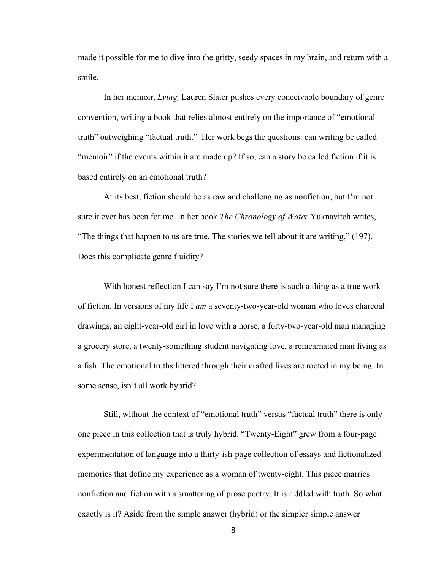made it possible for me to dive into the gritty, seedy spaces in my brain, and return with a smile.

In her memoir, *Lying,* Lauren Slater pushes every conceivable boundary of genre convention, writing a book that relies almost entirely on the importance of "emotional truth" outweighing "factual truth." Her work begs the questions: can writing be called "memoir" if the events within it are made up? If so, can a story be called fiction if it is based entirely on an emotional truth?

At its best, fiction should be as raw and challenging as nonfiction, but I'm not sure it ever has been for me. In her book *The Chronology of Water* Yuknavitch writes, "The things that happen to us are true. The stories we tell about it are writing," (197). Does this complicate genre fluidity?

With honest reflection I can say I'm not sure there is such a thing as a true work of fiction. In versions of my life I *am* a seventy-two-year-old woman who loves charcoal drawings, an eight-year-old girl in love with a horse, a forty-two-year-old man managing a grocery store, a twenty-something student navigating love, a reincarnated man living as a fish. The emotional truths littered through their crafted lives are rooted in my being. In some sense, isn't all work hybrid?

Still, without the context of "emotional truth" versus "factual truth" there is only one piece in this collection that is truly hybrid. "Twenty-Eight" grew from a four-page experimentation of language into a thirty-ish-page collection of essays and fictionalized memories that define my experience as a woman of twenty-eight. This piece marries nonfiction and fiction with a smattering of prose poetry. It is riddled with truth. So what exactly is it? Aside from the simple answer (hybrid) or the simpler simple answer

8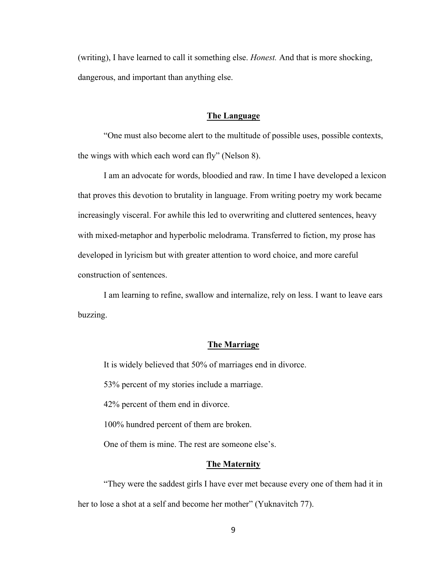(writing), I have learned to call it something else. *Honest.* And that is more shocking, dangerous, and important than anything else.

### **The Language**

"One must also become alert to the multitude of possible uses, possible contexts, the wings with which each word can fly" (Nelson 8).

I am an advocate for words, bloodied and raw. In time I have developed a lexicon that proves this devotion to brutality in language. From writing poetry my work became increasingly visceral. For awhile this led to overwriting and cluttered sentences, heavy with mixed-metaphor and hyperbolic melodrama. Transferred to fiction, my prose has developed in lyricism but with greater attention to word choice, and more careful construction of sentences.

I am learning to refine, swallow and internalize, rely on less. I want to leave ears buzzing.

### **The Marriage**

It is widely believed that 50% of marriages end in divorce.

53% percent of my stories include a marriage.

42% percent of them end in divorce.

100% hundred percent of them are broken.

One of them is mine. The rest are someone else's.

### **The Maternity**

"They were the saddest girls I have ever met because every one of them had it in her to lose a shot at a self and become her mother" (Yuknavitch 77).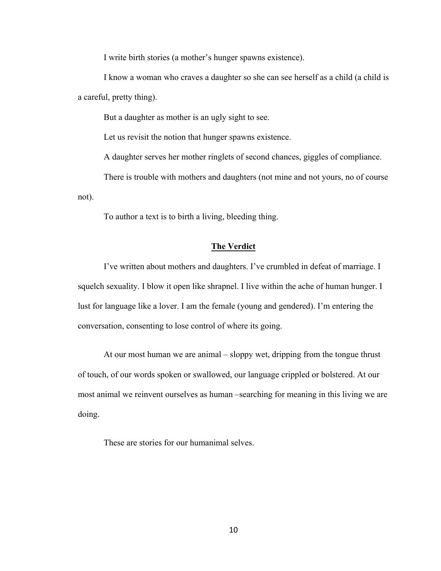I write birth stories (a mother's hunger spawns existence).

I know a woman who craves a daughter so she can see herself as a child (a child is a careful, pretty thing).

But a daughter as mother is an ugly sight to see.

Let us revisit the notion that hunger spawns existence.

A daughter serves her mother ringlets of second chances, giggles of compliance.

There is trouble with mothers and daughters (not mine and not yours, no of course not).

To author a text is to birth a living, bleeding thing.

### **The Verdict**

I've written about mothers and daughters. I've crumbled in defeat of marriage. I squelch sexuality. I blow it open like shrapnel. I live within the ache of human hunger. I lust for language like a lover. I am the female (young and gendered). I'm entering the conversation, consenting to lose control of where its going.

At our most human we are animal – sloppy wet, dripping from the tongue thrust of touch, of our words spoken or swallowed, our language crippled or bolstered. At our most animal we reinvent ourselves as human –searching for meaning in this living we are doing.

These are stories for our humanimal selves.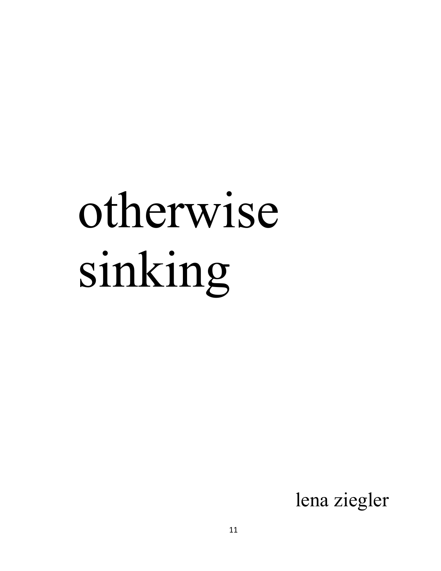# otherwise sinking

lena ziegler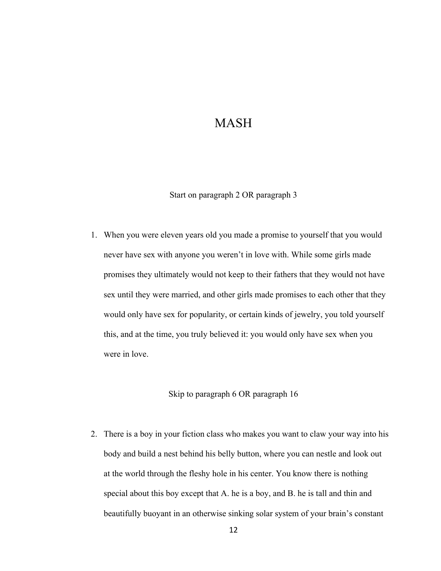# MASH

Start on paragraph 2 OR paragraph 3

1. When you were eleven years old you made a promise to yourself that you would never have sex with anyone you weren't in love with. While some girls made promises they ultimately would not keep to their fathers that they would not have sex until they were married, and other girls made promises to each other that they would only have sex for popularity, or certain kinds of jewelry, you told yourself this, and at the time, you truly believed it: you would only have sex when you were in love.

### Skip to paragraph 6 OR paragraph 16

2. There is a boy in your fiction class who makes you want to claw your way into his body and build a nest behind his belly button, where you can nestle and look out at the world through the fleshy hole in his center. You know there is nothing special about this boy except that A. he is a boy, and B. he is tall and thin and beautifully buoyant in an otherwise sinking solar system of your brain's constant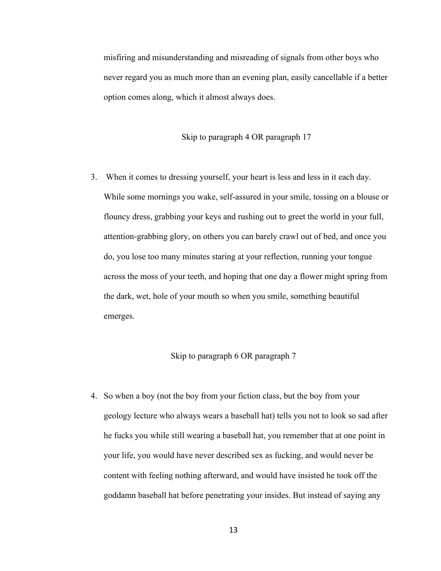misfiring and misunderstanding and misreading of signals from other boys who never regard you as much more than an evening plan, easily cancellable if a better option comes along, which it almost always does.

### Skip to paragraph 4 OR paragraph 17

3. When it comes to dressing yourself, your heart is less and less in it each day. While some mornings you wake, self-assured in your smile, tossing on a blouse or flouncy dress, grabbing your keys and rushing out to greet the world in your full, attention-grabbing glory, on others you can barely crawl out of bed, and once you do, you lose too many minutes staring at your reflection, running your tongue across the moss of your teeth, and hoping that one day a flower might spring from the dark, wet, hole of your mouth so when you smile, something beautiful emerges.

### Skip to paragraph 6 OR paragraph 7

4. So when a boy (not the boy from your fiction class, but the boy from your geology lecture who always wears a baseball hat) tells you not to look so sad after he fucks you while still wearing a baseball hat, you remember that at one point in your life, you would have never described sex as fucking, and would never be content with feeling nothing afterward, and would have insisted he took off the goddamn baseball hat before penetrating your insides. But instead of saying any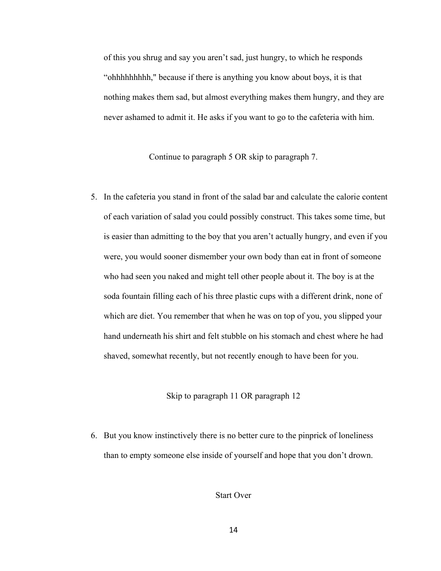of this you shrug and say you aren't sad, just hungry, to which he responds "ohhhhhhhhh," because if there is anything you know about boys, it is that nothing makes them sad, but almost everything makes them hungry, and they are never ashamed to admit it. He asks if you want to go to the cafeteria with him.

Continue to paragraph 5 OR skip to paragraph 7.

5. In the cafeteria you stand in front of the salad bar and calculate the calorie content of each variation of salad you could possibly construct. This takes some time, but is easier than admitting to the boy that you aren't actually hungry, and even if you were, you would sooner dismember your own body than eat in front of someone who had seen you naked and might tell other people about it. The boy is at the soda fountain filling each of his three plastic cups with a different drink, none of which are diet. You remember that when he was on top of you, you slipped your hand underneath his shirt and felt stubble on his stomach and chest where he had shaved, somewhat recently, but not recently enough to have been for you.

### Skip to paragraph 11 OR paragraph 12

6. But you know instinctively there is no better cure to the pinprick of loneliness than to empty someone else inside of yourself and hope that you don't drown.

Start Over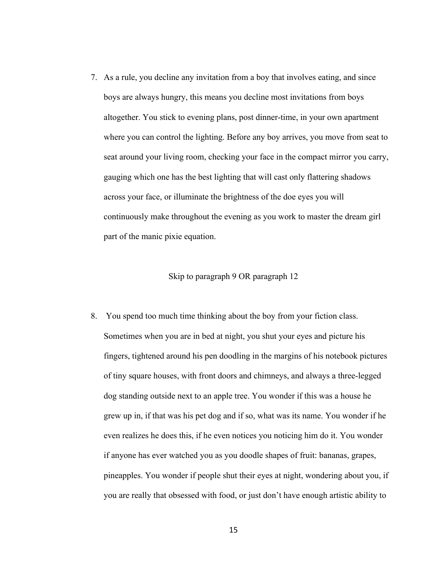7. As a rule, you decline any invitation from a boy that involves eating, and since boys are always hungry, this means you decline most invitations from boys altogether. You stick to evening plans, post dinner-time, in your own apartment where you can control the lighting. Before any boy arrives, you move from seat to seat around your living room, checking your face in the compact mirror you carry, gauging which one has the best lighting that will cast only flattering shadows across your face, or illuminate the brightness of the doe eyes you will continuously make throughout the evening as you work to master the dream girl part of the manic pixie equation.

### Skip to paragraph 9 OR paragraph 12

8. You spend too much time thinking about the boy from your fiction class. Sometimes when you are in bed at night, you shut your eyes and picture his fingers, tightened around his pen doodling in the margins of his notebook pictures of tiny square houses, with front doors and chimneys, and always a three-legged dog standing outside next to an apple tree. You wonder if this was a house he grew up in, if that was his pet dog and if so, what was its name. You wonder if he even realizes he does this, if he even notices you noticing him do it. You wonder if anyone has ever watched you as you doodle shapes of fruit: bananas, grapes, pineapples. You wonder if people shut their eyes at night, wondering about you, if you are really that obsessed with food, or just don't have enough artistic ability to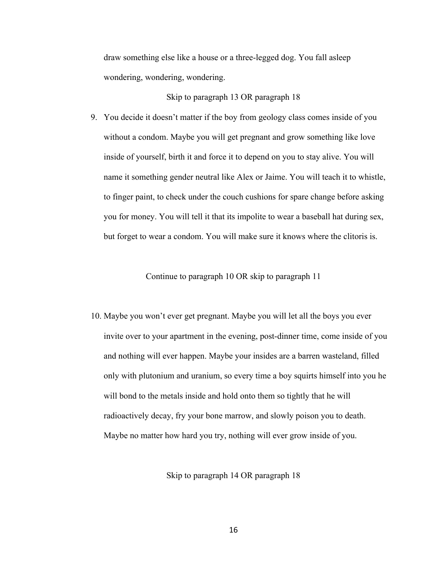draw something else like a house or a three-legged dog. You fall asleep wondering, wondering, wondering.

Skip to paragraph 13 OR paragraph 18

9. You decide it doesn't matter if the boy from geology class comes inside of you without a condom. Maybe you will get pregnant and grow something like love inside of yourself, birth it and force it to depend on you to stay alive. You will name it something gender neutral like Alex or Jaime. You will teach it to whistle, to finger paint, to check under the couch cushions for spare change before asking you for money. You will tell it that its impolite to wear a baseball hat during sex, but forget to wear a condom. You will make sure it knows where the clitoris is.

Continue to paragraph 10 OR skip to paragraph 11

10. Maybe you won't ever get pregnant. Maybe you will let all the boys you ever invite over to your apartment in the evening, post-dinner time, come inside of you and nothing will ever happen. Maybe your insides are a barren wasteland, filled only with plutonium and uranium, so every time a boy squirts himself into you he will bond to the metals inside and hold onto them so tightly that he will radioactively decay, fry your bone marrow, and slowly poison you to death. Maybe no matter how hard you try, nothing will ever grow inside of you.

Skip to paragraph 14 OR paragraph 18

16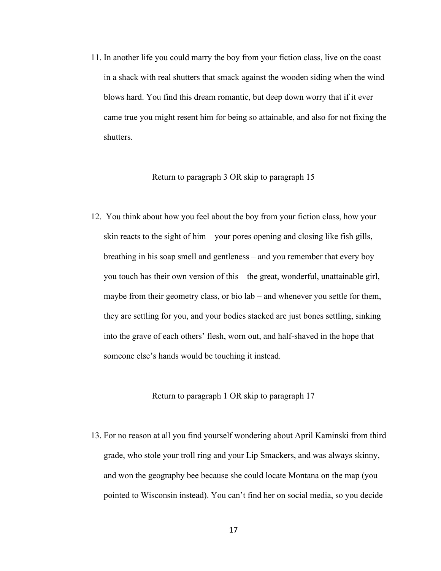11. In another life you could marry the boy from your fiction class, live on the coast in a shack with real shutters that smack against the wooden siding when the wind blows hard. You find this dream romantic, but deep down worry that if it ever came true you might resent him for being so attainable, and also for not fixing the shutters.

### Return to paragraph 3 OR skip to paragraph 15

12. You think about how you feel about the boy from your fiction class, how your skin reacts to the sight of him – your pores opening and closing like fish gills, breathing in his soap smell and gentleness – and you remember that every boy you touch has their own version of this – the great, wonderful, unattainable girl, maybe from their geometry class, or bio lab – and whenever you settle for them, they are settling for you, and your bodies stacked are just bones settling, sinking into the grave of each others' flesh, worn out, and half-shaved in the hope that someone else's hands would be touching it instead.

### Return to paragraph 1 OR skip to paragraph 17

13. For no reason at all you find yourself wondering about April Kaminski from third grade, who stole your troll ring and your Lip Smackers, and was always skinny, and won the geography bee because she could locate Montana on the map (you pointed to Wisconsin instead). You can't find her on social media, so you decide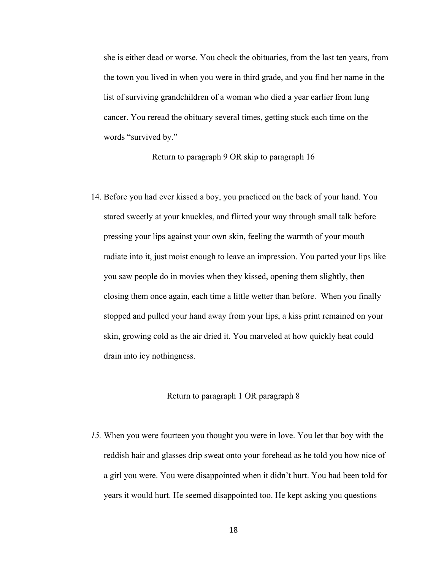she is either dead or worse. You check the obituaries, from the last ten years, from the town you lived in when you were in third grade, and you find her name in the list of surviving grandchildren of a woman who died a year earlier from lung cancer. You reread the obituary several times, getting stuck each time on the words "survived by."

Return to paragraph 9 OR skip to paragraph 16

14. Before you had ever kissed a boy, you practiced on the back of your hand. You stared sweetly at your knuckles, and flirted your way through small talk before pressing your lips against your own skin, feeling the warmth of your mouth radiate into it, just moist enough to leave an impression. You parted your lips like you saw people do in movies when they kissed, opening them slightly, then closing them once again, each time a little wetter than before. When you finally stopped and pulled your hand away from your lips, a kiss print remained on your skin, growing cold as the air dried it. You marveled at how quickly heat could drain into icy nothingness.

### Return to paragraph 1 OR paragraph 8

*15.* When you were fourteen you thought you were in love. You let that boy with the reddish hair and glasses drip sweat onto your forehead as he told you how nice of a girl you were. You were disappointed when it didn't hurt. You had been told for years it would hurt. He seemed disappointed too. He kept asking you questions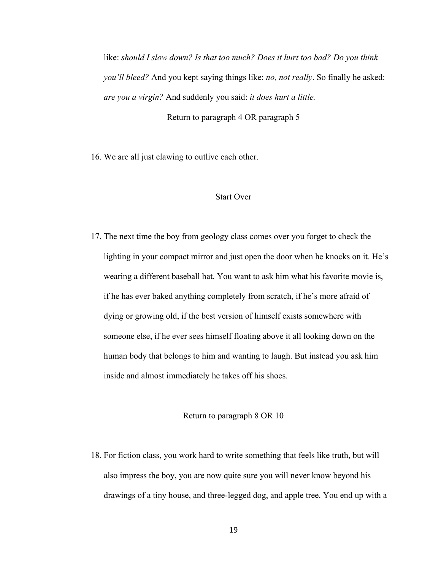like: *should I slow down? Is that too much? Does it hurt too bad? Do you think you'll bleed?* And you kept saying things like: *no, not really*. So finally he asked: *are you a virgin?* And suddenly you said: *it does hurt a little.*  Return to paragraph 4 OR paragraph 5

16. We are all just clawing to outlive each other.

### Start Over

17. The next time the boy from geology class comes over you forget to check the lighting in your compact mirror and just open the door when he knocks on it. He's wearing a different baseball hat. You want to ask him what his favorite movie is, if he has ever baked anything completely from scratch, if he's more afraid of dying or growing old, if the best version of himself exists somewhere with someone else, if he ever sees himself floating above it all looking down on the human body that belongs to him and wanting to laugh. But instead you ask him inside and almost immediately he takes off his shoes.

### Return to paragraph 8 OR 10

18. For fiction class, you work hard to write something that feels like truth, but will also impress the boy, you are now quite sure you will never know beyond his drawings of a tiny house, and three-legged dog, and apple tree. You end up with a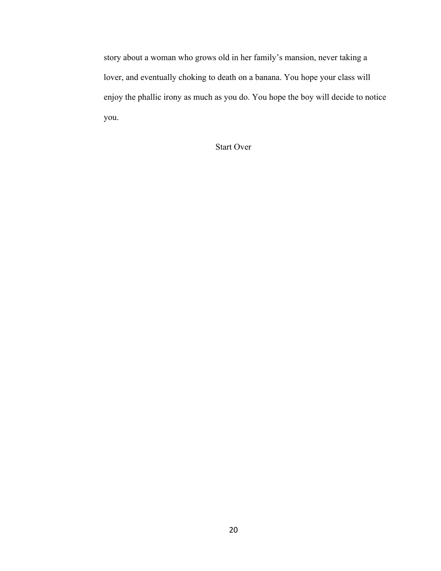story about a woman who grows old in her family's mansion, never taking a lover, and eventually choking to death on a banana. You hope your class will enjoy the phallic irony as much as you do. You hope the boy will decide to notice you.

Start Over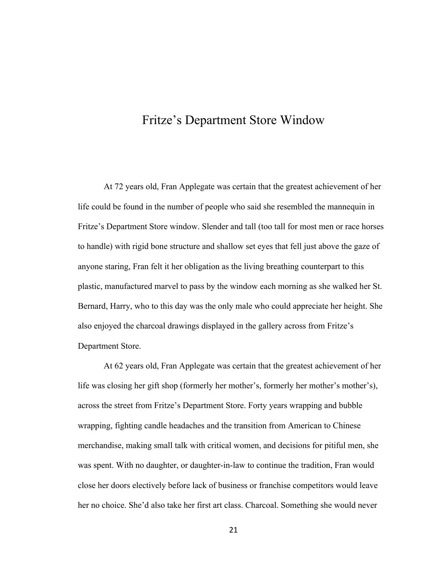# Fritze's Department Store Window

At 72 years old, Fran Applegate was certain that the greatest achievement of her life could be found in the number of people who said she resembled the mannequin in Fritze's Department Store window. Slender and tall (too tall for most men or race horses to handle) with rigid bone structure and shallow set eyes that fell just above the gaze of anyone staring, Fran felt it her obligation as the living breathing counterpart to this plastic, manufactured marvel to pass by the window each morning as she walked her St. Bernard, Harry, who to this day was the only male who could appreciate her height. She also enjoyed the charcoal drawings displayed in the gallery across from Fritze's Department Store.

 At 62 years old, Fran Applegate was certain that the greatest achievement of her life was closing her gift shop (formerly her mother's, formerly her mother's mother's), across the street from Fritze's Department Store. Forty years wrapping and bubble wrapping, fighting candle headaches and the transition from American to Chinese merchandise, making small talk with critical women, and decisions for pitiful men, she was spent. With no daughter, or daughter-in-law to continue the tradition, Fran would close her doors electively before lack of business or franchise competitors would leave her no choice. She'd also take her first art class. Charcoal. Something she would never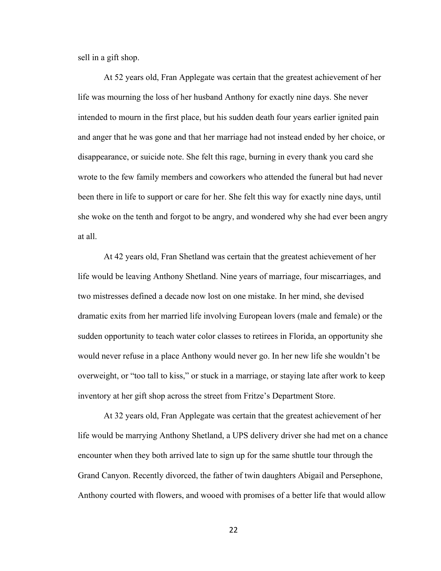sell in a gift shop.

 At 52 years old, Fran Applegate was certain that the greatest achievement of her life was mourning the loss of her husband Anthony for exactly nine days. She never intended to mourn in the first place, but his sudden death four years earlier ignited pain and anger that he was gone and that her marriage had not instead ended by her choice, or disappearance, or suicide note. She felt this rage, burning in every thank you card she wrote to the few family members and coworkers who attended the funeral but had never been there in life to support or care for her. She felt this way for exactly nine days, until she woke on the tenth and forgot to be angry, and wondered why she had ever been angry at all.

 At 42 years old, Fran Shetland was certain that the greatest achievement of her life would be leaving Anthony Shetland. Nine years of marriage, four miscarriages, and two mistresses defined a decade now lost on one mistake. In her mind, she devised dramatic exits from her married life involving European lovers (male and female) or the sudden opportunity to teach water color classes to retirees in Florida, an opportunity she would never refuse in a place Anthony would never go. In her new life she wouldn't be overweight, or "too tall to kiss," or stuck in a marriage, or staying late after work to keep inventory at her gift shop across the street from Fritze's Department Store.

 At 32 years old, Fran Applegate was certain that the greatest achievement of her life would be marrying Anthony Shetland, a UPS delivery driver she had met on a chance encounter when they both arrived late to sign up for the same shuttle tour through the Grand Canyon. Recently divorced, the father of twin daughters Abigail and Persephone, Anthony courted with flowers, and wooed with promises of a better life that would allow

22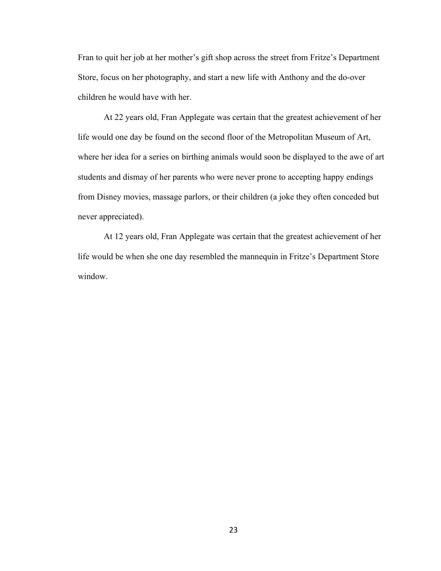Fran to quit her job at her mother's gift shop across the street from Fritze's Department Store, focus on her photography, and start a new life with Anthony and the do-over children he would have with her.

 At 22 years old, Fran Applegate was certain that the greatest achievement of her life would one day be found on the second floor of the Metropolitan Museum of Art, where her idea for a series on birthing animals would soon be displayed to the awe of art students and dismay of her parents who were never prone to accepting happy endings from Disney movies, massage parlors, or their children (a joke they often conceded but never appreciated).

 At 12 years old, Fran Applegate was certain that the greatest achievement of her life would be when she one day resembled the mannequin in Fritze's Department Store window.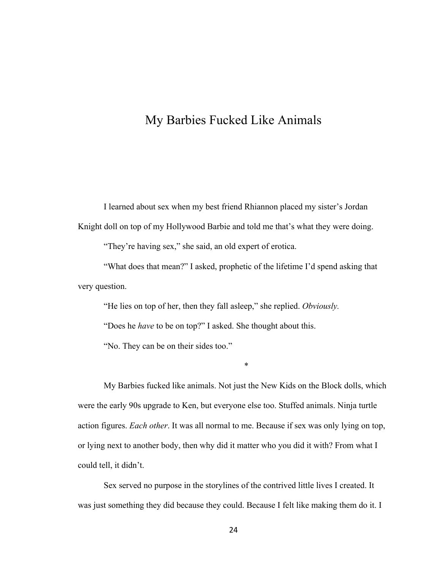# My Barbies Fucked Like Animals

I learned about sex when my best friend Rhiannon placed my sister's Jordan

Knight doll on top of my Hollywood Barbie and told me that's what they were doing.

"They're having sex," she said, an old expert of erotica.

"What does that mean?" I asked, prophetic of the lifetime I'd spend asking that very question.

"He lies on top of her, then they fall asleep," she replied. *Obviously.*

"Does he *have* to be on top?" I asked. She thought about this.

"No. They can be on their sides too."

My Barbies fucked like animals. Not just the New Kids on the Block dolls, which were the early 90s upgrade to Ken, but everyone else too. Stuffed animals. Ninja turtle action figures. *Each other*. It was all normal to me. Because if sex was only lying on top, or lying next to another body, then why did it matter who you did it with? From what I could tell, it didn't.

\*

Sex served no purpose in the storylines of the contrived little lives I created. It was just something they did because they could. Because I felt like making them do it. I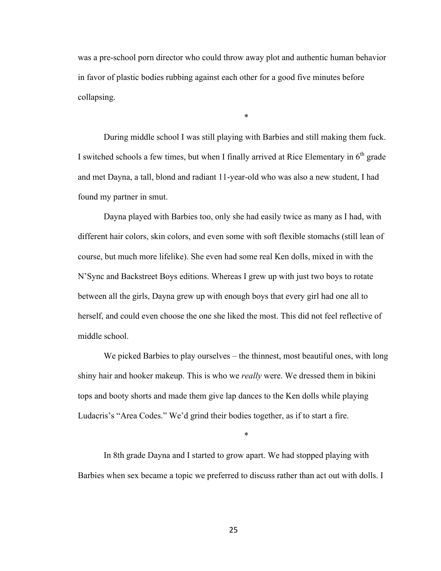was a pre-school porn director who could throw away plot and authentic human behavior in favor of plastic bodies rubbing against each other for a good five minutes before collapsing.

\*

During middle school I was still playing with Barbies and still making them fuck. I switched schools a few times, but when I finally arrived at Rice Elementary in  $6<sup>th</sup>$  grade and met Dayna, a tall, blond and radiant 11-year-old who was also a new student, I had found my partner in smut.

Dayna played with Barbies too, only she had easily twice as many as I had, with different hair colors, skin colors, and even some with soft flexible stomachs (still lean of course, but much more lifelike). She even had some real Ken dolls, mixed in with the N'Sync and Backstreet Boys editions. Whereas I grew up with just two boys to rotate between all the girls, Dayna grew up with enough boys that every girl had one all to herself, and could even choose the one she liked the most. This did not feel reflective of middle school.

We picked Barbies to play ourselves – the thinnest, most beautiful ones, with long shiny hair and hooker makeup. This is who we *really* were. We dressed them in bikini tops and booty shorts and made them give lap dances to the Ken dolls while playing Ludacris's "Area Codes." We'd grind their bodies together, as if to start a fire.

\*

In 8th grade Dayna and I started to grow apart. We had stopped playing with Barbies when sex became a topic we preferred to discuss rather than act out with dolls. I

25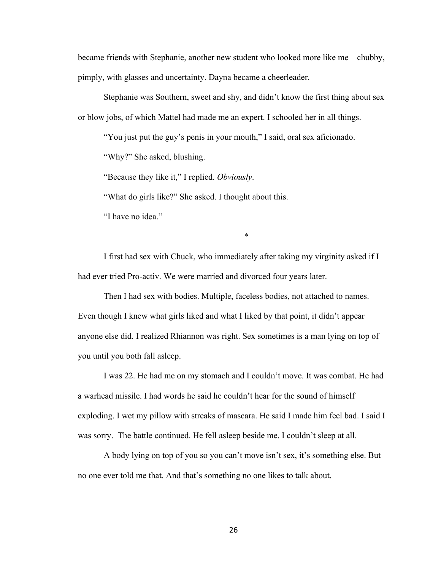became friends with Stephanie, another new student who looked more like me – chubby, pimply, with glasses and uncertainty. Dayna became a cheerleader.

Stephanie was Southern, sweet and shy, and didn't know the first thing about sex or blow jobs, of which Mattel had made me an expert. I schooled her in all things.

"You just put the guy's penis in your mouth," I said, oral sex aficionado.

"Why?" She asked, blushing.

"Because they like it," I replied. *Obviously*.

"What do girls like?" She asked. I thought about this.

"I have no idea."

\*

I first had sex with Chuck, who immediately after taking my virginity asked if I had ever tried Pro-activ. We were married and divorced four years later.

Then I had sex with bodies. Multiple, faceless bodies, not attached to names. Even though I knew what girls liked and what I liked by that point, it didn't appear anyone else did. I realized Rhiannon was right. Sex sometimes is a man lying on top of you until you both fall asleep.

I was 22. He had me on my stomach and I couldn't move. It was combat. He had a warhead missile. I had words he said he couldn't hear for the sound of himself exploding. I wet my pillow with streaks of mascara. He said I made him feel bad. I said I was sorry. The battle continued. He fell asleep beside me. I couldn't sleep at all.

A body lying on top of you so you can't move isn't sex, it's something else. But no one ever told me that. And that's something no one likes to talk about.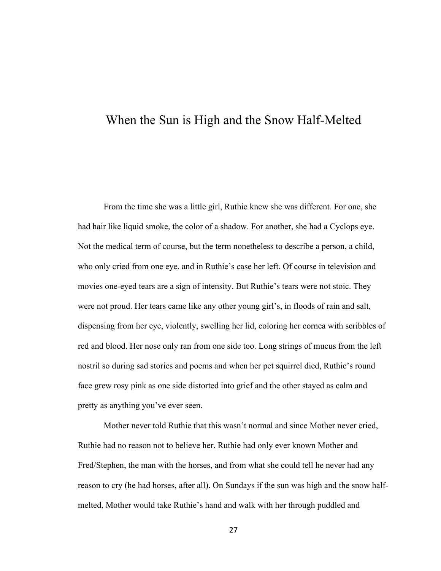# When the Sun is High and the Snow Half-Melted

From the time she was a little girl, Ruthie knew she was different. For one, she had hair like liquid smoke, the color of a shadow. For another, she had a Cyclops eye. Not the medical term of course, but the term nonetheless to describe a person, a child, who only cried from one eye, and in Ruthie's case her left. Of course in television and movies one-eyed tears are a sign of intensity*.* But Ruthie's tears were not stoic. They were not proud. Her tears came like any other young girl's, in floods of rain and salt, dispensing from her eye, violently, swelling her lid, coloring her cornea with scribbles of red and blood. Her nose only ran from one side too. Long strings of mucus from the left nostril so during sad stories and poems and when her pet squirrel died, Ruthie's round face grew rosy pink as one side distorted into grief and the other stayed as calm and pretty as anything you've ever seen.

Mother never told Ruthie that this wasn't normal and since Mother never cried, Ruthie had no reason not to believe her. Ruthie had only ever known Mother and Fred/Stephen, the man with the horses, and from what she could tell he never had any reason to cry (he had horses, after all). On Sundays if the sun was high and the snow halfmelted, Mother would take Ruthie's hand and walk with her through puddled and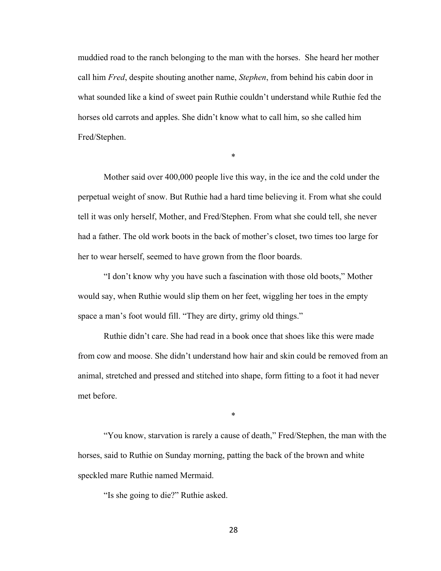muddied road to the ranch belonging to the man with the horses. She heard her mother call him *Fred*, despite shouting another name, *Stephen*, from behind his cabin door in what sounded like a kind of sweet pain Ruthie couldn't understand while Ruthie fed the horses old carrots and apples. She didn't know what to call him, so she called him Fred/Stephen.

\*

Mother said over 400,000 people live this way, in the ice and the cold under the perpetual weight of snow. But Ruthie had a hard time believing it. From what she could tell it was only herself, Mother, and Fred/Stephen. From what she could tell, she never had a father. The old work boots in the back of mother's closet, two times too large for her to wear herself, seemed to have grown from the floor boards.

"I don't know why you have such a fascination with those old boots," Mother would say, when Ruthie would slip them on her feet, wiggling her toes in the empty space a man's foot would fill. "They are dirty, grimy old things."

Ruthie didn't care. She had read in a book once that shoes like this were made from cow and moose. She didn't understand how hair and skin could be removed from an animal, stretched and pressed and stitched into shape, form fitting to a foot it had never met before.

"You know, starvation is rarely a cause of death," Fred/Stephen, the man with the horses, said to Ruthie on Sunday morning, patting the back of the brown and white speckled mare Ruthie named Mermaid.

\*

"Is she going to die?" Ruthie asked.

28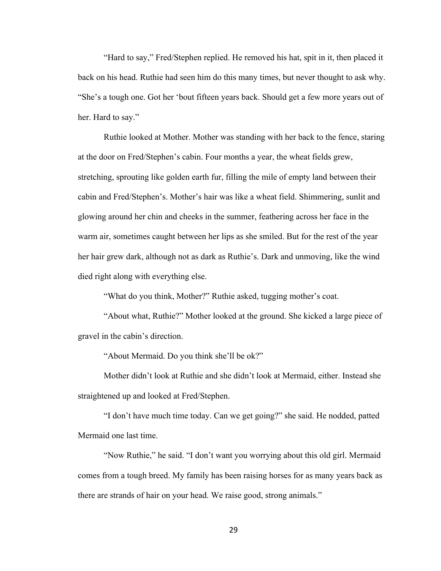"Hard to say," Fred/Stephen replied. He removed his hat, spit in it, then placed it back on his head. Ruthie had seen him do this many times, but never thought to ask why. "She's a tough one. Got her 'bout fifteen years back. Should get a few more years out of her. Hard to say."

Ruthie looked at Mother. Mother was standing with her back to the fence, staring at the door on Fred/Stephen's cabin. Four months a year, the wheat fields grew, stretching, sprouting like golden earth fur, filling the mile of empty land between their cabin and Fred/Stephen's. Mother's hair was like a wheat field. Shimmering, sunlit and glowing around her chin and cheeks in the summer, feathering across her face in the warm air, sometimes caught between her lips as she smiled. But for the rest of the year her hair grew dark, although not as dark as Ruthie's. Dark and unmoving, like the wind died right along with everything else.

"What do you think, Mother?" Ruthie asked, tugging mother's coat.

"About what, Ruthie?" Mother looked at the ground. She kicked a large piece of gravel in the cabin's direction.

"About Mermaid. Do you think she'll be ok?"

Mother didn't look at Ruthie and she didn't look at Mermaid, either. Instead she straightened up and looked at Fred/Stephen.

"I don't have much time today. Can we get going?" she said. He nodded, patted Mermaid one last time.

"Now Ruthie," he said. "I don't want you worrying about this old girl. Mermaid comes from a tough breed. My family has been raising horses for as many years back as there are strands of hair on your head. We raise good, strong animals."

29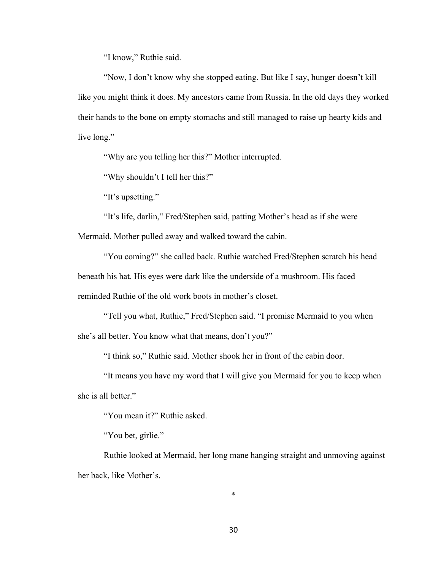"I know," Ruthie said.

"Now, I don't know why she stopped eating. But like I say, hunger doesn't kill like you might think it does. My ancestors came from Russia. In the old days they worked their hands to the bone on empty stomachs and still managed to raise up hearty kids and live long."

"Why are you telling her this?" Mother interrupted.

"Why shouldn't I tell her this?"

"It's upsetting."

"It's life, darlin," Fred/Stephen said, patting Mother's head as if she were Mermaid. Mother pulled away and walked toward the cabin.

"You coming?" she called back. Ruthie watched Fred/Stephen scratch his head beneath his hat. His eyes were dark like the underside of a mushroom. His faced reminded Ruthie of the old work boots in mother's closet.

"Tell you what, Ruthie," Fred/Stephen said. "I promise Mermaid to you when she's all better. You know what that means, don't you?"

"I think so," Ruthie said. Mother shook her in front of the cabin door.

"It means you have my word that I will give you Mermaid for you to keep when she is all better."

"You mean it?" Ruthie asked.

"You bet, girlie."

Ruthie looked at Mermaid, her long mane hanging straight and unmoving against her back, like Mother's.

\*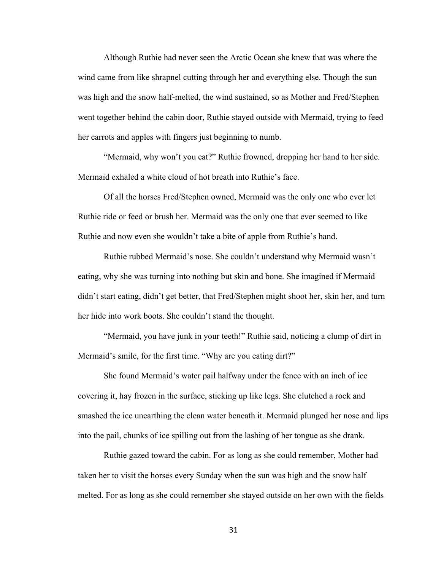Although Ruthie had never seen the Arctic Ocean she knew that was where the wind came from like shrapnel cutting through her and everything else. Though the sun was high and the snow half-melted, the wind sustained, so as Mother and Fred/Stephen went together behind the cabin door, Ruthie stayed outside with Mermaid, trying to feed her carrots and apples with fingers just beginning to numb.

"Mermaid, why won't you eat?" Ruthie frowned, dropping her hand to her side. Mermaid exhaled a white cloud of hot breath into Ruthie's face.

Of all the horses Fred/Stephen owned, Mermaid was the only one who ever let Ruthie ride or feed or brush her. Mermaid was the only one that ever seemed to like Ruthie and now even she wouldn't take a bite of apple from Ruthie's hand.

Ruthie rubbed Mermaid's nose. She couldn't understand why Mermaid wasn't eating, why she was turning into nothing but skin and bone. She imagined if Mermaid didn't start eating, didn't get better, that Fred/Stephen might shoot her, skin her, and turn her hide into work boots. She couldn't stand the thought.

"Mermaid, you have junk in your teeth!" Ruthie said, noticing a clump of dirt in Mermaid's smile, for the first time. "Why are you eating dirt?"

She found Mermaid's water pail halfway under the fence with an inch of ice covering it, hay frozen in the surface, sticking up like legs. She clutched a rock and smashed the ice unearthing the clean water beneath it. Mermaid plunged her nose and lips into the pail, chunks of ice spilling out from the lashing of her tongue as she drank.

Ruthie gazed toward the cabin. For as long as she could remember, Mother had taken her to visit the horses every Sunday when the sun was high and the snow half melted. For as long as she could remember she stayed outside on her own with the fields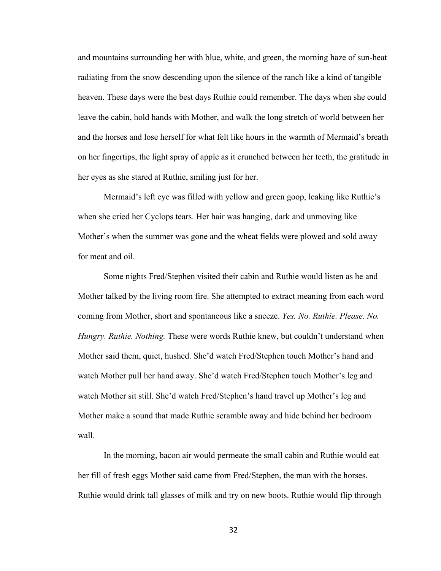and mountains surrounding her with blue, white, and green, the morning haze of sun-heat radiating from the snow descending upon the silence of the ranch like a kind of tangible heaven. These days were the best days Ruthie could remember. The days when she could leave the cabin, hold hands with Mother, and walk the long stretch of world between her and the horses and lose herself for what felt like hours in the warmth of Mermaid's breath on her fingertips, the light spray of apple as it crunched between her teeth, the gratitude in her eyes as she stared at Ruthie, smiling just for her.

Mermaid's left eye was filled with yellow and green goop, leaking like Ruthie's when she cried her Cyclops tears. Her hair was hanging, dark and unmoving like Mother's when the summer was gone and the wheat fields were plowed and sold away for meat and oil.

Some nights Fred/Stephen visited their cabin and Ruthie would listen as he and Mother talked by the living room fire. She attempted to extract meaning from each word coming from Mother, short and spontaneous like a sneeze. *Yes. No. Ruthie. Please. No. Hungry. Ruthie. Nothing.* These were words Ruthie knew, but couldn't understand when Mother said them, quiet, hushed. She'd watch Fred/Stephen touch Mother's hand and watch Mother pull her hand away. She'd watch Fred/Stephen touch Mother's leg and watch Mother sit still. She'd watch Fred/Stephen's hand travel up Mother's leg and Mother make a sound that made Ruthie scramble away and hide behind her bedroom wall.

In the morning, bacon air would permeate the small cabin and Ruthie would eat her fill of fresh eggs Mother said came from Fred/Stephen, the man with the horses. Ruthie would drink tall glasses of milk and try on new boots. Ruthie would flip through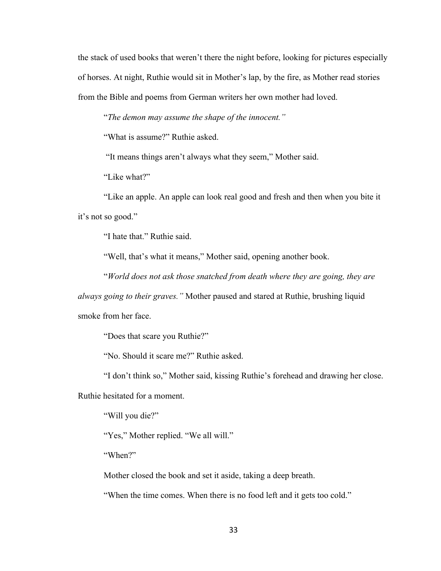the stack of used books that weren't there the night before, looking for pictures especially of horses. At night, Ruthie would sit in Mother's lap, by the fire, as Mother read stories from the Bible and poems from German writers her own mother had loved.

"*The demon may assume the shape of the innocent."*

"What is assume?" Ruthie asked.

"It means things aren't always what they seem," Mother said.

"Like what?"

"Like an apple. An apple can look real good and fresh and then when you bite it it's not so good."

"I hate that." Ruthie said.

"Well, that's what it means," Mother said, opening another book.

"*World does not ask those snatched from death where they are going, they are* 

*always going to their graves."* Mother paused and stared at Ruthie, brushing liquid smoke from her face.

"Does that scare you Ruthie?"

"No. Should it scare me?" Ruthie asked.

"I don't think so," Mother said, kissing Ruthie's forehead and drawing her close.

Ruthie hesitated for a moment.

"Will you die?"

"Yes," Mother replied. "We all will."

"When?"

Mother closed the book and set it aside, taking a deep breath.

"When the time comes. When there is no food left and it gets too cold."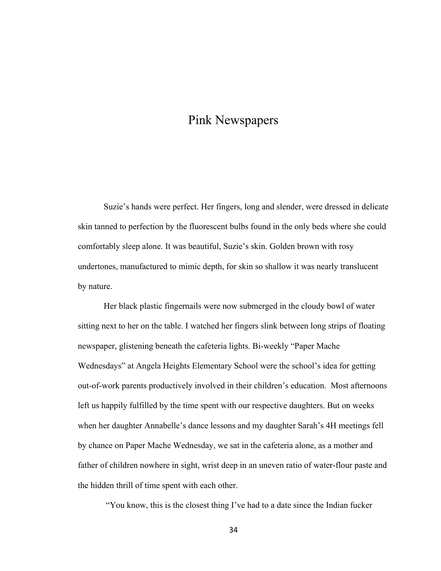# Pink Newspapers

Suzie's hands were perfect. Her fingers, long and slender, were dressed in delicate skin tanned to perfection by the fluorescent bulbs found in the only beds where she could comfortably sleep alone. It was beautiful, Suzie's skin. Golden brown with rosy undertones, manufactured to mimic depth, for skin so shallow it was nearly translucent by nature.

Her black plastic fingernails were now submerged in the cloudy bowl of water sitting next to her on the table. I watched her fingers slink between long strips of floating newspaper, glistening beneath the cafeteria lights. Bi-weekly "Paper Mache Wednesdays" at Angela Heights Elementary School were the school's idea for getting out-of-work parents productively involved in their children's education. Most afternoons left us happily fulfilled by the time spent with our respective daughters. But on weeks when her daughter Annabelle's dance lessons and my daughter Sarah's 4H meetings fell by chance on Paper Mache Wednesday, we sat in the cafeteria alone, as a mother and father of children nowhere in sight, wrist deep in an uneven ratio of water-flour paste and the hidden thrill of time spent with each other.

"You know, this is the closest thing I've had to a date since the Indian fucker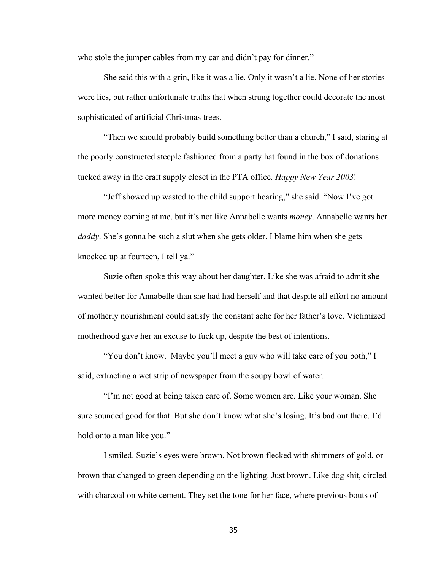who stole the jumper cables from my car and didn't pay for dinner."

She said this with a grin, like it was a lie. Only it wasn't a lie. None of her stories were lies, but rather unfortunate truths that when strung together could decorate the most sophisticated of artificial Christmas trees.

"Then we should probably build something better than a church," I said, staring at the poorly constructed steeple fashioned from a party hat found in the box of donations tucked away in the craft supply closet in the PTA office. *Happy New Year 2003*!

"Jeff showed up wasted to the child support hearing," she said. "Now I've got more money coming at me, but it's not like Annabelle wants *money*. Annabelle wants her *daddy*. She's gonna be such a slut when she gets older. I blame him when she gets knocked up at fourteen, I tell ya."

Suzie often spoke this way about her daughter. Like she was afraid to admit she wanted better for Annabelle than she had had herself and that despite all effort no amount of motherly nourishment could satisfy the constant ache for her father's love. Victimized motherhood gave her an excuse to fuck up, despite the best of intentions.

"You don't know. Maybe you'll meet a guy who will take care of you both," I said, extracting a wet strip of newspaper from the soupy bowl of water.

"I'm not good at being taken care of. Some women are. Like your woman. She sure sounded good for that. But she don't know what she's losing. It's bad out there. I'd hold onto a man like you."

I smiled. Suzie's eyes were brown. Not brown flecked with shimmers of gold, or brown that changed to green depending on the lighting. Just brown. Like dog shit, circled with charcoal on white cement. They set the tone for her face, where previous bouts of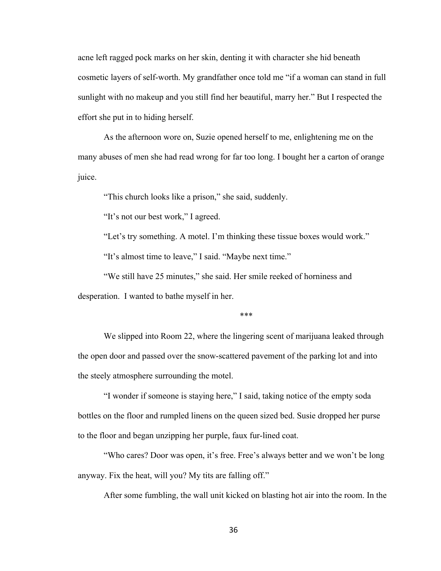acne left ragged pock marks on her skin, denting it with character she hid beneath cosmetic layers of self-worth. My grandfather once told me "if a woman can stand in full sunlight with no makeup and you still find her beautiful, marry her." But I respected the effort she put in to hiding herself.

As the afternoon wore on, Suzie opened herself to me, enlightening me on the many abuses of men she had read wrong for far too long. I bought her a carton of orange juice.

"This church looks like a prison," she said, suddenly.

"It's not our best work," I agreed.

"Let's try something. A motel. I'm thinking these tissue boxes would work."

"It's almost time to leave," I said. "Maybe next time."

"We still have 25 minutes," she said. Her smile reeked of horniness and desperation. I wanted to bathe myself in her.

\*\*\*

We slipped into Room 22, where the lingering scent of marijuana leaked through the open door and passed over the snow-scattered pavement of the parking lot and into the steely atmosphere surrounding the motel.

"I wonder if someone is staying here," I said, taking notice of the empty soda bottles on the floor and rumpled linens on the queen sized bed. Susie dropped her purse to the floor and began unzipping her purple, faux fur-lined coat.

"Who cares? Door was open, it's free. Free's always better and we won't be long anyway. Fix the heat, will you? My tits are falling off."

After some fumbling, the wall unit kicked on blasting hot air into the room. In the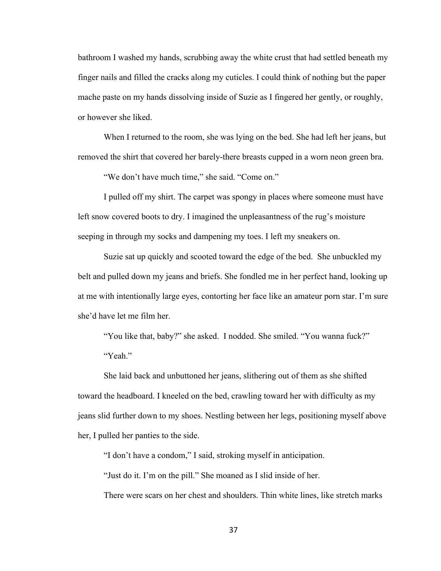bathroom I washed my hands, scrubbing away the white crust that had settled beneath my finger nails and filled the cracks along my cuticles. I could think of nothing but the paper mache paste on my hands dissolving inside of Suzie as I fingered her gently, or roughly, or however she liked.

When I returned to the room, she was lying on the bed. She had left her jeans, but removed the shirt that covered her barely-there breasts cupped in a worn neon green bra.

"We don't have much time," she said. "Come on."

I pulled off my shirt. The carpet was spongy in places where someone must have left snow covered boots to dry. I imagined the unpleasantness of the rug's moisture seeping in through my socks and dampening my toes. I left my sneakers on.

Suzie sat up quickly and scooted toward the edge of the bed. She unbuckled my belt and pulled down my jeans and briefs. She fondled me in her perfect hand, looking up at me with intentionally large eyes, contorting her face like an amateur porn star. I'm sure she'd have let me film her.

"You like that, baby?" she asked. I nodded. She smiled. "You wanna fuck?" "Yeah."

She laid back and unbuttoned her jeans, slithering out of them as she shifted toward the headboard. I kneeled on the bed, crawling toward her with difficulty as my jeans slid further down to my shoes. Nestling between her legs, positioning myself above her, I pulled her panties to the side.

"I don't have a condom," I said, stroking myself in anticipation.

"Just do it. I'm on the pill." She moaned as I slid inside of her.

There were scars on her chest and shoulders. Thin white lines, like stretch marks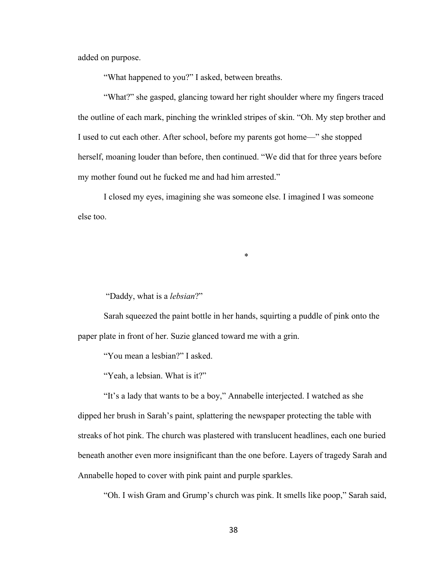added on purpose.

"What happened to you?" I asked, between breaths.

"What?" she gasped, glancing toward her right shoulder where my fingers traced the outline of each mark, pinching the wrinkled stripes of skin. "Oh. My step brother and I used to cut each other. After school, before my parents got home—" she stopped herself, moaning louder than before, then continued. "We did that for three years before my mother found out he fucked me and had him arrested."

I closed my eyes, imagining she was someone else. I imagined I was someone else too.

\*

"Daddy, what is a *lebsian*?"

Sarah squeezed the paint bottle in her hands, squirting a puddle of pink onto the paper plate in front of her. Suzie glanced toward me with a grin.

"You mean a lesbian?" I asked.

"Yeah, a lebsian. What is it?"

"It's a lady that wants to be a boy," Annabelle interjected. I watched as she dipped her brush in Sarah's paint, splattering the newspaper protecting the table with streaks of hot pink. The church was plastered with translucent headlines, each one buried beneath another even more insignificant than the one before. Layers of tragedy Sarah and Annabelle hoped to cover with pink paint and purple sparkles.

"Oh. I wish Gram and Grump's church was pink. It smells like poop," Sarah said,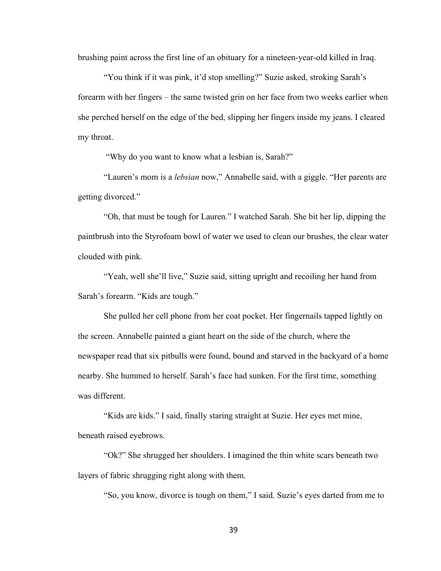brushing paint across the first line of an obituary for a nineteen-year-old killed in Iraq.

"You think if it was pink, it'd stop smelling?" Suzie asked, stroking Sarah's forearm with her fingers – the same twisted grin on her face from two weeks earlier when she perched herself on the edge of the bed, slipping her fingers inside my jeans. I cleared my throat.

"Why do you want to know what a lesbian is, Sarah?"

"Lauren's mom is a *lebsian* now," Annabelle said, with a giggle. "Her parents are getting divorced."

"Oh, that must be tough for Lauren." I watched Sarah. She bit her lip, dipping the paintbrush into the Styrofoam bowl of water we used to clean our brushes, the clear water clouded with pink.

"Yeah, well she'll live," Suzie said, sitting upright and recoiling her hand from Sarah's forearm. "Kids are tough."

She pulled her cell phone from her coat pocket. Her fingernails tapped lightly on the screen. Annabelle painted a giant heart on the side of the church, where the newspaper read that six pitbulls were found, bound and starved in the backyard of a home nearby. She hummed to herself. Sarah's face had sunken. For the first time, something was different.

"Kids are kids." I said, finally staring straight at Suzie. Her eyes met mine, beneath raised eyebrows.

"Ok?" She shrugged her shoulders. I imagined the thin white scars beneath two layers of fabric shrugging right along with them.

"So, you know, divorce is tough on them," I said. Suzie's eyes darted from me to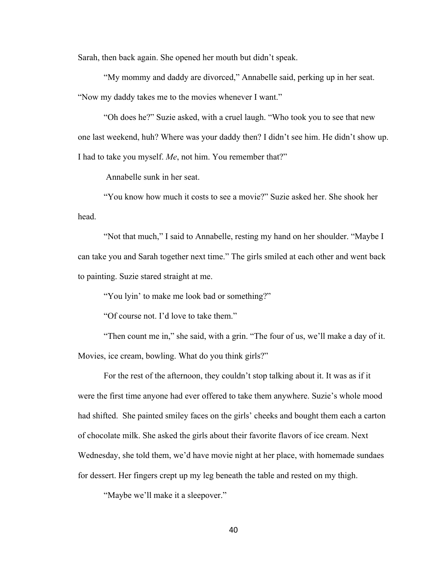Sarah, then back again. She opened her mouth but didn't speak.

"My mommy and daddy are divorced," Annabelle said, perking up in her seat. "Now my daddy takes me to the movies whenever I want."

"Oh does he?" Suzie asked, with a cruel laugh. "Who took you to see that new one last weekend, huh? Where was your daddy then? I didn't see him. He didn't show up. I had to take you myself. *Me*, not him. You remember that?"

Annabelle sunk in her seat.

"You know how much it costs to see a movie?" Suzie asked her. She shook her head.

"Not that much," I said to Annabelle, resting my hand on her shoulder. "Maybe I can take you and Sarah together next time." The girls smiled at each other and went back to painting. Suzie stared straight at me.

"You lyin' to make me look bad or something?"

"Of course not. I'd love to take them."

"Then count me in," she said, with a grin. "The four of us, we'll make a day of it. Movies, ice cream, bowling. What do you think girls?"

For the rest of the afternoon, they couldn't stop talking about it. It was as if it were the first time anyone had ever offered to take them anywhere. Suzie's whole mood had shifted. She painted smiley faces on the girls' cheeks and bought them each a carton of chocolate milk. She asked the girls about their favorite flavors of ice cream. Next Wednesday, she told them, we'd have movie night at her place, with homemade sundaes for dessert. Her fingers crept up my leg beneath the table and rested on my thigh.

"Maybe we'll make it a sleepover."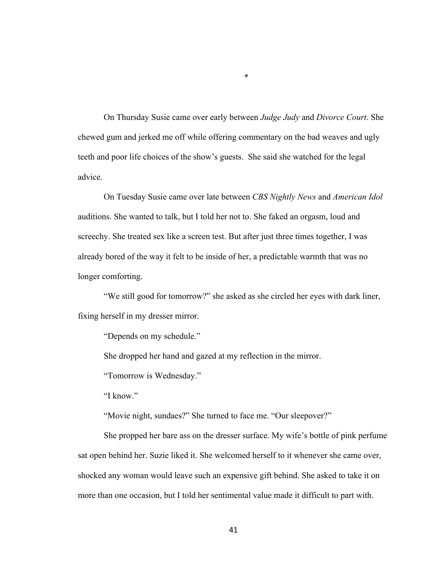On Thursday Susie came over early between *Judge Judy* and *Divorce Court*. She chewed gum and jerked me off while offering commentary on the bad weaves and ugly teeth and poor life choices of the show's guests. She said she watched for the legal advice.

\*

On Tuesday Susie came over late between *CBS Nightly News* and *American Idol*  auditions. She wanted to talk, but I told her not to. She faked an orgasm, loud and screechy. She treated sex like a screen test. But after just three times together, I was already bored of the way it felt to be inside of her, a predictable warmth that was no longer comforting.

"We still good for tomorrow?" she asked as she circled her eyes with dark liner, fixing herself in my dresser mirror.

"Depends on my schedule."

She dropped her hand and gazed at my reflection in the mirror.

"Tomorrow is Wednesday."

"I know."

"Movie night, sundaes?" She turned to face me. "Our sleepover?"

She propped her bare ass on the dresser surface. My wife's bottle of pink perfume sat open behind her. Suzie liked it. She welcomed herself to it whenever she came over, shocked any woman would leave such an expensive gift behind. She asked to take it on more than one occasion, but I told her sentimental value made it difficult to part with.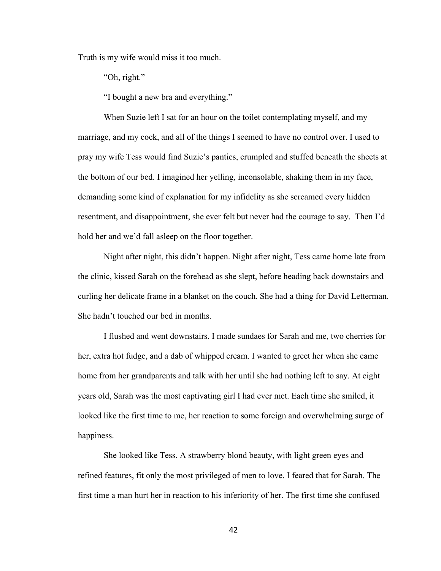Truth is my wife would miss it too much.

"Oh, right."

"I bought a new bra and everything."

When Suzie left I sat for an hour on the toilet contemplating myself, and my marriage, and my cock, and all of the things I seemed to have no control over. I used to pray my wife Tess would find Suzie's panties, crumpled and stuffed beneath the sheets at the bottom of our bed. I imagined her yelling, inconsolable, shaking them in my face, demanding some kind of explanation for my infidelity as she screamed every hidden resentment, and disappointment, she ever felt but never had the courage to say. Then I'd hold her and we'd fall asleep on the floor together.

Night after night, this didn't happen. Night after night, Tess came home late from the clinic, kissed Sarah on the forehead as she slept, before heading back downstairs and curling her delicate frame in a blanket on the couch. She had a thing for David Letterman. She hadn't touched our bed in months.

I flushed and went downstairs. I made sundaes for Sarah and me, two cherries for her, extra hot fudge, and a dab of whipped cream. I wanted to greet her when she came home from her grandparents and talk with her until she had nothing left to say. At eight years old, Sarah was the most captivating girl I had ever met. Each time she smiled, it looked like the first time to me, her reaction to some foreign and overwhelming surge of happiness.

She looked like Tess. A strawberry blond beauty, with light green eyes and refined features, fit only the most privileged of men to love. I feared that for Sarah. The first time a man hurt her in reaction to his inferiority of her. The first time she confused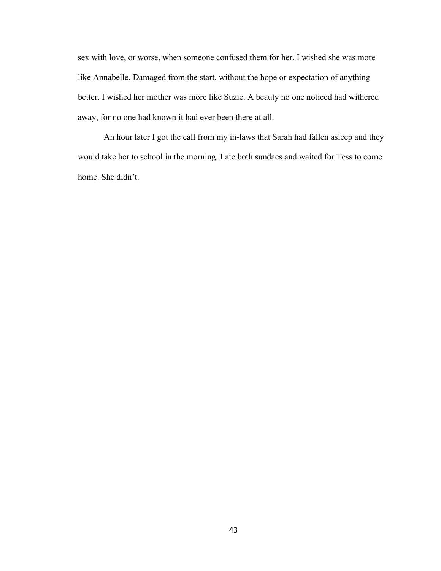sex with love, or worse, when someone confused them for her. I wished she was more like Annabelle. Damaged from the start, without the hope or expectation of anything better. I wished her mother was more like Suzie. A beauty no one noticed had withered away, for no one had known it had ever been there at all.

An hour later I got the call from my in-laws that Sarah had fallen asleep and they would take her to school in the morning. I ate both sundaes and waited for Tess to come home. She didn't.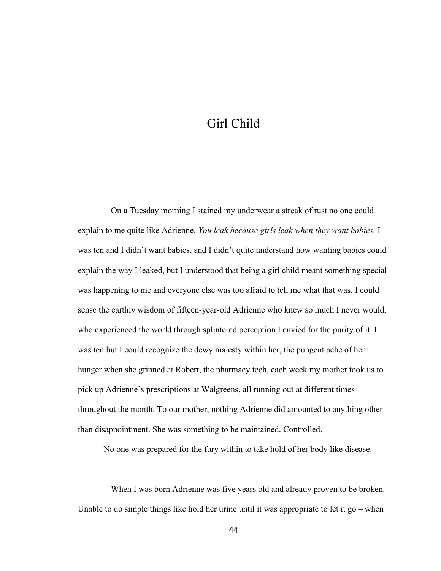# Girl Child

On a Tuesday morning I stained my underwear a streak of rust no one could explain to me quite like Adrienne. *You leak because girls leak when they want babies.* I was ten and I didn't want babies, and I didn't quite understand how wanting babies could explain the way I leaked, but I understood that being a girl child meant something special was happening to me and everyone else was too afraid to tell me what that was. I could sense the earthly wisdom of fifteen-year-old Adrienne who knew so much I never would, who experienced the world through splintered perception I envied for the purity of it. I was ten but I could recognize the dewy majesty within her, the pungent ache of her hunger when she grinned at Robert, the pharmacy tech, each week my mother took us to pick up Adrienne's prescriptions at Walgreens, all running out at different times throughout the month. To our mother, nothing Adrienne did amounted to anything other than disappointment. She was something to be maintained. Controlled.

No one was prepared for the fury within to take hold of her body like disease.

When I was born Adrienne was five years old and already proven to be broken. Unable to do simple things like hold her urine until it was appropriate to let it  $g_0$  – when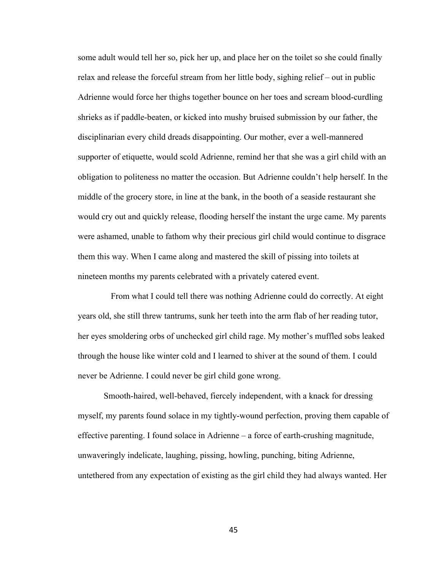some adult would tell her so, pick her up, and place her on the toilet so she could finally relax and release the forceful stream from her little body, sighing relief – out in public Adrienne would force her thighs together bounce on her toes and scream blood-curdling shrieks as if paddle-beaten, or kicked into mushy bruised submission by our father, the disciplinarian every child dreads disappointing. Our mother, ever a well-mannered supporter of etiquette, would scold Adrienne, remind her that she was a girl child with an obligation to politeness no matter the occasion. But Adrienne couldn't help herself. In the middle of the grocery store, in line at the bank, in the booth of a seaside restaurant she would cry out and quickly release, flooding herself the instant the urge came. My parents were ashamed, unable to fathom why their precious girl child would continue to disgrace them this way. When I came along and mastered the skill of pissing into toilets at nineteen months my parents celebrated with a privately catered event.

From what I could tell there was nothing Adrienne could do correctly. At eight years old, she still threw tantrums, sunk her teeth into the arm flab of her reading tutor, her eyes smoldering orbs of unchecked girl child rage. My mother's muffled sobs leaked through the house like winter cold and I learned to shiver at the sound of them. I could never be Adrienne. I could never be girl child gone wrong.

Smooth-haired, well-behaved, fiercely independent, with a knack for dressing myself, my parents found solace in my tightly-wound perfection, proving them capable of effective parenting. I found solace in Adrienne – a force of earth-crushing magnitude, unwaveringly indelicate, laughing, pissing, howling, punching, biting Adrienne, untethered from any expectation of existing as the girl child they had always wanted. Her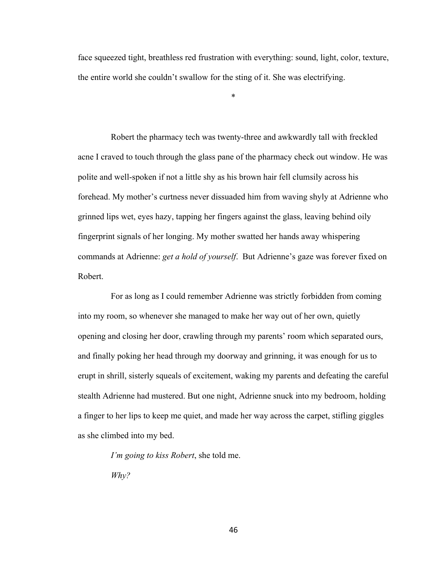face squeezed tight, breathless red frustration with everything: sound, light, color, texture, the entire world she couldn't swallow for the sting of it. She was electrifying.

\*

Robert the pharmacy tech was twenty-three and awkwardly tall with freckled acne I craved to touch through the glass pane of the pharmacy check out window. He was polite and well-spoken if not a little shy as his brown hair fell clumsily across his forehead. My mother's curtness never dissuaded him from waving shyly at Adrienne who grinned lips wet, eyes hazy, tapping her fingers against the glass, leaving behind oily fingerprint signals of her longing. My mother swatted her hands away whispering commands at Adrienne: *get a hold of yourself*. But Adrienne's gaze was forever fixed on Robert.

For as long as I could remember Adrienne was strictly forbidden from coming into my room, so whenever she managed to make her way out of her own, quietly opening and closing her door, crawling through my parents' room which separated ours, and finally poking her head through my doorway and grinning, it was enough for us to erupt in shrill, sisterly squeals of excitement, waking my parents and defeating the careful stealth Adrienne had mustered. But one night, Adrienne snuck into my bedroom, holding a finger to her lips to keep me quiet, and made her way across the carpet, stifling giggles as she climbed into my bed.

*I'm going to kiss Robert*, she told me.

*Why?*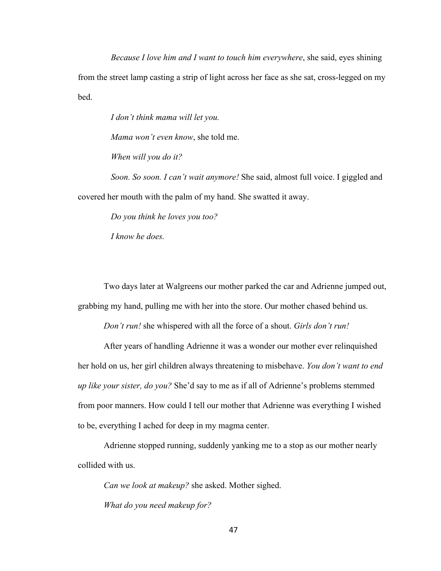*Because I love him and I want to touch him everywhere*, she said, eyes shining from the street lamp casting a strip of light across her face as she sat, cross-legged on my bed.

*I don't think mama will let you.* 

*Mama won't even know*, she told me.

*When will you do it?*

*Soon. So soon. I can't wait anymore!* She said, almost full voice. I giggled and covered her mouth with the palm of my hand. She swatted it away.

*Do you think he loves you too?*

*I know he does.* 

Two days later at Walgreens our mother parked the car and Adrienne jumped out, grabbing my hand, pulling me with her into the store. Our mother chased behind us.

*Don't run!* she whispered with all the force of a shout. *Girls don't run!* 

After years of handling Adrienne it was a wonder our mother ever relinquished her hold on us, her girl children always threatening to misbehave. *You don't want to end up like your sister, do you?* She'd say to me as if all of Adrienne's problems stemmed from poor manners. How could I tell our mother that Adrienne was everything I wished to be, everything I ached for deep in my magma center.

Adrienne stopped running, suddenly yanking me to a stop as our mother nearly collided with us.

*Can we look at makeup?* she asked. Mother sighed. *What do you need makeup for?*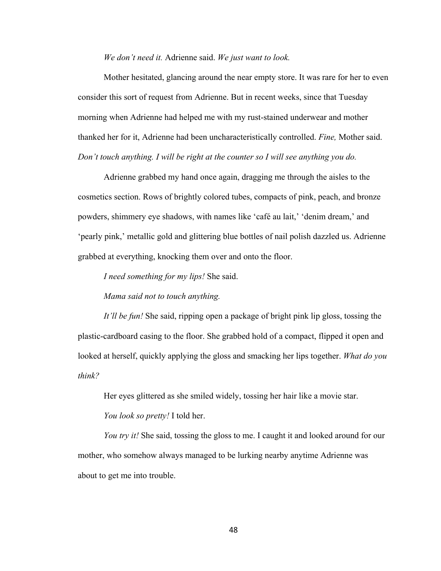*We don't need it.* Adrienne said. *We just want to look.* 

Mother hesitated, glancing around the near empty store. It was rare for her to even consider this sort of request from Adrienne. But in recent weeks, since that Tuesday morning when Adrienne had helped me with my rust-stained underwear and mother thanked her for it, Adrienne had been uncharacteristically controlled. *Fine,* Mother said. *Don't touch anything. I will be right at the counter so I will see anything you do.* 

Adrienne grabbed my hand once again, dragging me through the aisles to the cosmetics section. Rows of brightly colored tubes, compacts of pink, peach, and bronze powders, shimmery eye shadows, with names like 'café au lait,' 'denim dream,' and 'pearly pink,' metallic gold and glittering blue bottles of nail polish dazzled us. Adrienne grabbed at everything, knocking them over and onto the floor.

*I need something for my lips!* She said.

*Mama said not to touch anything.* 

*It'll be fun!* She said, ripping open a package of bright pink lip gloss, tossing the plastic-cardboard casing to the floor. She grabbed hold of a compact, flipped it open and looked at herself, quickly applying the gloss and smacking her lips together. *What do you think?* 

Her eyes glittered as she smiled widely, tossing her hair like a movie star.

*You look so pretty!* I told her.

*You try it!* She said, tossing the gloss to me. I caught it and looked around for our mother, who somehow always managed to be lurking nearby anytime Adrienne was about to get me into trouble.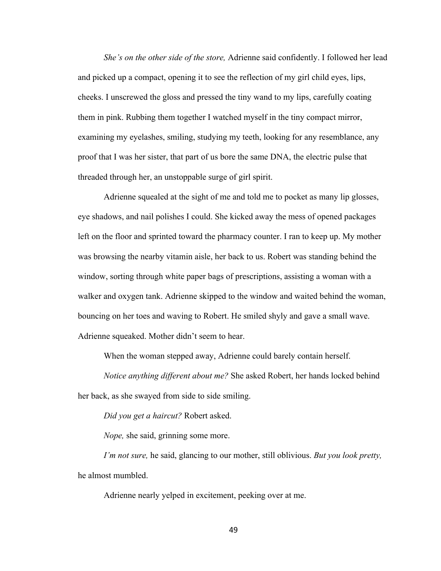*She's on the other side of the store,* Adrienne said confidently. I followed her lead and picked up a compact, opening it to see the reflection of my girl child eyes, lips, cheeks. I unscrewed the gloss and pressed the tiny wand to my lips, carefully coating them in pink. Rubbing them together I watched myself in the tiny compact mirror, examining my eyelashes, smiling, studying my teeth, looking for any resemblance, any proof that I was her sister, that part of us bore the same DNA, the electric pulse that threaded through her, an unstoppable surge of girl spirit.

Adrienne squealed at the sight of me and told me to pocket as many lip glosses, eye shadows, and nail polishes I could. She kicked away the mess of opened packages left on the floor and sprinted toward the pharmacy counter. I ran to keep up. My mother was browsing the nearby vitamin aisle, her back to us. Robert was standing behind the window, sorting through white paper bags of prescriptions, assisting a woman with a walker and oxygen tank. Adrienne skipped to the window and waited behind the woman, bouncing on her toes and waving to Robert. He smiled shyly and gave a small wave. Adrienne squeaked. Mother didn't seem to hear.

When the woman stepped away, Adrienne could barely contain herself.

*Notice anything different about me?* She asked Robert, her hands locked behind her back, as she swayed from side to side smiling.

*Did you get a haircut?* Robert asked.

*Nope,* she said, grinning some more.

*I'm not sure,* he said, glancing to our mother, still oblivious. *But you look pretty,*  he almost mumbled.

Adrienne nearly yelped in excitement, peeking over at me.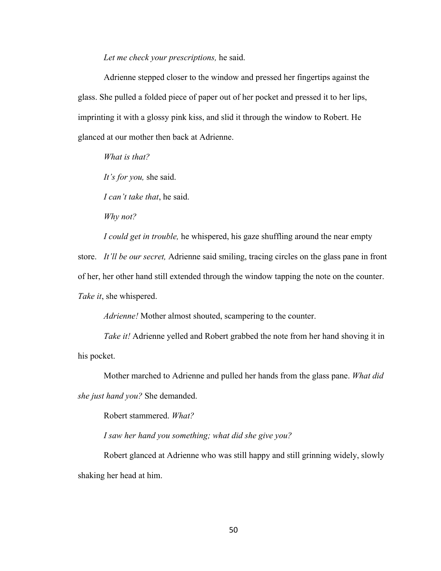*Let me check your prescriptions,* he said.

Adrienne stepped closer to the window and pressed her fingertips against the glass. She pulled a folded piece of paper out of her pocket and pressed it to her lips, imprinting it with a glossy pink kiss, and slid it through the window to Robert. He glanced at our mother then back at Adrienne.

*What is that?*

*It's for you,* she said.

*I can't take that*, he said.

*Why not?* 

*I could get in trouble,* he whispered, his gaze shuffling around the near empty

store. *It'll be our secret,* Adrienne said smiling, tracing circles on the glass pane in front of her, her other hand still extended through the window tapping the note on the counter. *Take it*, she whispered.

*Adrienne!* Mother almost shouted, scampering to the counter.

*Take it!* Adrienne yelled and Robert grabbed the note from her hand shoving it in his pocket.

Mother marched to Adrienne and pulled her hands from the glass pane. *What did she just hand you?* She demanded.

Robert stammered. *What?*

*I saw her hand you something; what did she give you?* 

Robert glanced at Adrienne who was still happy and still grinning widely, slowly shaking her head at him.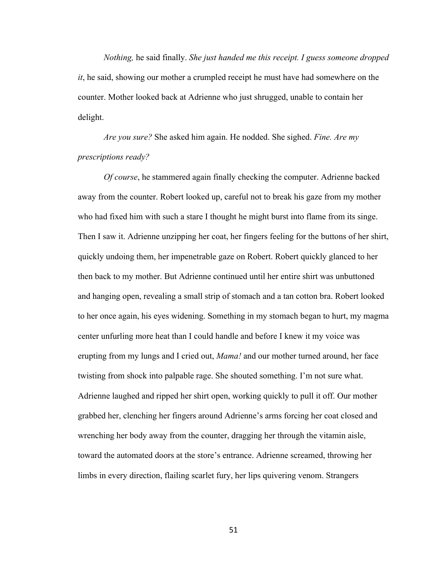*Nothing,* he said finally. *She just handed me this receipt. I guess someone dropped it*, he said, showing our mother a crumpled receipt he must have had somewhere on the counter. Mother looked back at Adrienne who just shrugged, unable to contain her delight.

*Are you sure?* She asked him again. He nodded. She sighed. *Fine. Are my prescriptions ready?* 

*Of course*, he stammered again finally checking the computer. Adrienne backed away from the counter. Robert looked up, careful not to break his gaze from my mother who had fixed him with such a stare I thought he might burst into flame from its singe. Then I saw it. Adrienne unzipping her coat, her fingers feeling for the buttons of her shirt, quickly undoing them, her impenetrable gaze on Robert. Robert quickly glanced to her then back to my mother. But Adrienne continued until her entire shirt was unbuttoned and hanging open, revealing a small strip of stomach and a tan cotton bra. Robert looked to her once again, his eyes widening. Something in my stomach began to hurt, my magma center unfurling more heat than I could handle and before I knew it my voice was erupting from my lungs and I cried out, *Mama!* and our mother turned around, her face twisting from shock into palpable rage. She shouted something. I'm not sure what. Adrienne laughed and ripped her shirt open, working quickly to pull it off. Our mother grabbed her, clenching her fingers around Adrienne's arms forcing her coat closed and wrenching her body away from the counter, dragging her through the vitamin aisle, toward the automated doors at the store's entrance. Adrienne screamed, throwing her limbs in every direction, flailing scarlet fury, her lips quivering venom. Strangers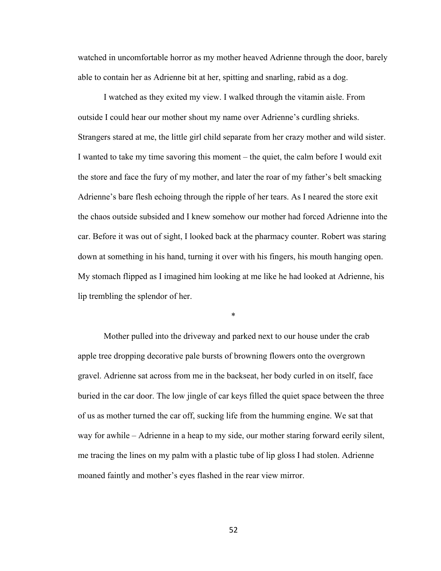watched in uncomfortable horror as my mother heaved Adrienne through the door, barely able to contain her as Adrienne bit at her, spitting and snarling, rabid as a dog.

I watched as they exited my view. I walked through the vitamin aisle. From outside I could hear our mother shout my name over Adrienne's curdling shrieks. Strangers stared at me, the little girl child separate from her crazy mother and wild sister. I wanted to take my time savoring this moment – the quiet, the calm before I would exit the store and face the fury of my mother, and later the roar of my father's belt smacking Adrienne's bare flesh echoing through the ripple of her tears. As I neared the store exit the chaos outside subsided and I knew somehow our mother had forced Adrienne into the car. Before it was out of sight, I looked back at the pharmacy counter. Robert was staring down at something in his hand, turning it over with his fingers, his mouth hanging open. My stomach flipped as I imagined him looking at me like he had looked at Adrienne, his lip trembling the splendor of her.

\*

Mother pulled into the driveway and parked next to our house under the crab apple tree dropping decorative pale bursts of browning flowers onto the overgrown gravel. Adrienne sat across from me in the backseat, her body curled in on itself, face buried in the car door. The low jingle of car keys filled the quiet space between the three of us as mother turned the car off, sucking life from the humming engine. We sat that way for awhile – Adrienne in a heap to my side, our mother staring forward eerily silent, me tracing the lines on my palm with a plastic tube of lip gloss I had stolen. Adrienne moaned faintly and mother's eyes flashed in the rear view mirror.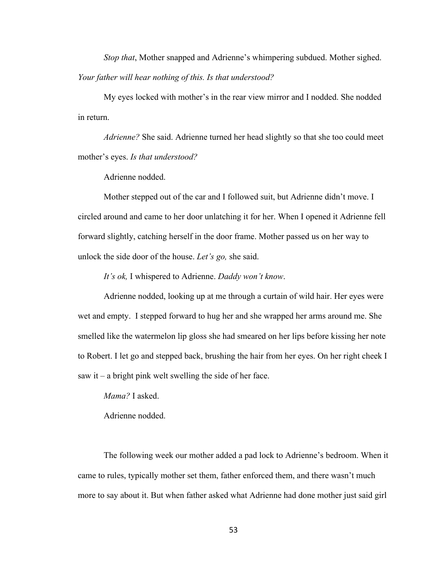*Stop that*, Mother snapped and Adrienne's whimpering subdued. Mother sighed. *Your father will hear nothing of this. Is that understood?*

My eyes locked with mother's in the rear view mirror and I nodded. She nodded in return.

*Adrienne?* She said. Adrienne turned her head slightly so that she too could meet mother's eyes. *Is that understood?*

Adrienne nodded.

Mother stepped out of the car and I followed suit, but Adrienne didn't move. I circled around and came to her door unlatching it for her. When I opened it Adrienne fell forward slightly, catching herself in the door frame. Mother passed us on her way to unlock the side door of the house. *Let's go,* she said.

*It's ok,* I whispered to Adrienne. *Daddy won't know*.

Adrienne nodded, looking up at me through a curtain of wild hair. Her eyes were wet and empty. I stepped forward to hug her and she wrapped her arms around me. She smelled like the watermelon lip gloss she had smeared on her lips before kissing her note to Robert. I let go and stepped back, brushing the hair from her eyes. On her right cheek I saw it – a bright pink welt swelling the side of her face.

*Mama?* I asked.

Adrienne nodded.

The following week our mother added a pad lock to Adrienne's bedroom. When it came to rules, typically mother set them, father enforced them, and there wasn't much more to say about it. But when father asked what Adrienne had done mother just said girl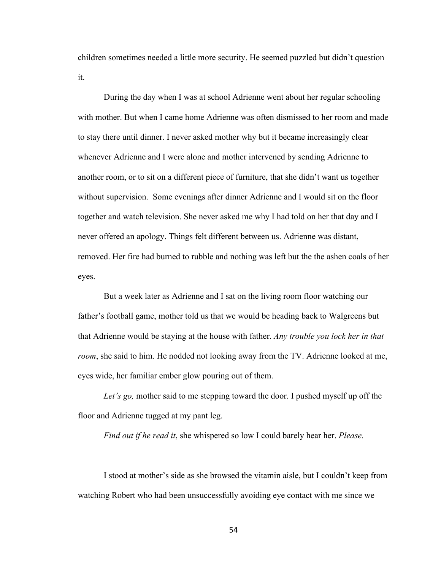children sometimes needed a little more security. He seemed puzzled but didn't question it.

During the day when I was at school Adrienne went about her regular schooling with mother. But when I came home Adrienne was often dismissed to her room and made to stay there until dinner. I never asked mother why but it became increasingly clear whenever Adrienne and I were alone and mother intervened by sending Adrienne to another room, or to sit on a different piece of furniture, that she didn't want us together without supervision. Some evenings after dinner Adrienne and I would sit on the floor together and watch television. She never asked me why I had told on her that day and I never offered an apology. Things felt different between us. Adrienne was distant, removed. Her fire had burned to rubble and nothing was left but the the ashen coals of her eyes.

But a week later as Adrienne and I sat on the living room floor watching our father's football game, mother told us that we would be heading back to Walgreens but that Adrienne would be staying at the house with father. *Any trouble you lock her in that room*, she said to him. He nodded not looking away from the TV. Adrienne looked at me, eyes wide, her familiar ember glow pouring out of them.

*Let's go,* mother said to me stepping toward the door. I pushed myself up off the floor and Adrienne tugged at my pant leg.

*Find out if he read it*, she whispered so low I could barely hear her. *Please.*

I stood at mother's side as she browsed the vitamin aisle, but I couldn't keep from watching Robert who had been unsuccessfully avoiding eye contact with me since we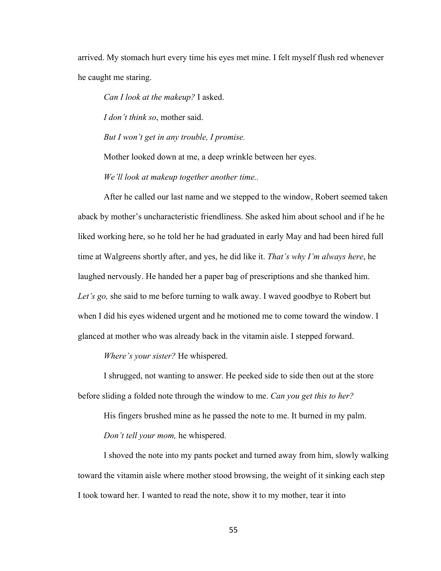arrived. My stomach hurt every time his eyes met mine. I felt myself flush red whenever he caught me staring.

*Can I look at the makeup?* I asked.

*I don't think so*, mother said.

*But I won't get in any trouble, I promise.* 

Mother looked down at me, a deep wrinkle between her eyes.

*We'll look at makeup together another time..*

After he called our last name and we stepped to the window, Robert seemed taken aback by mother's uncharacteristic friendliness. She asked him about school and if he he liked working here, so he told her he had graduated in early May and had been hired full time at Walgreens shortly after, and yes, he did like it. *That's why I'm always here*, he laughed nervously. He handed her a paper bag of prescriptions and she thanked him. *Let's go,* she said to me before turning to walk away. I waved goodbye to Robert but when I did his eyes widened urgent and he motioned me to come toward the window. I glanced at mother who was already back in the vitamin aisle. I stepped forward.

*Where's your sister?* He whispered.

I shrugged, not wanting to answer. He peeked side to side then out at the store before sliding a folded note through the window to me. *Can you get this to her?*

His fingers brushed mine as he passed the note to me. It burned in my palm. *Don't tell your mom,* he whispered.

I shoved the note into my pants pocket and turned away from him, slowly walking toward the vitamin aisle where mother stood browsing, the weight of it sinking each step I took toward her. I wanted to read the note, show it to my mother, tear it into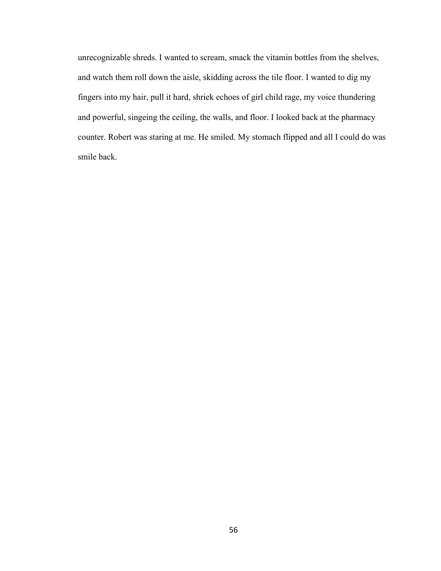unrecognizable shreds. I wanted to scream, smack the vitamin bottles from the shelves, and watch them roll down the aisle, skidding across the tile floor. I wanted to dig my fingers into my hair, pull it hard, shriek echoes of girl child rage, my voice thundering and powerful, singeing the ceiling, the walls, and floor. I looked back at the pharmacy counter. Robert was staring at me. He smiled. My stomach flipped and all I could do was smile back.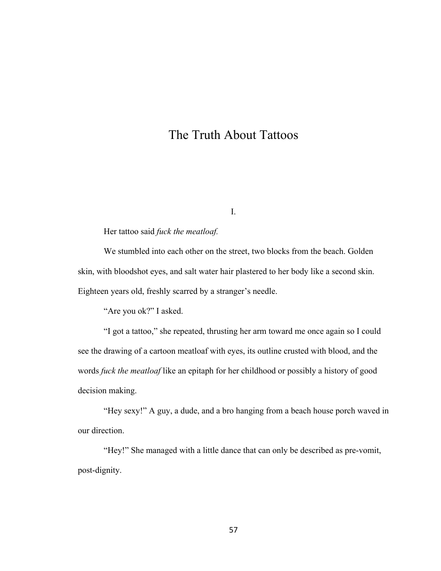# The Truth About Tattoos

I.

Her tattoo said *fuck the meatloaf.*

We stumbled into each other on the street, two blocks from the beach. Golden skin, with bloodshot eyes, and salt water hair plastered to her body like a second skin. Eighteen years old, freshly scarred by a stranger's needle.

"Are you ok?" I asked.

"I got a tattoo," she repeated, thrusting her arm toward me once again so I could see the drawing of a cartoon meatloaf with eyes, its outline crusted with blood, and the words *fuck the meatloaf* like an epitaph for her childhood or possibly a history of good decision making.

"Hey sexy!" A guy, a dude, and a bro hanging from a beach house porch waved in our direction.

"Hey!" She managed with a little dance that can only be described as pre-vomit, post-dignity.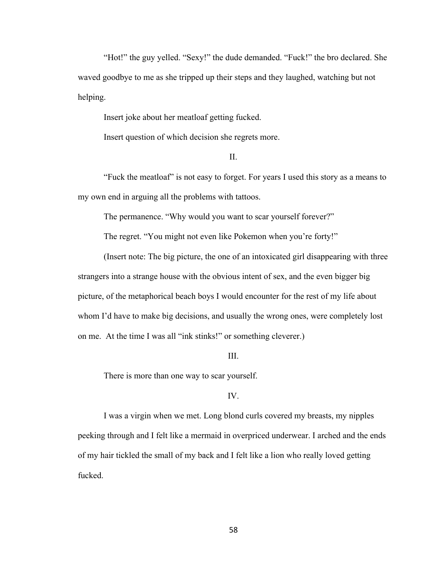"Hot!" the guy yelled. "Sexy!" the dude demanded. "Fuck!" the bro declared. She waved goodbye to me as she tripped up their steps and they laughed, watching but not helping.

Insert joke about her meatloaf getting fucked.

Insert question of which decision she regrets more.

#### II.

"Fuck the meatloaf" is not easy to forget. For years I used this story as a means to my own end in arguing all the problems with tattoos.

The permanence. "Why would you want to scar yourself forever?"

The regret. "You might not even like Pokemon when you're forty!"

(Insert note: The big picture, the one of an intoxicated girl disappearing with three strangers into a strange house with the obvious intent of sex, and the even bigger big picture, of the metaphorical beach boys I would encounter for the rest of my life about whom I'd have to make big decisions, and usually the wrong ones, were completely lost on me. At the time I was all "ink stinks!" or something cleverer.)

#### III.

There is more than one way to scar yourself.

#### IV.

I was a virgin when we met. Long blond curls covered my breasts, my nipples peeking through and I felt like a mermaid in overpriced underwear. I arched and the ends of my hair tickled the small of my back and I felt like a lion who really loved getting fucked.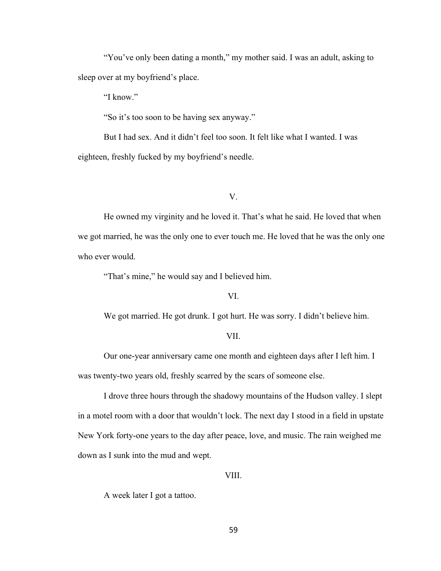"You've only been dating a month," my mother said. I was an adult, asking to sleep over at my boyfriend's place.

"I know."

"So it's too soon to be having sex anyway."

But I had sex. And it didn't feel too soon. It felt like what I wanted. I was eighteen, freshly fucked by my boyfriend's needle.

V.

He owned my virginity and he loved it. That's what he said. He loved that when we got married, he was the only one to ever touch me. He loved that he was the only one who ever would.

"That's mine," he would say and I believed him.

### VI.

We got married. He got drunk. I got hurt. He was sorry. I didn't believe him.

#### VII.

Our one-year anniversary came one month and eighteen days after I left him. I was twenty-two years old, freshly scarred by the scars of someone else.

I drove three hours through the shadowy mountains of the Hudson valley. I slept in a motel room with a door that wouldn't lock. The next day I stood in a field in upstate New York forty-one years to the day after peace, love, and music. The rain weighed me down as I sunk into the mud and wept.

#### VIII.

A week later I got a tattoo.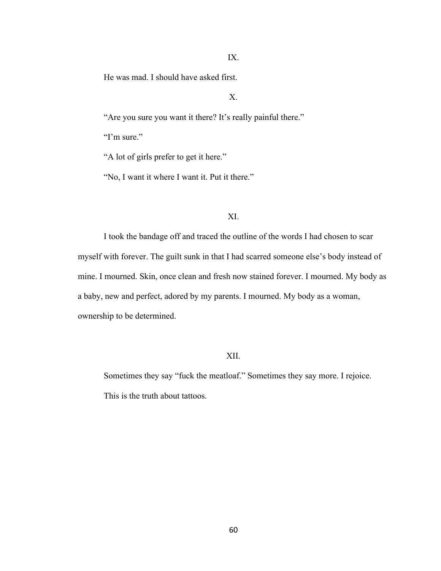## IX.

He was mad. I should have asked first.

# X.

"Are you sure you want it there? It's really painful there."

"I'm sure."

"A lot of girls prefer to get it here."

"No, I want it where I want it. Put it there."

## XI.

I took the bandage off and traced the outline of the words I had chosen to scar myself with forever. The guilt sunk in that I had scarred someone else's body instead of mine. I mourned. Skin, once clean and fresh now stained forever. I mourned. My body as a baby, new and perfect, adored by my parents. I mourned. My body as a woman, ownership to be determined.

## XII.

Sometimes they say "fuck the meatloaf." Sometimes they say more. I rejoice. This is the truth about tattoos.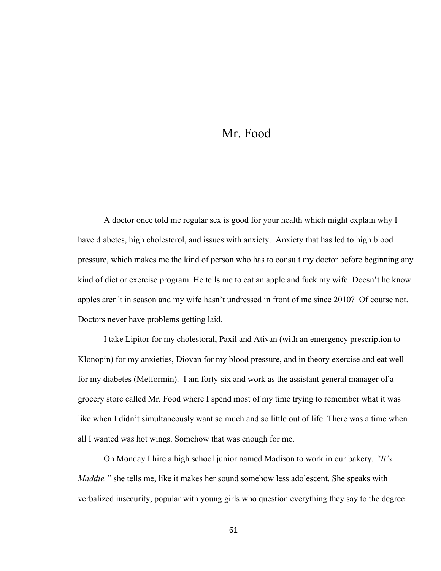# Mr. Food

A doctor once told me regular sex is good for your health which might explain why I have diabetes, high cholesterol, and issues with anxiety. Anxiety that has led to high blood pressure, which makes me the kind of person who has to consult my doctor before beginning any kind of diet or exercise program. He tells me to eat an apple and fuck my wife. Doesn't he know apples aren't in season and my wife hasn't undressed in front of me since 2010? Of course not. Doctors never have problems getting laid.

I take Lipitor for my cholestoral, Paxil and Ativan (with an emergency prescription to Klonopin) for my anxieties, Diovan for my blood pressure, and in theory exercise and eat well for my diabetes (Metformin). I am forty-six and work as the assistant general manager of a grocery store called Mr. Food where I spend most of my time trying to remember what it was like when I didn't simultaneously want so much and so little out of life. There was a time when all I wanted was hot wings. Somehow that was enough for me.

 On Monday I hire a high school junior named Madison to work in our bakery. *"It's Maddie,"* she tells me, like it makes her sound somehow less adolescent. She speaks with verbalized insecurity, popular with young girls who question everything they say to the degree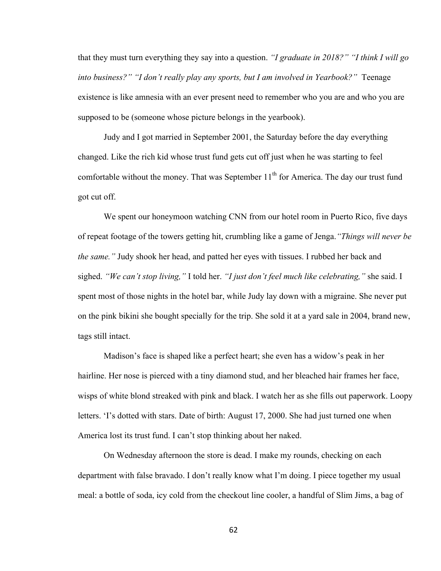that they must turn everything they say into a question. *"I graduate in 2018?" "I think I will go into business?" "I don't really play any sports, but I am involved in Yearbook?"* Teenage existence is like amnesia with an ever present need to remember who you are and who you are supposed to be (someone whose picture belongs in the yearbook).

Judy and I got married in September 2001, the Saturday before the day everything changed. Like the rich kid whose trust fund gets cut off just when he was starting to feel comfortable without the money. That was September  $11<sup>th</sup>$  for America. The day our trust fund got cut off.

We spent our honeymoon watching CNN from our hotel room in Puerto Rico, five days of repeat footage of the towers getting hit, crumbling like a game of Jenga.*"Things will never be the same."* Judy shook her head, and patted her eyes with tissues. I rubbed her back and sighed. *"We can't stop living,"* I told her. *"I just don't feel much like celebrating,"* she said. I spent most of those nights in the hotel bar, while Judy lay down with a migraine. She never put on the pink bikini she bought specially for the trip. She sold it at a yard sale in 2004, brand new, tags still intact.

Madison's face is shaped like a perfect heart; she even has a widow's peak in her hairline. Her nose is pierced with a tiny diamond stud, and her bleached hair frames her face, wisps of white blond streaked with pink and black. I watch her as she fills out paperwork. Loopy letters. 'I's dotted with stars. Date of birth: August 17, 2000. She had just turned one when America lost its trust fund. I can't stop thinking about her naked.

On Wednesday afternoon the store is dead. I make my rounds, checking on each department with false bravado. I don't really know what I'm doing. I piece together my usual meal: a bottle of soda, icy cold from the checkout line cooler, a handful of Slim Jims, a bag of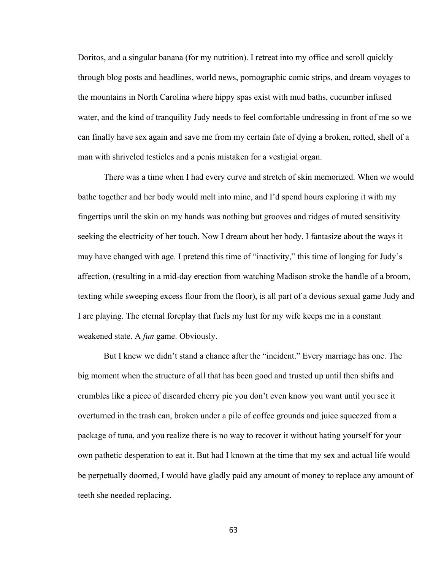Doritos, and a singular banana (for my nutrition). I retreat into my office and scroll quickly through blog posts and headlines, world news, pornographic comic strips, and dream voyages to the mountains in North Carolina where hippy spas exist with mud baths, cucumber infused water, and the kind of tranquility Judy needs to feel comfortable undressing in front of me so we can finally have sex again and save me from my certain fate of dying a broken, rotted, shell of a man with shriveled testicles and a penis mistaken for a vestigial organ.

There was a time when I had every curve and stretch of skin memorized. When we would bathe together and her body would melt into mine, and I'd spend hours exploring it with my fingertips until the skin on my hands was nothing but grooves and ridges of muted sensitivity seeking the electricity of her touch. Now I dream about her body. I fantasize about the ways it may have changed with age. I pretend this time of "inactivity," this time of longing for Judy's affection, (resulting in a mid-day erection from watching Madison stroke the handle of a broom, texting while sweeping excess flour from the floor), is all part of a devious sexual game Judy and I are playing. The eternal foreplay that fuels my lust for my wife keeps me in a constant weakened state. A *fun* game. Obviously.

But I knew we didn't stand a chance after the "incident." Every marriage has one. The big moment when the structure of all that has been good and trusted up until then shifts and crumbles like a piece of discarded cherry pie you don't even know you want until you see it overturned in the trash can, broken under a pile of coffee grounds and juice squeezed from a package of tuna, and you realize there is no way to recover it without hating yourself for your own pathetic desperation to eat it. But had I known at the time that my sex and actual life would be perpetually doomed, I would have gladly paid any amount of money to replace any amount of teeth she needed replacing.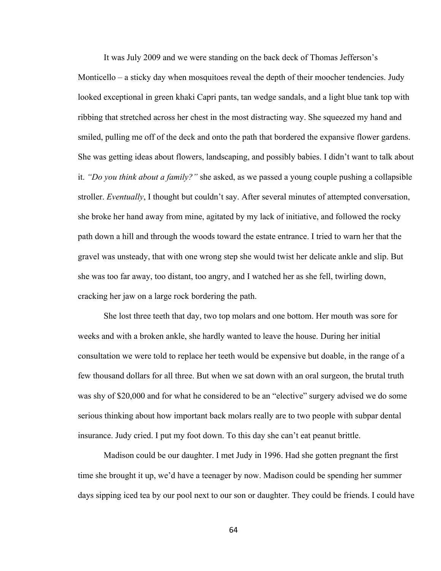It was July 2009 and we were standing on the back deck of Thomas Jefferson's Monticello – a sticky day when mosquitoes reveal the depth of their moocher tendencies. Judy looked exceptional in green khaki Capri pants, tan wedge sandals, and a light blue tank top with ribbing that stretched across her chest in the most distracting way. She squeezed my hand and smiled, pulling me off of the deck and onto the path that bordered the expansive flower gardens. She was getting ideas about flowers, landscaping, and possibly babies. I didn't want to talk about it. *"Do you think about a family?"* she asked, as we passed a young couple pushing a collapsible stroller. *Eventually*, I thought but couldn't say. After several minutes of attempted conversation, she broke her hand away from mine, agitated by my lack of initiative, and followed the rocky path down a hill and through the woods toward the estate entrance. I tried to warn her that the gravel was unsteady, that with one wrong step she would twist her delicate ankle and slip. But she was too far away, too distant, too angry, and I watched her as she fell, twirling down, cracking her jaw on a large rock bordering the path.

She lost three teeth that day, two top molars and one bottom. Her mouth was sore for weeks and with a broken ankle, she hardly wanted to leave the house. During her initial consultation we were told to replace her teeth would be expensive but doable, in the range of a few thousand dollars for all three. But when we sat down with an oral surgeon, the brutal truth was shy of \$20,000 and for what he considered to be an "elective" surgery advised we do some serious thinking about how important back molars really are to two people with subpar dental insurance. Judy cried. I put my foot down. To this day she can't eat peanut brittle.

Madison could be our daughter. I met Judy in 1996. Had she gotten pregnant the first time she brought it up, we'd have a teenager by now. Madison could be spending her summer days sipping iced tea by our pool next to our son or daughter. They could be friends. I could have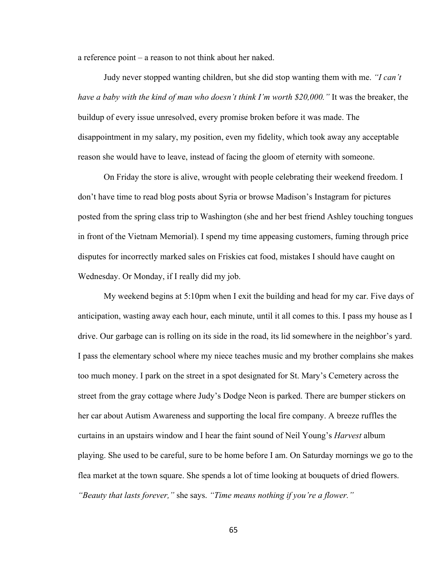a reference point – a reason to not think about her naked.

Judy never stopped wanting children, but she did stop wanting them with me. *"I can't have a baby with the kind of man who doesn't think I'm worth \$20,000."* It was the breaker, the buildup of every issue unresolved, every promise broken before it was made. The disappointment in my salary, my position, even my fidelity, which took away any acceptable reason she would have to leave, instead of facing the gloom of eternity with someone.

On Friday the store is alive, wrought with people celebrating their weekend freedom. I don't have time to read blog posts about Syria or browse Madison's Instagram for pictures posted from the spring class trip to Washington (she and her best friend Ashley touching tongues in front of the Vietnam Memorial). I spend my time appeasing customers, fuming through price disputes for incorrectly marked sales on Friskies cat food, mistakes I should have caught on Wednesday. Or Monday, if I really did my job.

My weekend begins at 5:10pm when I exit the building and head for my car. Five days of anticipation, wasting away each hour, each minute, until it all comes to this. I pass my house as I drive. Our garbage can is rolling on its side in the road, its lid somewhere in the neighbor's yard. I pass the elementary school where my niece teaches music and my brother complains she makes too much money. I park on the street in a spot designated for St. Mary's Cemetery across the street from the gray cottage where Judy's Dodge Neon is parked. There are bumper stickers on her car about Autism Awareness and supporting the local fire company. A breeze ruffles the curtains in an upstairs window and I hear the faint sound of Neil Young's *Harvest* album playing. She used to be careful, sure to be home before I am. On Saturday mornings we go to the flea market at the town square. She spends a lot of time looking at bouquets of dried flowers. *"Beauty that lasts forever,"* she says. *"Time means nothing if you're a flower."*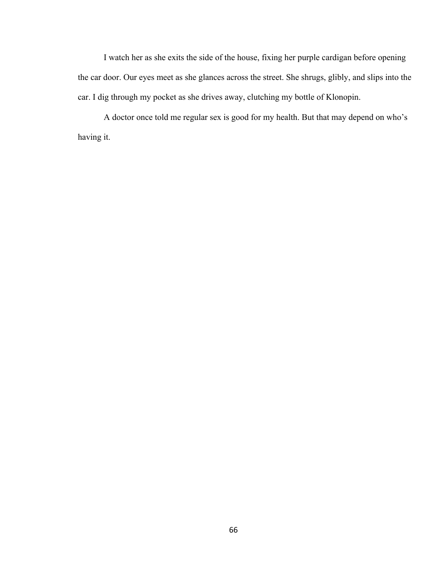I watch her as she exits the side of the house, fixing her purple cardigan before opening the car door. Our eyes meet as she glances across the street. She shrugs, glibly, and slips into the car. I dig through my pocket as she drives away, clutching my bottle of Klonopin.

A doctor once told me regular sex is good for my health. But that may depend on who's having it.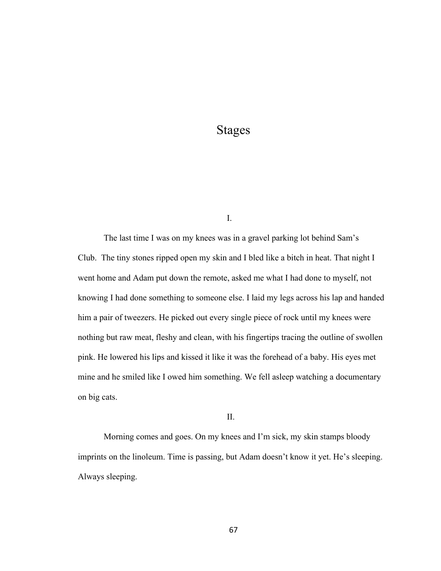# Stages

I.

The last time I was on my knees was in a gravel parking lot behind Sam's Club. The tiny stones ripped open my skin and I bled like a bitch in heat. That night I went home and Adam put down the remote, asked me what I had done to myself, not knowing I had done something to someone else. I laid my legs across his lap and handed him a pair of tweezers. He picked out every single piece of rock until my knees were nothing but raw meat, fleshy and clean, with his fingertips tracing the outline of swollen pink. He lowered his lips and kissed it like it was the forehead of a baby. His eyes met mine and he smiled like I owed him something. We fell asleep watching a documentary on big cats.

II.

Morning comes and goes. On my knees and I'm sick, my skin stamps bloody imprints on the linoleum. Time is passing, but Adam doesn't know it yet. He's sleeping. Always sleeping.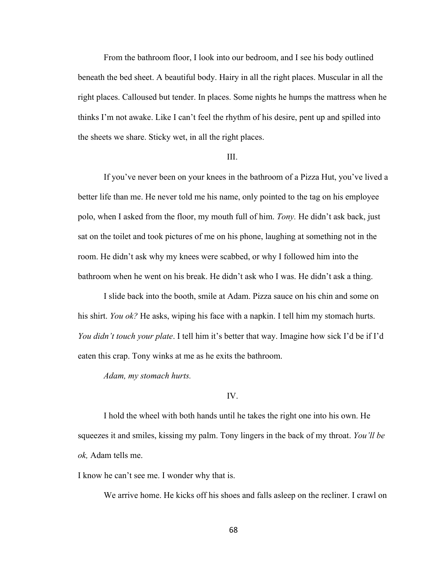From the bathroom floor, I look into our bedroom, and I see his body outlined beneath the bed sheet. A beautiful body. Hairy in all the right places. Muscular in all the right places. Calloused but tender. In places. Some nights he humps the mattress when he thinks I'm not awake. Like I can't feel the rhythm of his desire, pent up and spilled into the sheets we share. Sticky wet, in all the right places.

### III.

If you've never been on your knees in the bathroom of a Pizza Hut, you've lived a better life than me. He never told me his name, only pointed to the tag on his employee polo, when I asked from the floor, my mouth full of him. *Tony.* He didn't ask back, just sat on the toilet and took pictures of me on his phone, laughing at something not in the room. He didn't ask why my knees were scabbed, or why I followed him into the bathroom when he went on his break. He didn't ask who I was. He didn't ask a thing.

I slide back into the booth, smile at Adam. Pizza sauce on his chin and some on his shirt. *You ok?* He asks, wiping his face with a napkin. I tell him my stomach hurts. *You didn't touch your plate*. I tell him it's better that way. Imagine how sick I'd be if I'd eaten this crap. Tony winks at me as he exits the bathroom.

*Adam, my stomach hurts.*

#### IV.

I hold the wheel with both hands until he takes the right one into his own. He squeezes it and smiles, kissing my palm. Tony lingers in the back of my throat. *You'll be ok,* Adam tells me.

I know he can't see me. I wonder why that is.

We arrive home. He kicks off his shoes and falls asleep on the recliner. I crawl on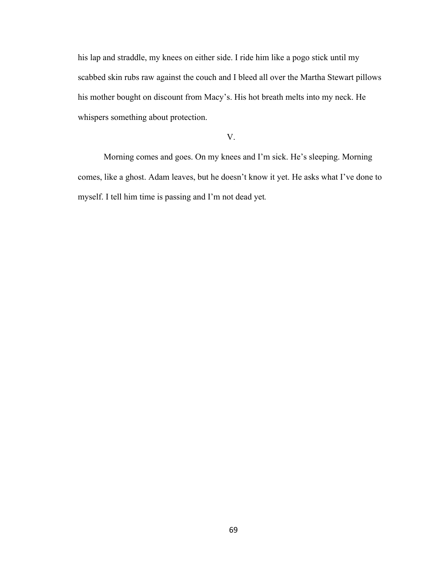his lap and straddle, my knees on either side. I ride him like a pogo stick until my scabbed skin rubs raw against the couch and I bleed all over the Martha Stewart pillows his mother bought on discount from Macy's. His hot breath melts into my neck. He whispers something about protection.

# V.

Morning comes and goes. On my knees and I'm sick. He's sleeping. Morning comes, like a ghost. Adam leaves, but he doesn't know it yet. He asks what I've done to myself. I tell him time is passing and I'm not dead yet*.*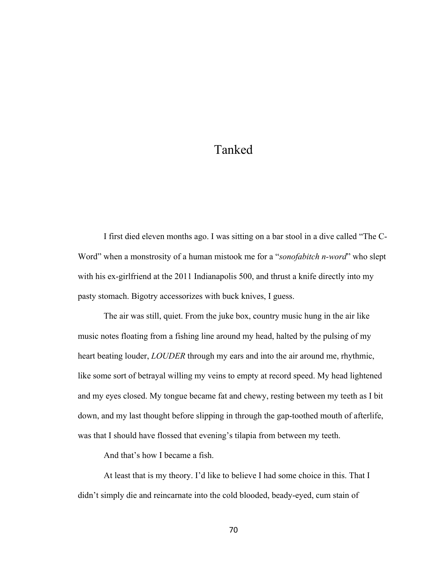# Tanked

I first died eleven months ago. I was sitting on a bar stool in a dive called "The C-Word" when a monstrosity of a human mistook me for a "*sonofabitch n-word*" who slept with his ex-girlfriend at the 2011 Indianapolis 500, and thrust a knife directly into my pasty stomach. Bigotry accessorizes with buck knives, I guess.

The air was still, quiet. From the juke box, country music hung in the air like music notes floating from a fishing line around my head, halted by the pulsing of my heart beating louder, *LOUDER* through my ears and into the air around me, rhythmic, like some sort of betrayal willing my veins to empty at record speed. My head lightened and my eyes closed. My tongue became fat and chewy, resting between my teeth as I bit down, and my last thought before slipping in through the gap-toothed mouth of afterlife, was that I should have flossed that evening's tilapia from between my teeth.

And that's how I became a fish.

At least that is my theory. I'd like to believe I had some choice in this. That I didn't simply die and reincarnate into the cold blooded, beady-eyed, cum stain of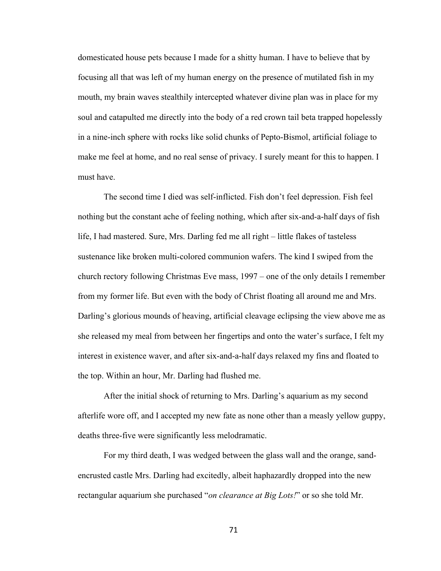domesticated house pets because I made for a shitty human. I have to believe that by focusing all that was left of my human energy on the presence of mutilated fish in my mouth, my brain waves stealthily intercepted whatever divine plan was in place for my soul and catapulted me directly into the body of a red crown tail beta trapped hopelessly in a nine-inch sphere with rocks like solid chunks of Pepto-Bismol, artificial foliage to make me feel at home, and no real sense of privacy. I surely meant for this to happen. I must have.

The second time I died was self-inflicted. Fish don't feel depression. Fish feel nothing but the constant ache of feeling nothing, which after six-and-a-half days of fish life, I had mastered. Sure, Mrs. Darling fed me all right – little flakes of tasteless sustenance like broken multi-colored communion wafers. The kind I swiped from the church rectory following Christmas Eve mass, 1997 – one of the only details I remember from my former life. But even with the body of Christ floating all around me and Mrs. Darling's glorious mounds of heaving, artificial cleavage eclipsing the view above me as she released my meal from between her fingertips and onto the water's surface, I felt my interest in existence waver, and after six-and-a-half days relaxed my fins and floated to the top. Within an hour, Mr. Darling had flushed me.

After the initial shock of returning to Mrs. Darling's aquarium as my second afterlife wore off, and I accepted my new fate as none other than a measly yellow guppy, deaths three-five were significantly less melodramatic.

For my third death, I was wedged between the glass wall and the orange, sandencrusted castle Mrs. Darling had excitedly, albeit haphazardly dropped into the new rectangular aquarium she purchased "*on clearance at Big Lots!*" or so she told Mr.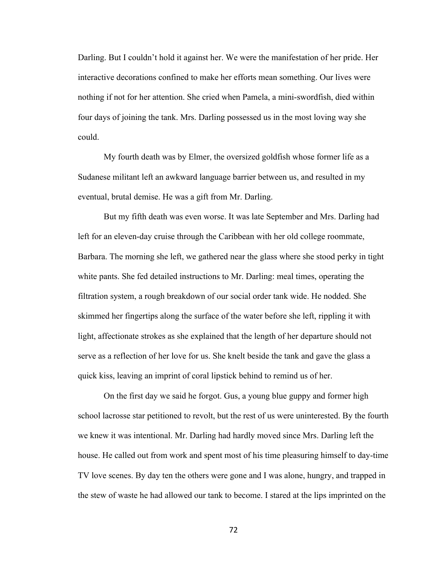Darling. But I couldn't hold it against her. We were the manifestation of her pride. Her interactive decorations confined to make her efforts mean something. Our lives were nothing if not for her attention. She cried when Pamela, a mini-swordfish, died within four days of joining the tank. Mrs. Darling possessed us in the most loving way she could.

My fourth death was by Elmer, the oversized goldfish whose former life as a Sudanese militant left an awkward language barrier between us, and resulted in my eventual, brutal demise. He was a gift from Mr. Darling.

But my fifth death was even worse. It was late September and Mrs. Darling had left for an eleven-day cruise through the Caribbean with her old college roommate, Barbara. The morning she left, we gathered near the glass where she stood perky in tight white pants. She fed detailed instructions to Mr. Darling: meal times, operating the filtration system, a rough breakdown of our social order tank wide. He nodded. She skimmed her fingertips along the surface of the water before she left, rippling it with light, affectionate strokes as she explained that the length of her departure should not serve as a reflection of her love for us. She knelt beside the tank and gave the glass a quick kiss, leaving an imprint of coral lipstick behind to remind us of her.

On the first day we said he forgot. Gus, a young blue guppy and former high school lacrosse star petitioned to revolt, but the rest of us were uninterested. By the fourth we knew it was intentional. Mr. Darling had hardly moved since Mrs. Darling left the house. He called out from work and spent most of his time pleasuring himself to day-time TV love scenes. By day ten the others were gone and I was alone, hungry, and trapped in the stew of waste he had allowed our tank to become. I stared at the lips imprinted on the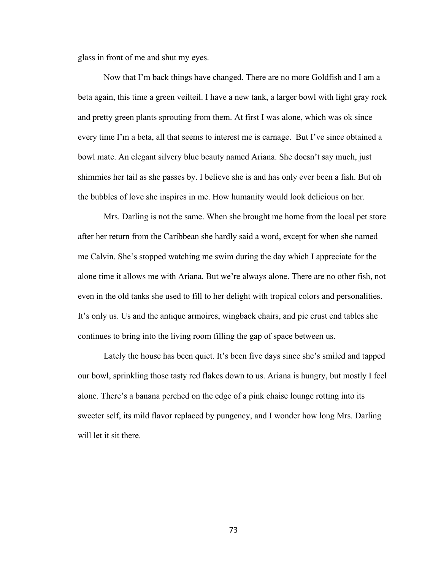glass in front of me and shut my eyes.

Now that I'm back things have changed. There are no more Goldfish and I am a beta again, this time a green veilteil. I have a new tank, a larger bowl with light gray rock and pretty green plants sprouting from them. At first I was alone, which was ok since every time I'm a beta, all that seems to interest me is carnage. But I've since obtained a bowl mate. An elegant silvery blue beauty named Ariana. She doesn't say much, just shimmies her tail as she passes by. I believe she is and has only ever been a fish. But oh the bubbles of love she inspires in me. How humanity would look delicious on her.

Mrs. Darling is not the same. When she brought me home from the local pet store after her return from the Caribbean she hardly said a word, except for when she named me Calvin. She's stopped watching me swim during the day which I appreciate for the alone time it allows me with Ariana. But we're always alone. There are no other fish, not even in the old tanks she used to fill to her delight with tropical colors and personalities. It's only us. Us and the antique armoires, wingback chairs, and pie crust end tables she continues to bring into the living room filling the gap of space between us.

Lately the house has been quiet. It's been five days since she's smiled and tapped our bowl, sprinkling those tasty red flakes down to us. Ariana is hungry, but mostly I feel alone. There's a banana perched on the edge of a pink chaise lounge rotting into its sweeter self, its mild flavor replaced by pungency, and I wonder how long Mrs. Darling will let it sit there.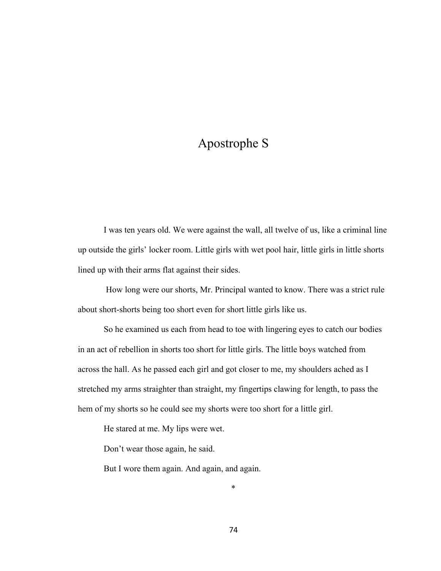# Apostrophe S

I was ten years old. We were against the wall, all twelve of us, like a criminal line up outside the girls' locker room. Little girls with wet pool hair, little girls in little shorts lined up with their arms flat against their sides.

How long were our shorts, Mr. Principal wanted to know. There was a strict rule about short-shorts being too short even for short little girls like us.

So he examined us each from head to toe with lingering eyes to catch our bodies in an act of rebellion in shorts too short for little girls. The little boys watched from across the hall. As he passed each girl and got closer to me, my shoulders ached as I stretched my arms straighter than straight, my fingertips clawing for length, to pass the hem of my shorts so he could see my shorts were too short for a little girl.

He stared at me. My lips were wet.

Don't wear those again, he said.

But I wore them again. And again, and again.

\*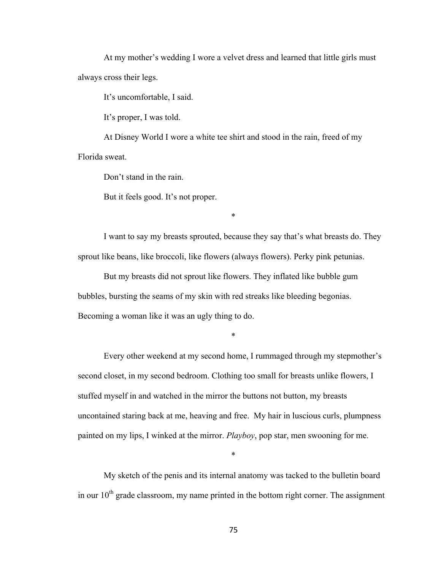At my mother's wedding I wore a velvet dress and learned that little girls must always cross their legs.

It's uncomfortable, I said.

It's proper, I was told.

At Disney World I wore a white tee shirt and stood in the rain, freed of my Florida sweat.

Don't stand in the rain.

But it feels good. It's not proper.

I want to say my breasts sprouted, because they say that's what breasts do. They sprout like beans, like broccoli, like flowers (always flowers). Perky pink petunias.

\*

But my breasts did not sprout like flowers. They inflated like bubble gum bubbles, bursting the seams of my skin with red streaks like bleeding begonias. Becoming a woman like it was an ugly thing to do.

\*

Every other weekend at my second home, I rummaged through my stepmother's second closet, in my second bedroom. Clothing too small for breasts unlike flowers, I stuffed myself in and watched in the mirror the buttons not button, my breasts uncontained staring back at me, heaving and free. My hair in luscious curls, plumpness painted on my lips, I winked at the mirror. *Playboy*, pop star, men swooning for me.

My sketch of the penis and its internal anatomy was tacked to the bulletin board in our  $10<sup>th</sup>$  grade classroom, my name printed in the bottom right corner. The assignment

\*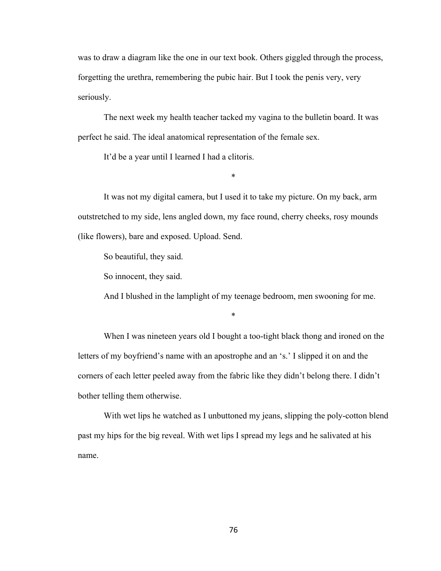was to draw a diagram like the one in our text book. Others giggled through the process, forgetting the urethra, remembering the pubic hair. But I took the penis very, very seriously.

The next week my health teacher tacked my vagina to the bulletin board. It was perfect he said. The ideal anatomical representation of the female sex.

It'd be a year until I learned I had a clitoris.

\*

It was not my digital camera, but I used it to take my picture. On my back, arm outstretched to my side, lens angled down, my face round, cherry cheeks, rosy mounds (like flowers), bare and exposed. Upload. Send.

So beautiful, they said.

So innocent, they said.

And I blushed in the lamplight of my teenage bedroom, men swooning for me.

\*

When I was nineteen years old I bought a too-tight black thong and ironed on the letters of my boyfriend's name with an apostrophe and an 's.' I slipped it on and the corners of each letter peeled away from the fabric like they didn't belong there. I didn't bother telling them otherwise.

With wet lips he watched as I unbuttoned my jeans, slipping the poly-cotton blend past my hips for the big reveal. With wet lips I spread my legs and he salivated at his name.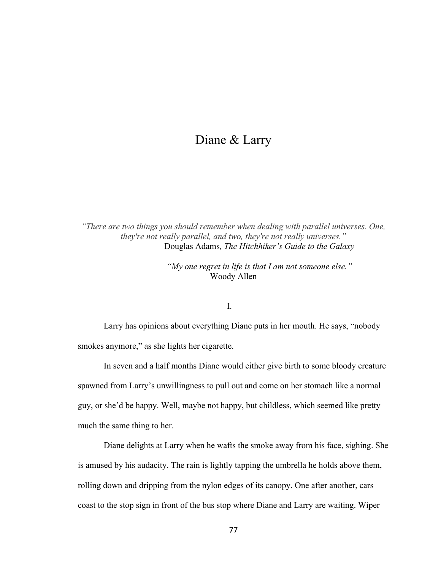# Diane & Larry

*"There are two things you should remember when dealing with parallel universes. One, they're not really parallel, and two, they're not really universes."* Douglas Adams*, The Hitchhiker's Guide to the Galaxy*

> *"My one regret in life is that I am not someone else."* Woody Allen

# I.

Larry has opinions about everything Diane puts in her mouth. He says, "nobody smokes anymore," as she lights her cigarette.

In seven and a half months Diane would either give birth to some bloody creature spawned from Larry's unwillingness to pull out and come on her stomach like a normal guy, or she'd be happy. Well, maybe not happy, but childless, which seemed like pretty much the same thing to her.

Diane delights at Larry when he wafts the smoke away from his face, sighing. She is amused by his audacity. The rain is lightly tapping the umbrella he holds above them, rolling down and dripping from the nylon edges of its canopy. One after another, cars coast to the stop sign in front of the bus stop where Diane and Larry are waiting. Wiper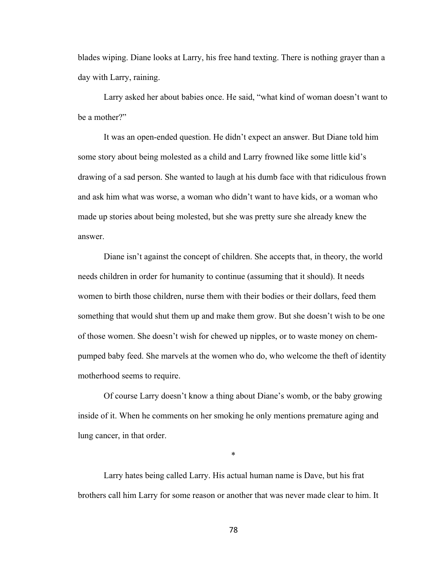blades wiping. Diane looks at Larry, his free hand texting. There is nothing grayer than a day with Larry, raining.

Larry asked her about babies once. He said, "what kind of woman doesn't want to be a mother?"

It was an open-ended question. He didn't expect an answer. But Diane told him some story about being molested as a child and Larry frowned like some little kid's drawing of a sad person. She wanted to laugh at his dumb face with that ridiculous frown and ask him what was worse, a woman who didn't want to have kids, or a woman who made up stories about being molested, but she was pretty sure she already knew the answer.

Diane isn't against the concept of children. She accepts that, in theory, the world needs children in order for humanity to continue (assuming that it should). It needs women to birth those children, nurse them with their bodies or their dollars, feed them something that would shut them up and make them grow. But she doesn't wish to be one of those women. She doesn't wish for chewed up nipples, or to waste money on chempumped baby feed. She marvels at the women who do, who welcome the theft of identity motherhood seems to require.

Of course Larry doesn't know a thing about Diane's womb, or the baby growing inside of it. When he comments on her smoking he only mentions premature aging and lung cancer, in that order.

\*

Larry hates being called Larry. His actual human name is Dave, but his frat brothers call him Larry for some reason or another that was never made clear to him. It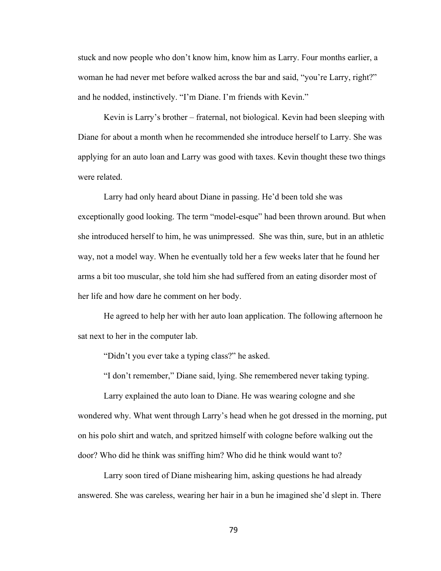stuck and now people who don't know him, know him as Larry. Four months earlier, a woman he had never met before walked across the bar and said, "you're Larry, right?" and he nodded, instinctively. "I'm Diane. I'm friends with Kevin."

Kevin is Larry's brother – fraternal, not biological. Kevin had been sleeping with Diane for about a month when he recommended she introduce herself to Larry. She was applying for an auto loan and Larry was good with taxes. Kevin thought these two things were related.

Larry had only heard about Diane in passing. He'd been told she was exceptionally good looking. The term "model-esque" had been thrown around. But when she introduced herself to him, he was unimpressed. She was thin, sure, but in an athletic way, not a model way. When he eventually told her a few weeks later that he found her arms a bit too muscular, she told him she had suffered from an eating disorder most of her life and how dare he comment on her body.

He agreed to help her with her auto loan application. The following afternoon he sat next to her in the computer lab.

"Didn't you ever take a typing class?" he asked.

"I don't remember," Diane said, lying. She remembered never taking typing.

Larry explained the auto loan to Diane. He was wearing cologne and she wondered why. What went through Larry's head when he got dressed in the morning, put on his polo shirt and watch, and spritzed himself with cologne before walking out the door? Who did he think was sniffing him? Who did he think would want to?

Larry soon tired of Diane mishearing him, asking questions he had already answered. She was careless, wearing her hair in a bun he imagined she'd slept in. There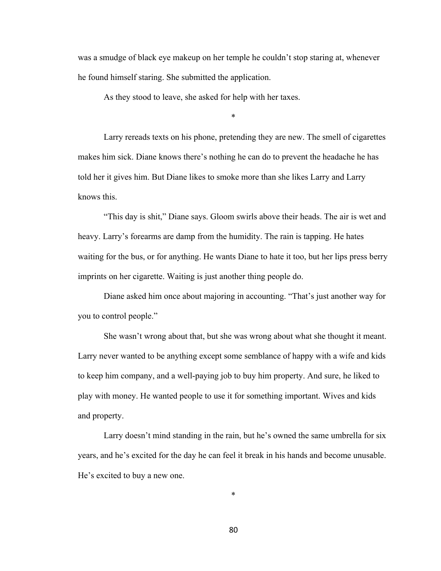was a smudge of black eye makeup on her temple he couldn't stop staring at, whenever he found himself staring. She submitted the application.

As they stood to leave, she asked for help with her taxes.

\*

Larry rereads texts on his phone, pretending they are new. The smell of cigarettes makes him sick. Diane knows there's nothing he can do to prevent the headache he has told her it gives him. But Diane likes to smoke more than she likes Larry and Larry knows this.

"This day is shit," Diane says. Gloom swirls above their heads. The air is wet and heavy. Larry's forearms are damp from the humidity. The rain is tapping. He hates waiting for the bus, or for anything. He wants Diane to hate it too, but her lips press berry imprints on her cigarette. Waiting is just another thing people do.

Diane asked him once about majoring in accounting. "That's just another way for you to control people."

She wasn't wrong about that, but she was wrong about what she thought it meant. Larry never wanted to be anything except some semblance of happy with a wife and kids to keep him company, and a well-paying job to buy him property. And sure, he liked to play with money. He wanted people to use it for something important. Wives and kids and property.

Larry doesn't mind standing in the rain, but he's owned the same umbrella for six years, and he's excited for the day he can feel it break in his hands and become unusable. He's excited to buy a new one.

\*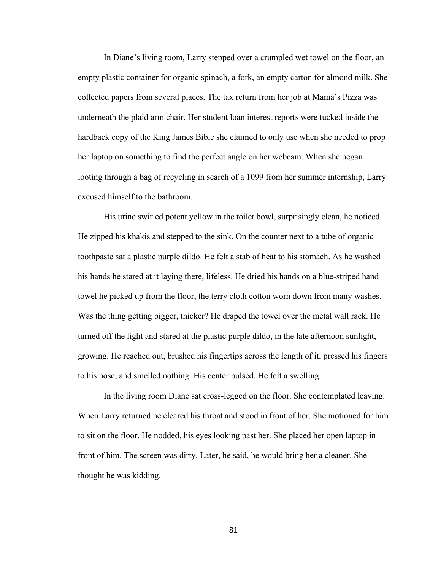In Diane's living room, Larry stepped over a crumpled wet towel on the floor, an empty plastic container for organic spinach, a fork, an empty carton for almond milk. She collected papers from several places. The tax return from her job at Mama's Pizza was underneath the plaid arm chair. Her student loan interest reports were tucked inside the hardback copy of the King James Bible she claimed to only use when she needed to prop her laptop on something to find the perfect angle on her webcam. When she began looting through a bag of recycling in search of a 1099 from her summer internship, Larry excused himself to the bathroom.

His urine swirled potent yellow in the toilet bowl, surprisingly clean, he noticed. He zipped his khakis and stepped to the sink. On the counter next to a tube of organic toothpaste sat a plastic purple dildo. He felt a stab of heat to his stomach. As he washed his hands he stared at it laying there, lifeless. He dried his hands on a blue-striped hand towel he picked up from the floor, the terry cloth cotton worn down from many washes. Was the thing getting bigger, thicker? He draped the towel over the metal wall rack. He turned off the light and stared at the plastic purple dildo, in the late afternoon sunlight, growing. He reached out, brushed his fingertips across the length of it, pressed his fingers to his nose, and smelled nothing. His center pulsed. He felt a swelling.

In the living room Diane sat cross-legged on the floor. She contemplated leaving. When Larry returned he cleared his throat and stood in front of her. She motioned for him to sit on the floor. He nodded, his eyes looking past her. She placed her open laptop in front of him. The screen was dirty. Later, he said, he would bring her a cleaner. She thought he was kidding.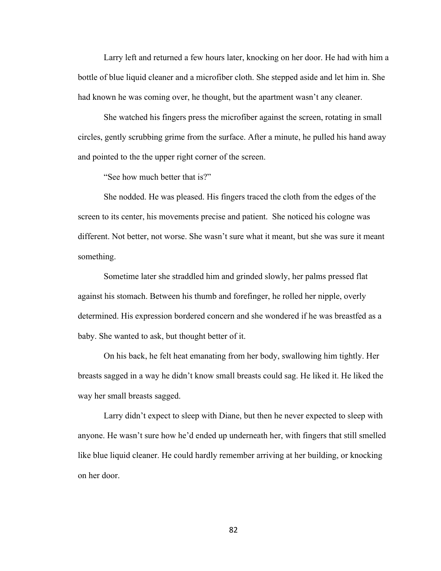Larry left and returned a few hours later, knocking on her door. He had with him a bottle of blue liquid cleaner and a microfiber cloth. She stepped aside and let him in. She had known he was coming over, he thought, but the apartment wasn't any cleaner.

She watched his fingers press the microfiber against the screen, rotating in small circles, gently scrubbing grime from the surface. After a minute, he pulled his hand away and pointed to the the upper right corner of the screen.

"See how much better that is?"

She nodded. He was pleased. His fingers traced the cloth from the edges of the screen to its center, his movements precise and patient. She noticed his cologne was different. Not better, not worse. She wasn't sure what it meant, but she was sure it meant something.

Sometime later she straddled him and grinded slowly, her palms pressed flat against his stomach. Between his thumb and forefinger, he rolled her nipple, overly determined. His expression bordered concern and she wondered if he was breastfed as a baby. She wanted to ask, but thought better of it.

On his back, he felt heat emanating from her body, swallowing him tightly. Her breasts sagged in a way he didn't know small breasts could sag. He liked it. He liked the way her small breasts sagged.

Larry didn't expect to sleep with Diane, but then he never expected to sleep with anyone. He wasn't sure how he'd ended up underneath her, with fingers that still smelled like blue liquid cleaner. He could hardly remember arriving at her building, or knocking on her door.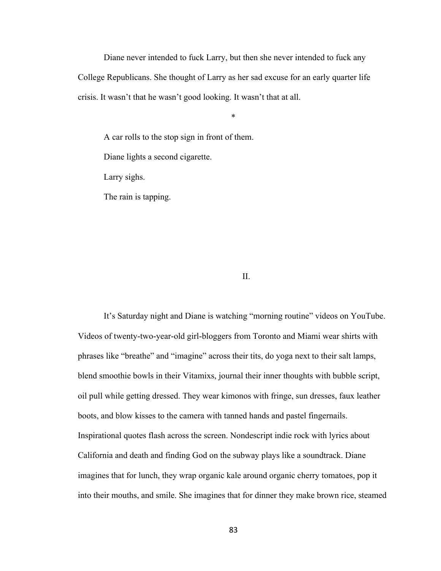Diane never intended to fuck Larry, but then she never intended to fuck any College Republicans. She thought of Larry as her sad excuse for an early quarter life crisis. It wasn't that he wasn't good looking. It wasn't that at all.

\*

A car rolls to the stop sign in front of them. Diane lights a second cigarette. Larry sighs. The rain is tapping.

II.

It's Saturday night and Diane is watching "morning routine" videos on YouTube. Videos of twenty-two-year-old girl-bloggers from Toronto and Miami wear shirts with phrases like "breathe" and "imagine" across their tits, do yoga next to their salt lamps, blend smoothie bowls in their Vitamixs, journal their inner thoughts with bubble script, oil pull while getting dressed. They wear kimonos with fringe, sun dresses, faux leather boots, and blow kisses to the camera with tanned hands and pastel fingernails. Inspirational quotes flash across the screen. Nondescript indie rock with lyrics about California and death and finding God on the subway plays like a soundtrack. Diane imagines that for lunch, they wrap organic kale around organic cherry tomatoes, pop it into their mouths, and smile. She imagines that for dinner they make brown rice, steamed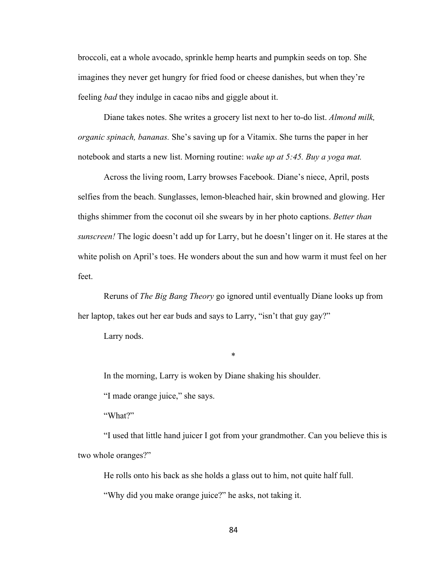broccoli, eat a whole avocado, sprinkle hemp hearts and pumpkin seeds on top. She imagines they never get hungry for fried food or cheese danishes, but when they're feeling *bad* they indulge in cacao nibs and giggle about it.

Diane takes notes. She writes a grocery list next to her to-do list. *Almond milk, organic spinach, bananas.* She's saving up for a Vitamix. She turns the paper in her notebook and starts a new list. Morning routine: *wake up at 5:45. Buy a yoga mat.*

Across the living room, Larry browses Facebook. Diane's niece, April, posts selfies from the beach. Sunglasses, lemon-bleached hair, skin browned and glowing. Her thighs shimmer from the coconut oil she swears by in her photo captions. *Better than sunscreen!* The logic doesn't add up for Larry, but he doesn't linger on it. He stares at the white polish on April's toes. He wonders about the sun and how warm it must feel on her feet.

Reruns of *The Big Bang Theory* go ignored until eventually Diane looks up from her laptop, takes out her ear buds and says to Larry, "isn't that guy gay?"

\*

Larry nods.

In the morning, Larry is woken by Diane shaking his shoulder.

"I made orange juice," she says.

"What?"

"I used that little hand juicer I got from your grandmother. Can you believe this is two whole oranges?"

He rolls onto his back as she holds a glass out to him, not quite half full.

"Why did you make orange juice?" he asks, not taking it.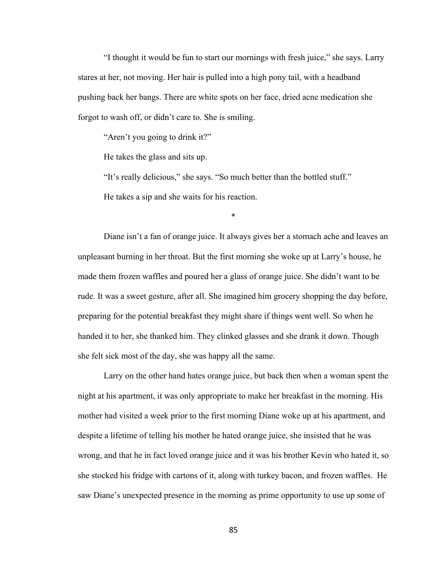"I thought it would be fun to start our mornings with fresh juice," she says. Larry stares at her, not moving. Her hair is pulled into a high pony tail, with a headband pushing back her bangs. There are white spots on her face, dried acne medication she forgot to wash off, or didn't care to. She is smiling.

"Aren't you going to drink it?"

He takes the glass and sits up.

"It's really delicious," she says. "So much better than the bottled stuff." He takes a sip and she waits for his reaction.

\*

Diane isn't a fan of orange juice. It always gives her a stomach ache and leaves an unpleasant burning in her throat. But the first morning she woke up at Larry's house, he made them frozen waffles and poured her a glass of orange juice. She didn't want to be rude. It was a sweet gesture, after all. She imagined him grocery shopping the day before, preparing for the potential breakfast they might share if things went well. So when he handed it to her, she thanked him. They clinked glasses and she drank it down. Though she felt sick most of the day, she was happy all the same.

Larry on the other hand hates orange juice, but back then when a woman spent the night at his apartment, it was only appropriate to make her breakfast in the morning. His mother had visited a week prior to the first morning Diane woke up at his apartment, and despite a lifetime of telling his mother he hated orange juice, she insisted that he was wrong, and that he in fact loved orange juice and it was his brother Kevin who hated it, so she stocked his fridge with cartons of it, along with turkey bacon, and frozen waffles. He saw Diane's unexpected presence in the morning as prime opportunity to use up some of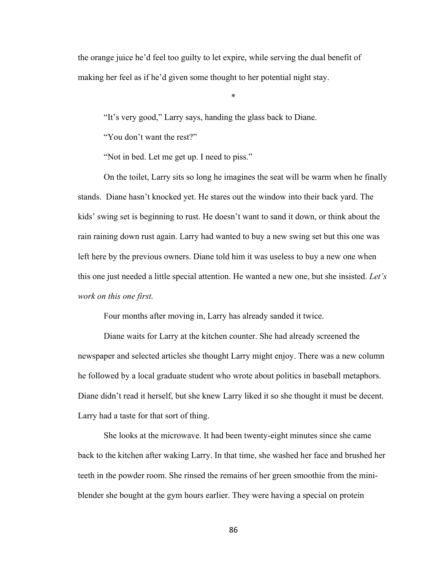the orange juice he'd feel too guilty to let expire, while serving the dual benefit of making her feel as if he'd given some thought to her potential night stay.

\*

"It's very good," Larry says, handing the glass back to Diane.

"You don't want the rest?"

"Not in bed. Let me get up. I need to piss."

On the toilet, Larry sits so long he imagines the seat will be warm when he finally stands. Diane hasn't knocked yet. He stares out the window into their back yard. The kids' swing set is beginning to rust. He doesn't want to sand it down, or think about the rain raining down rust again. Larry had wanted to buy a new swing set but this one was left here by the previous owners. Diane told him it was useless to buy a new one when this one just needed a little special attention. He wanted a new one, but she insisted. *Let's work on this one first.* 

Four months after moving in, Larry has already sanded it twice.

Diane waits for Larry at the kitchen counter. She had already screened the newspaper and selected articles she thought Larry might enjoy. There was a new column he followed by a local graduate student who wrote about politics in baseball metaphors. Diane didn't read it herself, but she knew Larry liked it so she thought it must be decent. Larry had a taste for that sort of thing.

She looks at the microwave. It had been twenty-eight minutes since she came back to the kitchen after waking Larry. In that time, she washed her face and brushed her teeth in the powder room. She rinsed the remains of her green smoothie from the miniblender she bought at the gym hours earlier. They were having a special on protein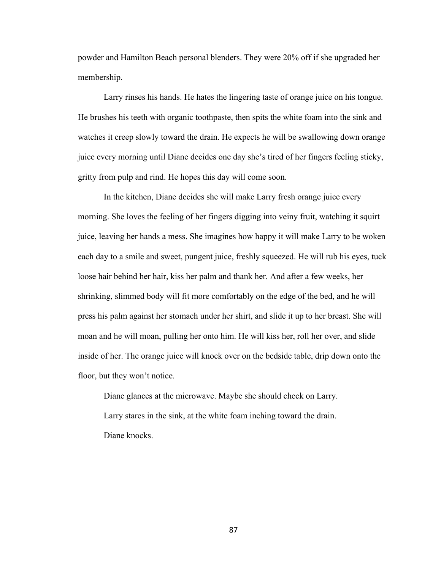powder and Hamilton Beach personal blenders. They were 20% off if she upgraded her membership.

Larry rinses his hands. He hates the lingering taste of orange juice on his tongue. He brushes his teeth with organic toothpaste, then spits the white foam into the sink and watches it creep slowly toward the drain. He expects he will be swallowing down orange juice every morning until Diane decides one day she's tired of her fingers feeling sticky, gritty from pulp and rind. He hopes this day will come soon.

In the kitchen, Diane decides she will make Larry fresh orange juice every morning. She loves the feeling of her fingers digging into veiny fruit, watching it squirt juice, leaving her hands a mess. She imagines how happy it will make Larry to be woken each day to a smile and sweet, pungent juice, freshly squeezed. He will rub his eyes, tuck loose hair behind her hair, kiss her palm and thank her. And after a few weeks, her shrinking, slimmed body will fit more comfortably on the edge of the bed, and he will press his palm against her stomach under her shirt, and slide it up to her breast. She will moan and he will moan, pulling her onto him. He will kiss her, roll her over, and slide inside of her. The orange juice will knock over on the bedside table, drip down onto the floor, but they won't notice.

Diane glances at the microwave. Maybe she should check on Larry. Larry stares in the sink, at the white foam inching toward the drain. Diane knocks.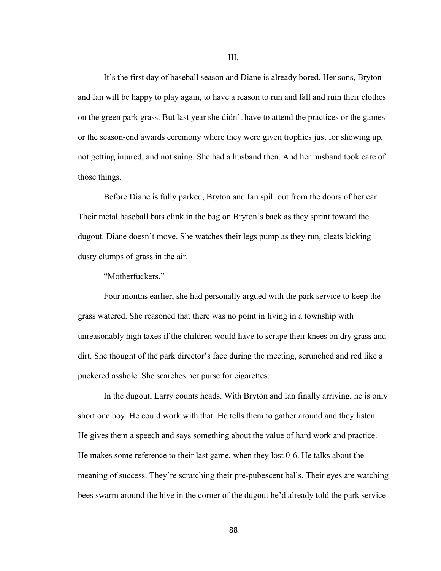It's the first day of baseball season and Diane is already bored. Her sons, Bryton and Ian will be happy to play again, to have a reason to run and fall and ruin their clothes on the green park grass. But last year she didn't have to attend the practices or the games or the season-end awards ceremony where they were given trophies just for showing up, not getting injured, and not suing. She had a husband then. And her husband took care of those things.

Before Diane is fully parked, Bryton and Ian spill out from the doors of her car. Their metal baseball bats clink in the bag on Bryton's back as they sprint toward the dugout. Diane doesn't move. She watches their legs pump as they run, cleats kicking dusty clumps of grass in the air.

"Motherfuckers."

Four months earlier, she had personally argued with the park service to keep the grass watered. She reasoned that there was no point in living in a township with unreasonably high taxes if the children would have to scrape their knees on dry grass and dirt. She thought of the park director's face during the meeting, scrunched and red like a puckered asshole. She searches her purse for cigarettes.

In the dugout, Larry counts heads. With Bryton and Ian finally arriving, he is only short one boy. He could work with that. He tells them to gather around and they listen. He gives them a speech and says something about the value of hard work and practice. He makes some reference to their last game, when they lost 0-6. He talks about the meaning of success. They're scratching their pre-pubescent balls. Their eyes are watching bees swarm around the hive in the corner of the dugout he'd already told the park service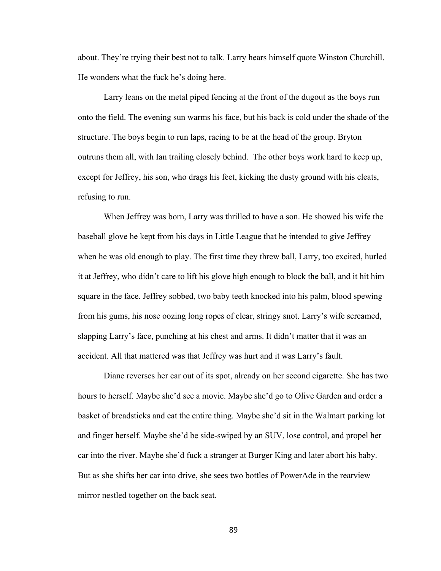about. They're trying their best not to talk. Larry hears himself quote Winston Churchill. He wonders what the fuck he's doing here.

Larry leans on the metal piped fencing at the front of the dugout as the boys run onto the field. The evening sun warms his face, but his back is cold under the shade of the structure. The boys begin to run laps, racing to be at the head of the group. Bryton outruns them all, with Ian trailing closely behind. The other boys work hard to keep up, except for Jeffrey, his son, who drags his feet, kicking the dusty ground with his cleats, refusing to run.

When Jeffrey was born, Larry was thrilled to have a son. He showed his wife the baseball glove he kept from his days in Little League that he intended to give Jeffrey when he was old enough to play. The first time they threw ball, Larry, too excited, hurled it at Jeffrey, who didn't care to lift his glove high enough to block the ball, and it hit him square in the face. Jeffrey sobbed, two baby teeth knocked into his palm, blood spewing from his gums, his nose oozing long ropes of clear, stringy snot. Larry's wife screamed, slapping Larry's face, punching at his chest and arms. It didn't matter that it was an accident. All that mattered was that Jeffrey was hurt and it was Larry's fault.

Diane reverses her car out of its spot, already on her second cigarette. She has two hours to herself. Maybe she'd see a movie. Maybe she'd go to Olive Garden and order a basket of breadsticks and eat the entire thing. Maybe she'd sit in the Walmart parking lot and finger herself. Maybe she'd be side-swiped by an SUV, lose control, and propel her car into the river. Maybe she'd fuck a stranger at Burger King and later abort his baby. But as she shifts her car into drive, she sees two bottles of PowerAde in the rearview mirror nestled together on the back seat.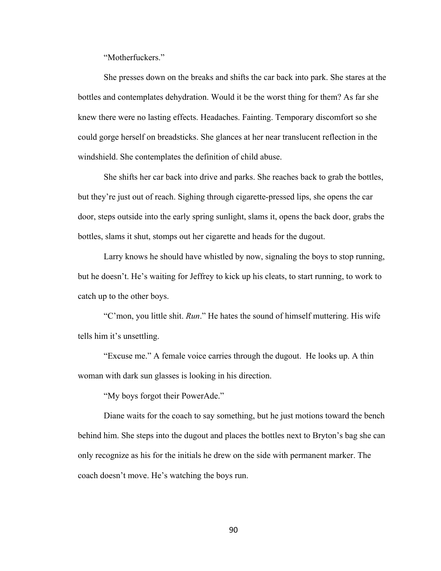"Motherfuckers."

She presses down on the breaks and shifts the car back into park. She stares at the bottles and contemplates dehydration. Would it be the worst thing for them? As far she knew there were no lasting effects. Headaches. Fainting. Temporary discomfort so she could gorge herself on breadsticks. She glances at her near translucent reflection in the windshield. She contemplates the definition of child abuse.

She shifts her car back into drive and parks. She reaches back to grab the bottles, but they're just out of reach. Sighing through cigarette-pressed lips, she opens the car door, steps outside into the early spring sunlight, slams it, opens the back door, grabs the bottles, slams it shut, stomps out her cigarette and heads for the dugout.

Larry knows he should have whistled by now, signaling the boys to stop running, but he doesn't. He's waiting for Jeffrey to kick up his cleats, to start running, to work to catch up to the other boys.

"C'mon, you little shit. *Run*." He hates the sound of himself muttering. His wife tells him it's unsettling.

"Excuse me." A female voice carries through the dugout. He looks up. A thin woman with dark sun glasses is looking in his direction.

"My boys forgot their PowerAde."

Diane waits for the coach to say something, but he just motions toward the bench behind him. She steps into the dugout and places the bottles next to Bryton's bag she can only recognize as his for the initials he drew on the side with permanent marker. The coach doesn't move. He's watching the boys run.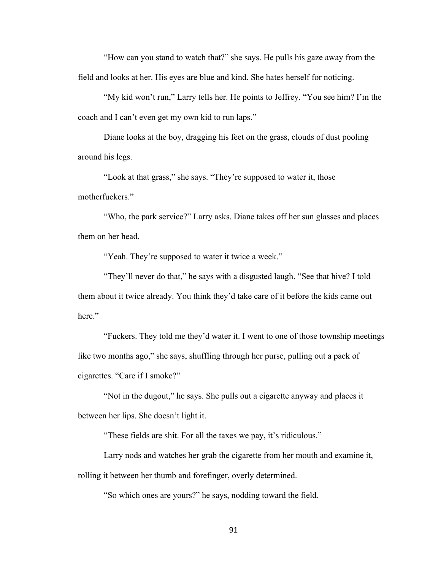"How can you stand to watch that?" she says. He pulls his gaze away from the field and looks at her. His eyes are blue and kind. She hates herself for noticing.

"My kid won't run," Larry tells her. He points to Jeffrey. "You see him? I'm the coach and I can't even get my own kid to run laps."

Diane looks at the boy, dragging his feet on the grass, clouds of dust pooling around his legs.

"Look at that grass," she says. "They're supposed to water it, those motherfuckers."

"Who, the park service?" Larry asks. Diane takes off her sun glasses and places them on her head.

"Yeah. They're supposed to water it twice a week."

"They'll never do that," he says with a disgusted laugh. "See that hive? I told them about it twice already. You think they'd take care of it before the kids came out here"

"Fuckers. They told me they'd water it. I went to one of those township meetings like two months ago," she says, shuffling through her purse, pulling out a pack of cigarettes. "Care if I smoke?"

"Not in the dugout," he says. She pulls out a cigarette anyway and places it between her lips. She doesn't light it.

"These fields are shit. For all the taxes we pay, it's ridiculous."

Larry nods and watches her grab the cigarette from her mouth and examine it, rolling it between her thumb and forefinger, overly determined.

"So which ones are yours?" he says, nodding toward the field.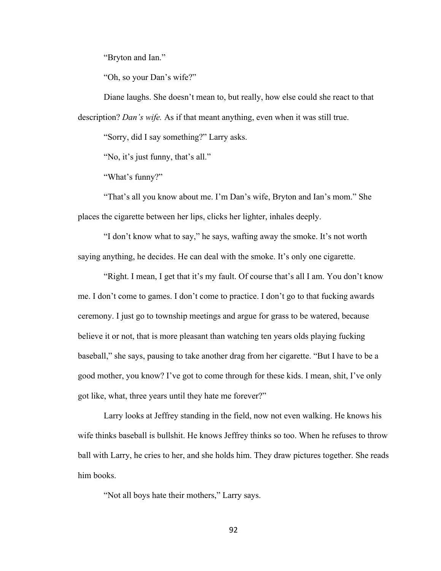"Bryton and Ian."

"Oh, so your Dan's wife?"

Diane laughs. She doesn't mean to, but really, how else could she react to that description? *Dan's wife.* As if that meant anything, even when it was still true.

"Sorry, did I say something?" Larry asks.

"No, it's just funny, that's all."

"What's funny?"

"That's all you know about me. I'm Dan's wife, Bryton and Ian's mom." She places the cigarette between her lips, clicks her lighter, inhales deeply.

"I don't know what to say," he says, wafting away the smoke. It's not worth saying anything, he decides. He can deal with the smoke. It's only one cigarette.

"Right. I mean, I get that it's my fault. Of course that's all I am. You don't know me. I don't come to games. I don't come to practice. I don't go to that fucking awards ceremony. I just go to township meetings and argue for grass to be watered, because believe it or not, that is more pleasant than watching ten years olds playing fucking baseball," she says, pausing to take another drag from her cigarette. "But I have to be a good mother, you know? I've got to come through for these kids. I mean, shit, I've only got like, what, three years until they hate me forever?"

Larry looks at Jeffrey standing in the field, now not even walking. He knows his wife thinks baseball is bullshit. He knows Jeffrey thinks so too. When he refuses to throw ball with Larry, he cries to her, and she holds him. They draw pictures together. She reads him books.

"Not all boys hate their mothers," Larry says.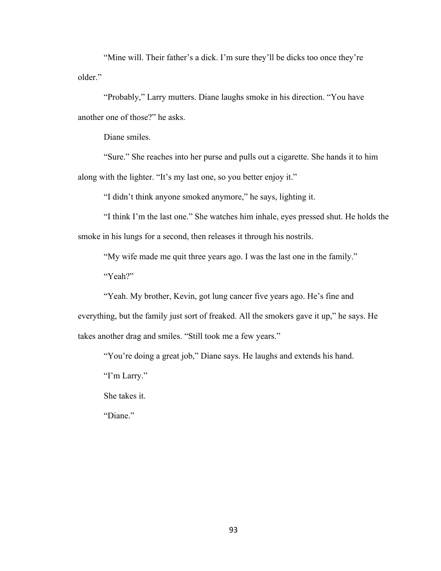"Mine will. Their father's a dick. I'm sure they'll be dicks too once they're older."

"Probably," Larry mutters. Diane laughs smoke in his direction. "You have another one of those?" he asks.

Diane smiles.

"Sure." She reaches into her purse and pulls out a cigarette. She hands it to him along with the lighter. "It's my last one, so you better enjoy it."

"I didn't think anyone smoked anymore," he says, lighting it.

"I think I'm the last one." She watches him inhale, eyes pressed shut. He holds the smoke in his lungs for a second, then releases it through his nostrils.

"My wife made me quit three years ago. I was the last one in the family." "Yeah?"

"Yeah. My brother, Kevin, got lung cancer five years ago. He's fine and everything, but the family just sort of freaked. All the smokers gave it up," he says. He takes another drag and smiles. "Still took me a few years."

"You're doing a great job," Diane says. He laughs and extends his hand.

"I'm Larry."

She takes it.

"Diane."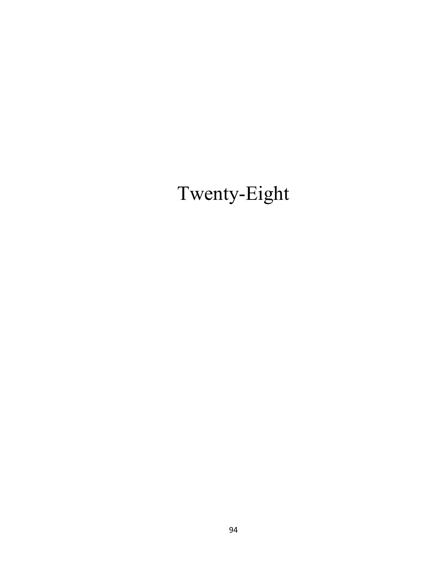# Twenty-Eight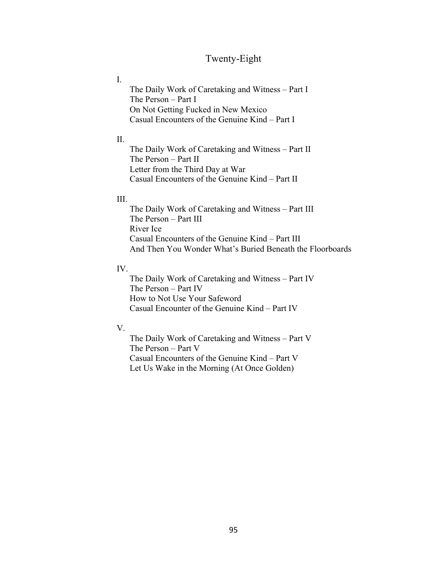# Twenty-Eight

I.

The Daily Work of Caretaking and Witness – Part I The Person – Part I On Not Getting Fucked in New Mexico Casual Encounters of the Genuine Kind – Part I

## II.

The Daily Work of Caretaking and Witness – Part II The Person – Part II Letter from the Third Day at War Casual Encounters of the Genuine Kind – Part II

## III.

The Daily Work of Caretaking and Witness – Part III The Person – Part III River Ice Casual Encounters of the Genuine Kind – Part III And Then You Wonder What's Buried Beneath the Floorboards

## IV.

The Daily Work of Caretaking and Witness – Part IV The Person – Part IV How to Not Use Your Safeword Casual Encounter of the Genuine Kind – Part IV

#### V.

The Daily Work of Caretaking and Witness – Part V The Person – Part V Casual Encounters of the Genuine Kind – Part V Let Us Wake in the Morning (At Once Golden)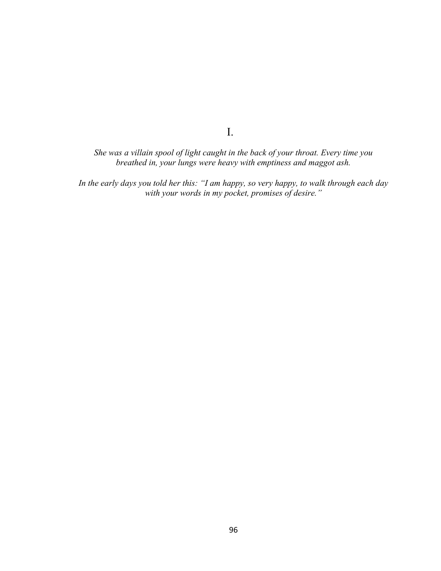*She was a villain spool of light caught in the back of your throat. Every time you breathed in, your lungs were heavy with emptiness and maggot ash.*

I.

*In the early days you told her this: "I am happy, so very happy, to walk through each day with your words in my pocket, promises of desire."*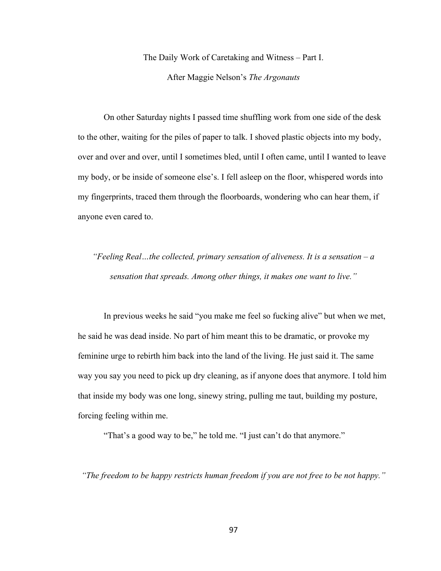The Daily Work of Caretaking and Witness – Part I.

After Maggie Nelson's *The Argonauts*

On other Saturday nights I passed time shuffling work from one side of the desk to the other, waiting for the piles of paper to talk. I shoved plastic objects into my body, over and over and over, until I sometimes bled, until I often came, until I wanted to leave my body, or be inside of someone else's. I fell asleep on the floor, whispered words into my fingerprints, traced them through the floorboards, wondering who can hear them, if anyone even cared to.

*"Feeling Real…the collected, primary sensation of aliveness. It is a sensation – a sensation that spreads. Among other things, it makes one want to live."*

In previous weeks he said "you make me feel so fucking alive" but when we met, he said he was dead inside. No part of him meant this to be dramatic, or provoke my feminine urge to rebirth him back into the land of the living. He just said it. The same way you say you need to pick up dry cleaning, as if anyone does that anymore. I told him that inside my body was one long, sinewy string, pulling me taut, building my posture, forcing feeling within me.

"That's a good way to be," he told me. "I just can't do that anymore."

*"The freedom to be happy restricts human freedom if you are not free to be not happy."*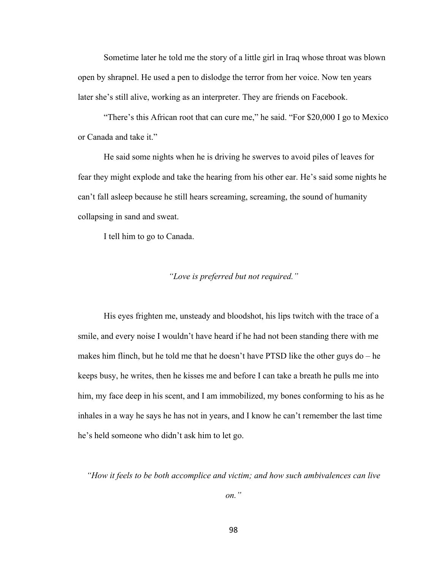Sometime later he told me the story of a little girl in Iraq whose throat was blown open by shrapnel. He used a pen to dislodge the terror from her voice. Now ten years later she's still alive, working as an interpreter. They are friends on Facebook.

"There's this African root that can cure me," he said. "For \$20,000 I go to Mexico or Canada and take it."

He said some nights when he is driving he swerves to avoid piles of leaves for fear they might explode and take the hearing from his other ear. He's said some nights he can't fall asleep because he still hears screaming, screaming, the sound of humanity collapsing in sand and sweat.

I tell him to go to Canada.

## *"Love is preferred but not required."*

His eyes frighten me, unsteady and bloodshot, his lips twitch with the trace of a smile, and every noise I wouldn't have heard if he had not been standing there with me makes him flinch, but he told me that he doesn't have PTSD like the other guys do – he keeps busy, he writes, then he kisses me and before I can take a breath he pulls me into him, my face deep in his scent, and I am immobilized, my bones conforming to his as he inhales in a way he says he has not in years, and I know he can't remember the last time he's held someone who didn't ask him to let go.

*"How it feels to be both accomplice and victim; and how such ambivalences can live* 

*on."*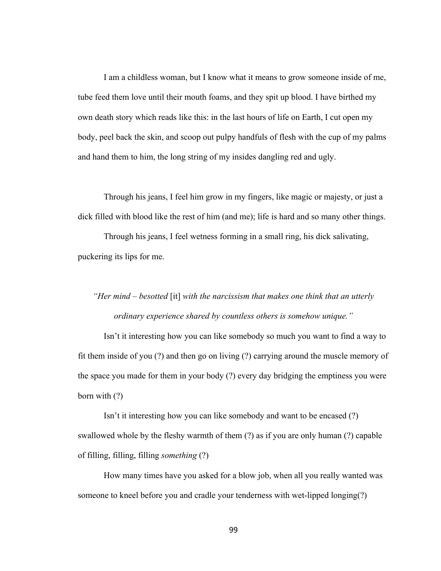I am a childless woman, but I know what it means to grow someone inside of me, tube feed them love until their mouth foams, and they spit up blood. I have birthed my own death story which reads like this: in the last hours of life on Earth, I cut open my body, peel back the skin, and scoop out pulpy handfuls of flesh with the cup of my palms and hand them to him, the long string of my insides dangling red and ugly.

Through his jeans, I feel him grow in my fingers, like magic or majesty, or just a dick filled with blood like the rest of him (and me); life is hard and so many other things.

Through his jeans, I feel wetness forming in a small ring, his dick salivating, puckering its lips for me.

# *"Her mind – besotted* [it] *with the narcissism that makes one think that an utterly ordinary experience shared by countless others is somehow unique."*

Isn't it interesting how you can like somebody so much you want to find a way to fit them inside of you (?) and then go on living (?) carrying around the muscle memory of the space you made for them in your body (?) every day bridging the emptiness you were born with (?)

Isn't it interesting how you can like somebody and want to be encased (?) swallowed whole by the fleshy warmth of them (?) as if you are only human (?) capable of filling, filling, filling *something* (?)

How many times have you asked for a blow job, when all you really wanted was someone to kneel before you and cradle your tenderness with wet-lipped longing(?)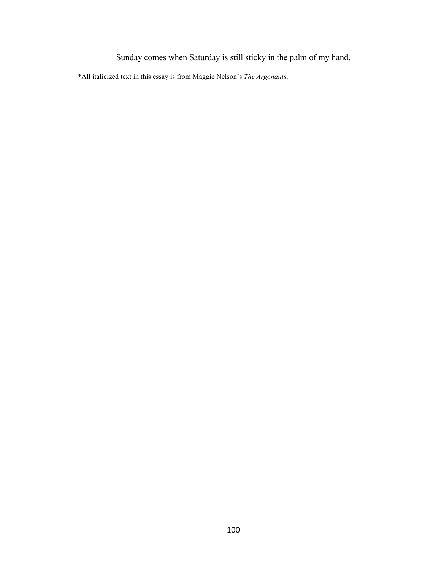Sunday comes when Saturday is still sticky in the palm of my hand.

\*All italicized text in this essay is from Maggie Nelson's *The Argonauts*.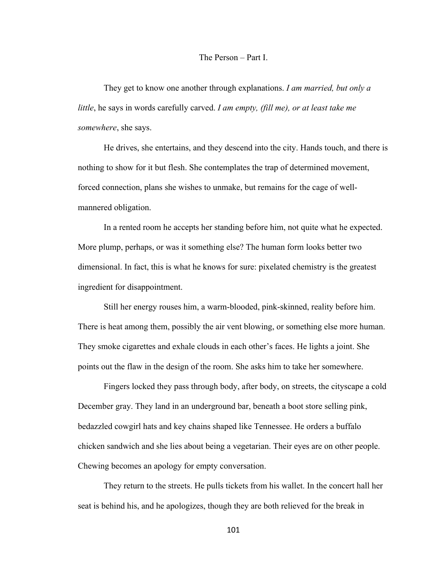## The Person – Part I.

They get to know one another through explanations. *I am married, but only a little*, he says in words carefully carved. *I am empty, (fill me), or at least take me somewhere*, she says.

He drives, she entertains, and they descend into the city. Hands touch, and there is nothing to show for it but flesh. She contemplates the trap of determined movement, forced connection, plans she wishes to unmake, but remains for the cage of wellmannered obligation.

In a rented room he accepts her standing before him, not quite what he expected. More plump, perhaps, or was it something else? The human form looks better two dimensional. In fact, this is what he knows for sure: pixelated chemistry is the greatest ingredient for disappointment.

Still her energy rouses him, a warm-blooded, pink-skinned, reality before him. There is heat among them, possibly the air vent blowing, or something else more human. They smoke cigarettes and exhale clouds in each other's faces. He lights a joint. She points out the flaw in the design of the room. She asks him to take her somewhere.

Fingers locked they pass through body, after body, on streets, the cityscape a cold December gray. They land in an underground bar, beneath a boot store selling pink, bedazzled cowgirl hats and key chains shaped like Tennessee. He orders a buffalo chicken sandwich and she lies about being a vegetarian. Their eyes are on other people. Chewing becomes an apology for empty conversation.

They return to the streets. He pulls tickets from his wallet. In the concert hall her seat is behind his, and he apologizes, though they are both relieved for the break in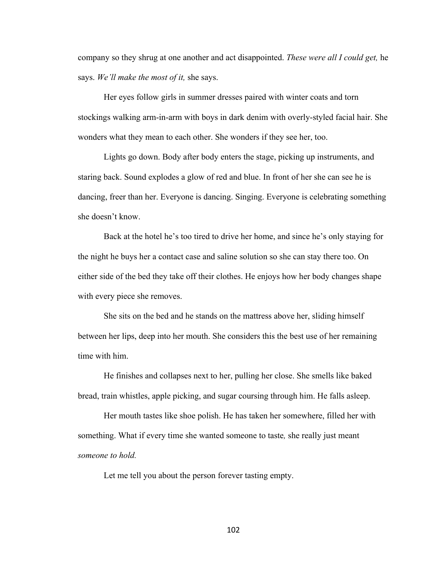company so they shrug at one another and act disappointed. *These were all I could get,* he says. *We'll make the most of it,* she says.

Her eyes follow girls in summer dresses paired with winter coats and torn stockings walking arm-in-arm with boys in dark denim with overly-styled facial hair. She wonders what they mean to each other. She wonders if they see her, too.

Lights go down. Body after body enters the stage, picking up instruments, and staring back. Sound explodes a glow of red and blue. In front of her she can see he is dancing, freer than her. Everyone is dancing. Singing. Everyone is celebrating something she doesn't know.

Back at the hotel he's too tired to drive her home, and since he's only staying for the night he buys her a contact case and saline solution so she can stay there too. On either side of the bed they take off their clothes. He enjoys how her body changes shape with every piece she removes.

She sits on the bed and he stands on the mattress above her, sliding himself between her lips, deep into her mouth. She considers this the best use of her remaining time with him.

He finishes and collapses next to her, pulling her close. She smells like baked bread, train whistles, apple picking, and sugar coursing through him. He falls asleep.

Her mouth tastes like shoe polish. He has taken her somewhere, filled her with something. What if every time she wanted someone to taste*,* she really just meant *someone to hold.*

Let me tell you about the person forever tasting empty.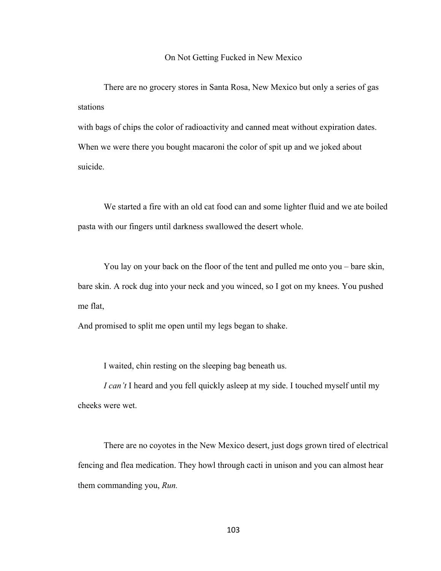#### On Not Getting Fucked in New Mexico

There are no grocery stores in Santa Rosa, New Mexico but only a series of gas stations

with bags of chips the color of radioactivity and canned meat without expiration dates. When we were there you bought macaroni the color of spit up and we joked about suicide.

We started a fire with an old cat food can and some lighter fluid and we ate boiled pasta with our fingers until darkness swallowed the desert whole.

You lay on your back on the floor of the tent and pulled me onto you – bare skin, bare skin. A rock dug into your neck and you winced, so I got on my knees. You pushed me flat,

And promised to split me open until my legs began to shake.

I waited, chin resting on the sleeping bag beneath us.

*I can't* I heard and you fell quickly asleep at my side. I touched myself until my cheeks were wet.

There are no coyotes in the New Mexico desert, just dogs grown tired of electrical fencing and flea medication. They howl through cacti in unison and you can almost hear them commanding you, *Run.*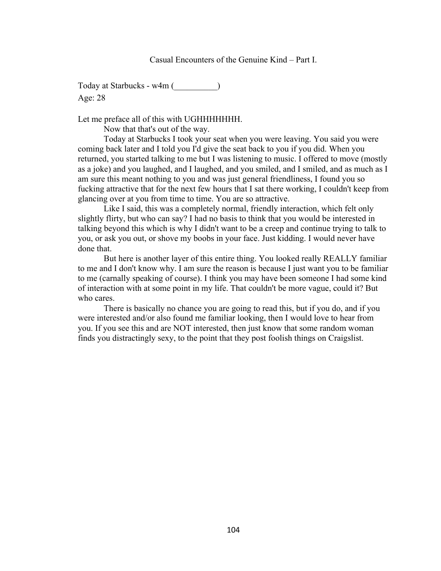Today at Starbucks - w4m () Age: 28

Let me preface all of this with UGHHHHHHH.

Now that that's out of the way.

Today at Starbucks I took your seat when you were leaving. You said you were coming back later and I told you I'd give the seat back to you if you did. When you returned, you started talking to me but I was listening to music. I offered to move (mostly as a joke) and you laughed, and I laughed, and you smiled, and I smiled, and as much as I am sure this meant nothing to you and was just general friendliness, I found you so fucking attractive that for the next few hours that I sat there working, I couldn't keep from glancing over at you from time to time. You are so attractive.

Like I said, this was a completely normal, friendly interaction, which felt only slightly flirty, but who can say? I had no basis to think that you would be interested in talking beyond this which is why I didn't want to be a creep and continue trying to talk to you, or ask you out, or shove my boobs in your face. Just kidding. I would never have done that.

But here is another layer of this entire thing. You looked really REALLY familiar to me and I don't know why. I am sure the reason is because I just want you to be familiar to me (carnally speaking of course). I think you may have been someone I had some kind of interaction with at some point in my life. That couldn't be more vague, could it? But who cares.

There is basically no chance you are going to read this, but if you do, and if you were interested and/or also found me familiar looking, then I would love to hear from you. If you see this and are NOT interested, then just know that some random woman finds you distractingly sexy, to the point that they post foolish things on Craigslist.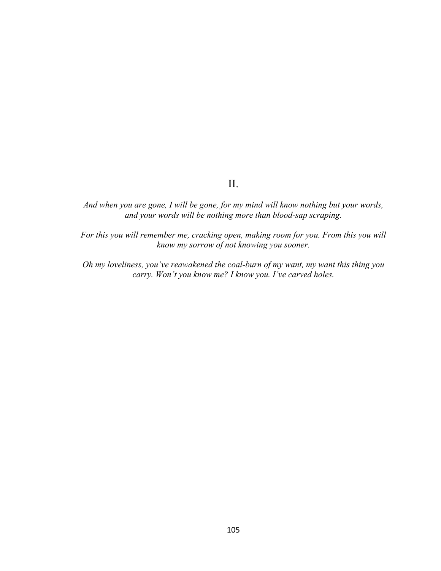## II.

*And when you are gone, I will be gone, for my mind will know nothing but your words, and your words will be nothing more than blood-sap scraping.* 

*For this you will remember me, cracking open, making room for you. From this you will know my sorrow of not knowing you sooner.* 

*Oh my loveliness, you've reawakened the coal-burn of my want, my want this thing you carry. Won't you know me? I know you. I've carved holes.*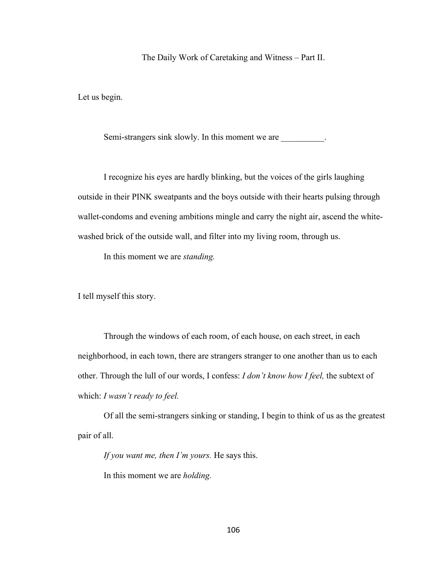The Daily Work of Caretaking and Witness – Part II.

Let us begin.

Semi-strangers sink slowly. In this moment we are \_\_\_\_\_\_\_\_\_.

I recognize his eyes are hardly blinking, but the voices of the girls laughing outside in their PINK sweatpants and the boys outside with their hearts pulsing through wallet-condoms and evening ambitions mingle and carry the night air, ascend the whitewashed brick of the outside wall, and filter into my living room, through us.

In this moment we are *standing.*

I tell myself this story.

Through the windows of each room, of each house, on each street, in each neighborhood, in each town, there are strangers stranger to one another than us to each other. Through the lull of our words, I confess: *I don't know how I feel,* the subtext of which: *I wasn't ready to feel.*

Of all the semi-strangers sinking or standing, I begin to think of us as the greatest pair of all.

*If you want me, then I'm yours.* He says this. In this moment we are *holding.*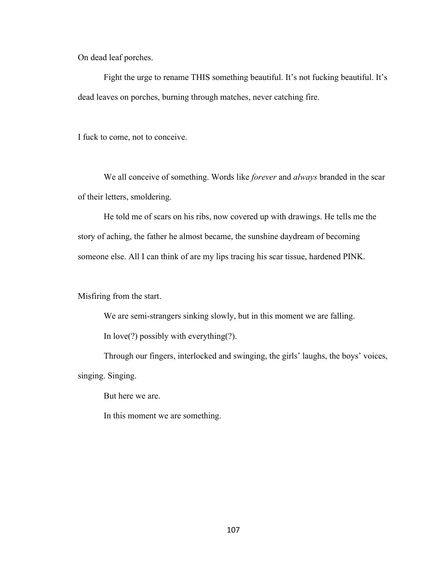On dead leaf porches.

Fight the urge to rename THIS something beautiful. It's not fucking beautiful. It's dead leaves on porches, burning through matches, never catching fire.

I fuck to come, not to conceive.

We all conceive of something. Words like *forever* and *always* branded in the scar of their letters, smoldering.

He told me of scars on his ribs, now covered up with drawings. He tells me the story of aching, the father he almost became, the sunshine daydream of becoming someone else. All I can think of are my lips tracing his scar tissue, hardened PINK.

Misfiring from the start.

We are semi-strangers sinking slowly, but in this moment we are falling.

In love(?) possibly with everything(?).

Through our fingers, interlocked and swinging, the girls' laughs, the boys' voices, singing. Singing.

But here we are.

In this moment we are something.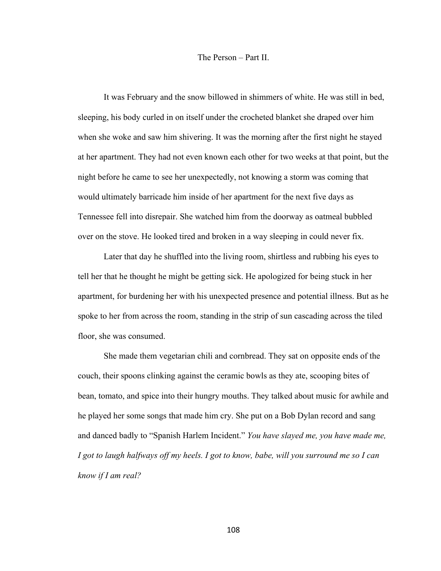#### The Person – Part II.

It was February and the snow billowed in shimmers of white. He was still in bed, sleeping, his body curled in on itself under the crocheted blanket she draped over him when she woke and saw him shivering. It was the morning after the first night he stayed at her apartment. They had not even known each other for two weeks at that point, but the night before he came to see her unexpectedly, not knowing a storm was coming that would ultimately barricade him inside of her apartment for the next five days as Tennessee fell into disrepair. She watched him from the doorway as oatmeal bubbled over on the stove. He looked tired and broken in a way sleeping in could never fix.

Later that day he shuffled into the living room, shirtless and rubbing his eyes to tell her that he thought he might be getting sick. He apologized for being stuck in her apartment, for burdening her with his unexpected presence and potential illness. But as he spoke to her from across the room, standing in the strip of sun cascading across the tiled floor, she was consumed.

She made them vegetarian chili and cornbread. They sat on opposite ends of the couch, their spoons clinking against the ceramic bowls as they ate, scooping bites of bean, tomato, and spice into their hungry mouths. They talked about music for awhile and he played her some songs that made him cry. She put on a Bob Dylan record and sang and danced badly to "Spanish Harlem Incident." *You have slayed me, you have made me, I got to laugh halfways off my heels. I got to know, babe, will you surround me so I can know if I am real?*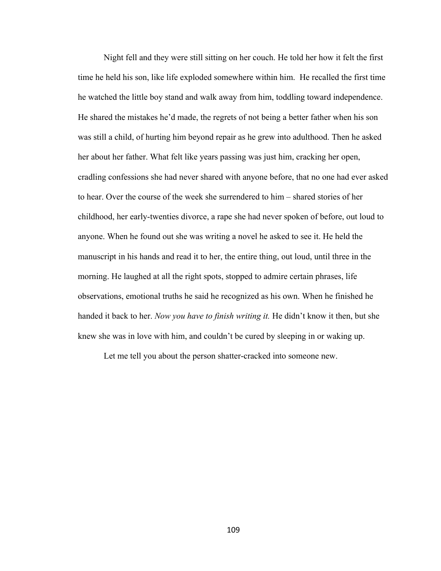Night fell and they were still sitting on her couch. He told her how it felt the first time he held his son, like life exploded somewhere within him. He recalled the first time he watched the little boy stand and walk away from him, toddling toward independence. He shared the mistakes he'd made, the regrets of not being a better father when his son was still a child, of hurting him beyond repair as he grew into adulthood. Then he asked her about her father. What felt like years passing was just him, cracking her open, cradling confessions she had never shared with anyone before, that no one had ever asked to hear. Over the course of the week she surrendered to him – shared stories of her childhood, her early-twenties divorce, a rape she had never spoken of before, out loud to anyone. When he found out she was writing a novel he asked to see it. He held the manuscript in his hands and read it to her, the entire thing, out loud, until three in the morning. He laughed at all the right spots, stopped to admire certain phrases, life observations, emotional truths he said he recognized as his own. When he finished he handed it back to her. *Now you have to finish writing it.* He didn't know it then, but she knew she was in love with him, and couldn't be cured by sleeping in or waking up.

Let me tell you about the person shatter-cracked into someone new.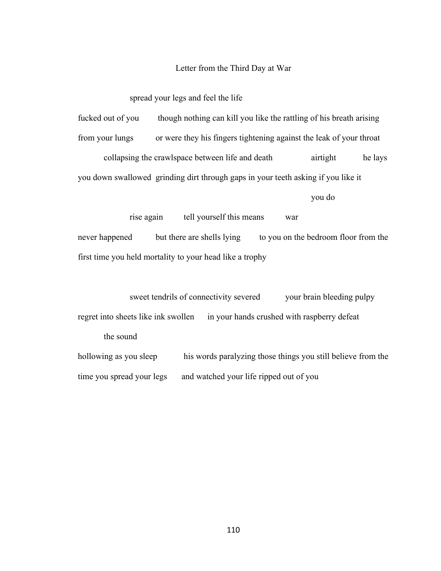#### Letter from the Third Day at War

spread your legs and feel the life

fucked out of you though nothing can kill you like the rattling of his breath arising

from your lungs or were they his fingers tightening against the leak of your throat

collapsing the crawlspace between life and death airtight he lays

you down swallowed grinding dirt through gaps in your teeth asking if you like it

you do

rise again tell yourself this means war never happened but there are shells lying to you on the bedroom floor from the first time you held mortality to your head like a trophy

sweet tendrils of connectivity severed your brain bleeding pulpy regret into sheets like ink swollen in your hands crushed with raspberry defeat the sound

hollowing as you sleep his words paralyzing those things you still believe from the time you spread your legs and watched your life ripped out of you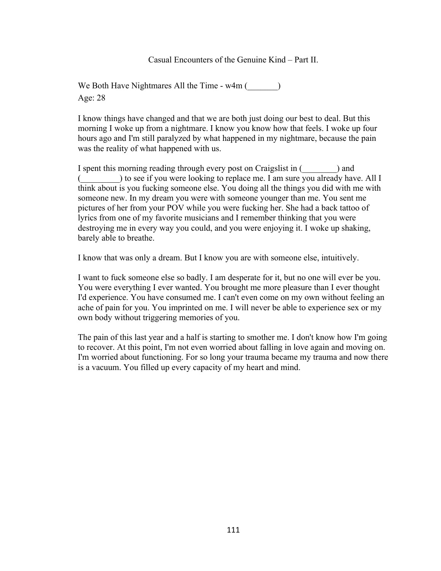Casual Encounters of the Genuine Kind – Part II.

We Both Have Nightmares All the Time  $-w4m$  ( $\qquad \qquad$ ) Age: 28

I know things have changed and that we are both just doing our best to deal. But this morning I woke up from a nightmare. I know you know how that feels. I woke up four hours ago and I'm still paralyzed by what happened in my nightmare, because the pain was the reality of what happened with us.

I spent this morning reading through every post on Craigslist in () and (\_\_\_\_\_\_\_\_\_) to see if you were looking to replace me. I am sure you already have. All I think about is you fucking someone else. You doing all the things you did with me with someone new. In my dream you were with someone younger than me. You sent me pictures of her from your POV while you were fucking her. She had a back tattoo of lyrics from one of my favorite musicians and I remember thinking that you were destroying me in every way you could, and you were enjoying it. I woke up shaking, barely able to breathe.

I know that was only a dream. But I know you are with someone else, intuitively.

I want to fuck someone else so badly. I am desperate for it, but no one will ever be you. You were everything I ever wanted. You brought me more pleasure than I ever thought I'd experience. You have consumed me. I can't even come on my own without feeling an ache of pain for you. You imprinted on me. I will never be able to experience sex or my own body without triggering memories of you.

The pain of this last year and a half is starting to smother me. I don't know how I'm going to recover. At this point, I'm not even worried about falling in love again and moving on. I'm worried about functioning. For so long your trauma became my trauma and now there is a vacuum. You filled up every capacity of my heart and mind.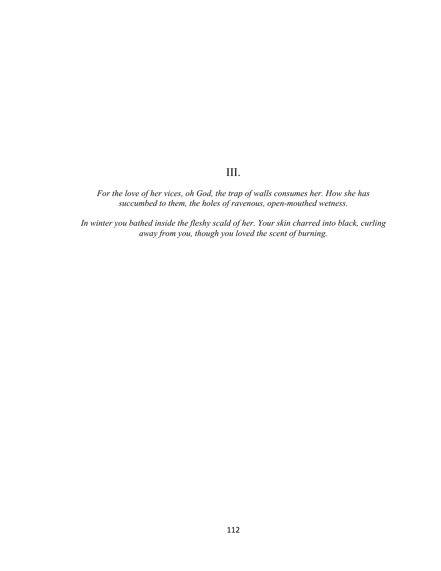# III.

*For the love of her vices, oh God, the trap of walls consumes her. How she has succumbed to them, the holes of ravenous, open-mouthed wetness.*

*In winter you bathed inside the fleshy scald of her. Your skin charred into black, curling away from you, though you loved the scent of burning.*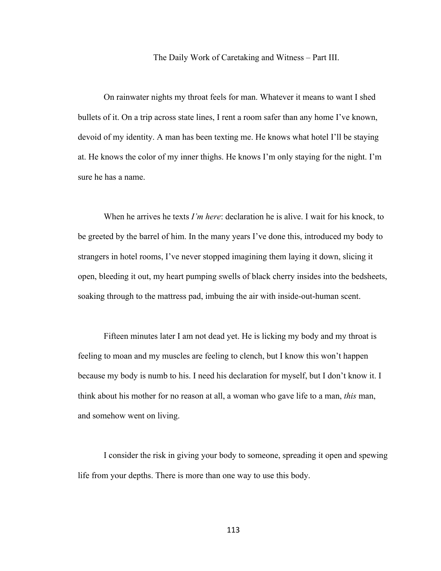#### The Daily Work of Caretaking and Witness – Part III.

On rainwater nights my throat feels for man. Whatever it means to want I shed bullets of it. On a trip across state lines, I rent a room safer than any home I've known, devoid of my identity. A man has been texting me. He knows what hotel I'll be staying at. He knows the color of my inner thighs. He knows I'm only staying for the night. I'm sure he has a name.

When he arrives he texts *I'm here*: declaration he is alive. I wait for his knock, to be greeted by the barrel of him. In the many years I've done this, introduced my body to strangers in hotel rooms, I've never stopped imagining them laying it down, slicing it open, bleeding it out, my heart pumping swells of black cherry insides into the bedsheets, soaking through to the mattress pad, imbuing the air with inside-out-human scent.

Fifteen minutes later I am not dead yet. He is licking my body and my throat is feeling to moan and my muscles are feeling to clench, but I know this won't happen because my body is numb to his. I need his declaration for myself, but I don't know it. I think about his mother for no reason at all, a woman who gave life to a man, *this* man, and somehow went on living.

I consider the risk in giving your body to someone, spreading it open and spewing life from your depths. There is more than one way to use this body.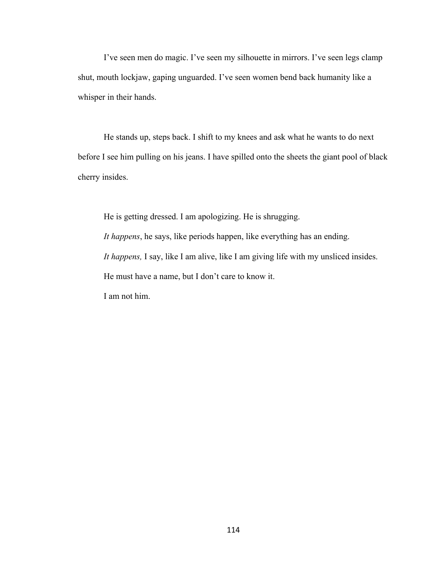I've seen men do magic. I've seen my silhouette in mirrors. I've seen legs clamp shut, mouth lockjaw, gaping unguarded. I've seen women bend back humanity like a whisper in their hands.

He stands up, steps back. I shift to my knees and ask what he wants to do next before I see him pulling on his jeans. I have spilled onto the sheets the giant pool of black cherry insides.

He is getting dressed. I am apologizing. He is shrugging. *It happens*, he says, like periods happen, like everything has an ending. *It happens,* I say, like I am alive, like I am giving life with my unsliced insides. He must have a name, but I don't care to know it. I am not him.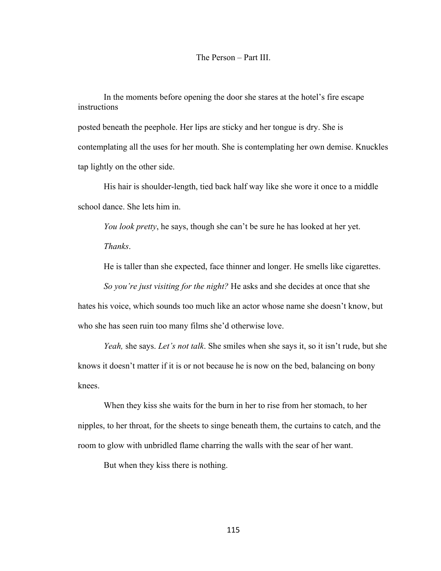#### The Person – Part III.

In the moments before opening the door she stares at the hotel's fire escape instructions

posted beneath the peephole. Her lips are sticky and her tongue is dry. She is contemplating all the uses for her mouth. She is contemplating her own demise. Knuckles tap lightly on the other side.

His hair is shoulder-length, tied back half way like she wore it once to a middle school dance. She lets him in.

*You look pretty*, he says, though she can't be sure he has looked at her yet. *Thanks*.

He is taller than she expected, face thinner and longer. He smells like cigarettes.

*So you're just visiting for the night?* He asks and she decides at once that she hates his voice, which sounds too much like an actor whose name she doesn't know, but who she has seen ruin too many films she'd otherwise love.

*Yeah,* she says. *Let's not talk*. She smiles when she says it, so it isn't rude, but she knows it doesn't matter if it is or not because he is now on the bed, balancing on bony knees.

When they kiss she waits for the burn in her to rise from her stomach, to her nipples, to her throat, for the sheets to singe beneath them, the curtains to catch, and the room to glow with unbridled flame charring the walls with the sear of her want.

But when they kiss there is nothing.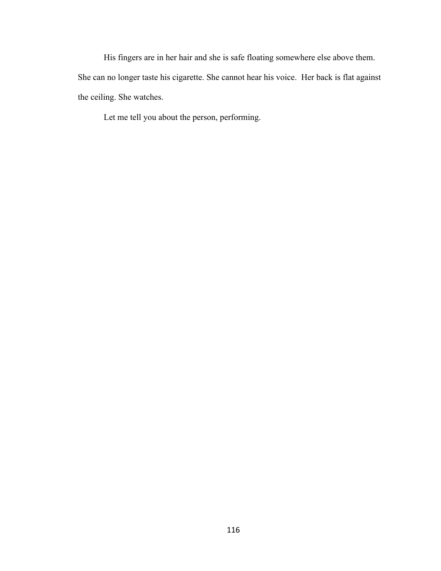His fingers are in her hair and she is safe floating somewhere else above them. She can no longer taste his cigarette. She cannot hear his voice. Her back is flat against the ceiling. She watches.

Let me tell you about the person, performing.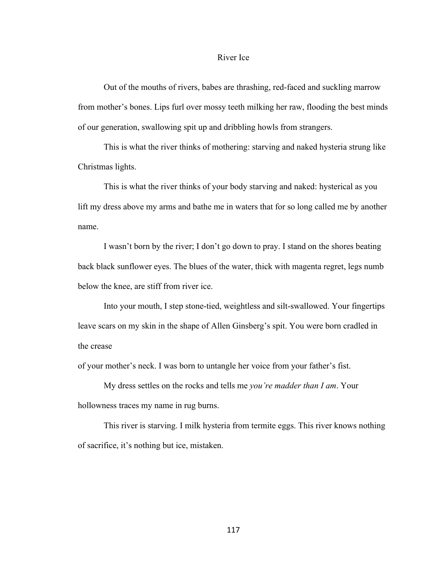#### River Ice

Out of the mouths of rivers, babes are thrashing, red-faced and suckling marrow from mother's bones. Lips furl over mossy teeth milking her raw, flooding the best minds of our generation, swallowing spit up and dribbling howls from strangers.

This is what the river thinks of mothering: starving and naked hysteria strung like Christmas lights.

This is what the river thinks of your body starving and naked: hysterical as you lift my dress above my arms and bathe me in waters that for so long called me by another name.

I wasn't born by the river; I don't go down to pray. I stand on the shores beating back black sunflower eyes. The blues of the water, thick with magenta regret, legs numb below the knee, are stiff from river ice.

Into your mouth, I step stone-tied, weightless and silt-swallowed. Your fingertips leave scars on my skin in the shape of Allen Ginsberg's spit. You were born cradled in the crease

of your mother's neck. I was born to untangle her voice from your father's fist.

My dress settles on the rocks and tells me *you're madder than I am*. Your hollowness traces my name in rug burns.

This river is starving. I milk hysteria from termite eggs. This river knows nothing of sacrifice, it's nothing but ice, mistaken.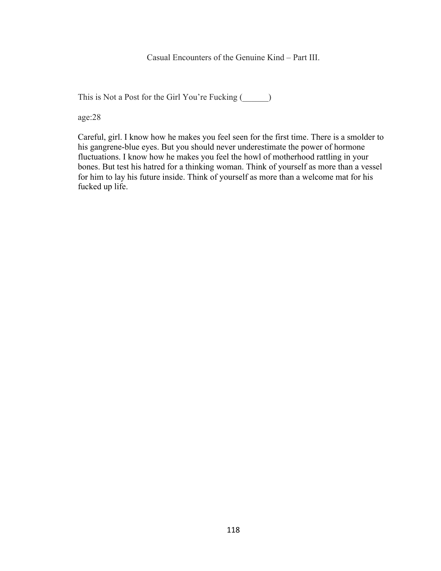Casual Encounters of the Genuine Kind – Part III.

This is Not a Post for the Girl You're Fucking (\_\_\_\_\_\_)

age:28

Careful, girl. I know how he makes you feel seen for the first time. There is a smolder to his gangrene-blue eyes. But you should never underestimate the power of hormone fluctuations. I know how he makes you feel the howl of motherhood rattling in your bones. But test his hatred for a thinking woman. Think of yourself as more than a vessel for him to lay his future inside. Think of yourself as more than a welcome mat for his fucked up life.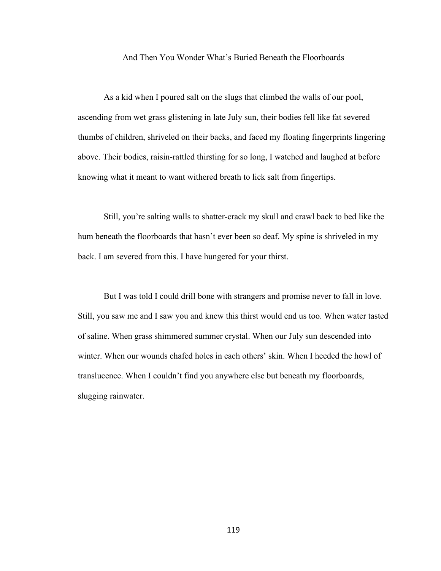#### And Then You Wonder What's Buried Beneath the Floorboards

As a kid when I poured salt on the slugs that climbed the walls of our pool, ascending from wet grass glistening in late July sun, their bodies fell like fat severed thumbs of children, shriveled on their backs, and faced my floating fingerprints lingering above. Their bodies, raisin-rattled thirsting for so long, I watched and laughed at before knowing what it meant to want withered breath to lick salt from fingertips.

Still, you're salting walls to shatter-crack my skull and crawl back to bed like the hum beneath the floorboards that hasn't ever been so deaf. My spine is shriveled in my back. I am severed from this. I have hungered for your thirst.

But I was told I could drill bone with strangers and promise never to fall in love. Still, you saw me and I saw you and knew this thirst would end us too. When water tasted of saline. When grass shimmered summer crystal. When our July sun descended into winter. When our wounds chafed holes in each others' skin. When I heeded the howl of translucence. When I couldn't find you anywhere else but beneath my floorboards, slugging rainwater.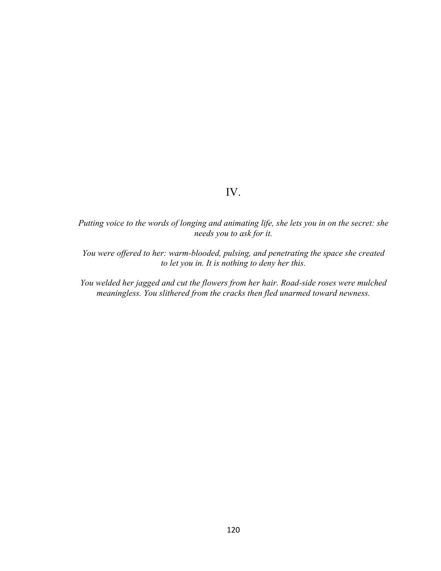# IV.

*Putting voice to the words of longing and animating life, she lets you in on the secret: she needs you to ask for it.* 

*You were offered to her: warm-blooded, pulsing, and penetrating the space she created to let you in. It is nothing to deny her this.* 

*You welded her jagged and cut the flowers from her hair. Road-side roses were mulched meaningless. You slithered from the cracks then fled unarmed toward newness.*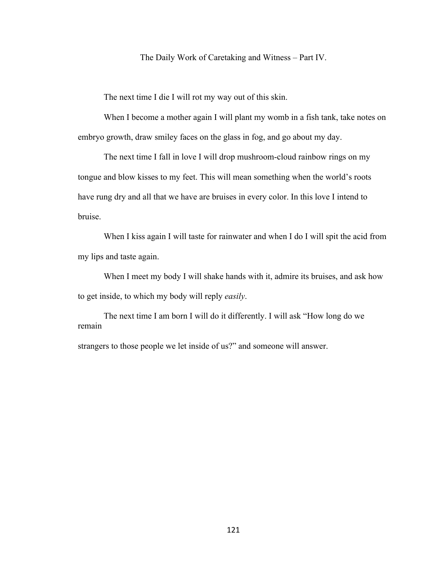#### The Daily Work of Caretaking and Witness – Part IV.

The next time I die I will rot my way out of this skin.

When I become a mother again I will plant my womb in a fish tank, take notes on embryo growth, draw smiley faces on the glass in fog, and go about my day.

The next time I fall in love I will drop mushroom-cloud rainbow rings on my tongue and blow kisses to my feet. This will mean something when the world's roots have rung dry and all that we have are bruises in every color. In this love I intend to bruise.

When I kiss again I will taste for rainwater and when I do I will spit the acid from my lips and taste again.

When I meet my body I will shake hands with it, admire its bruises, and ask how to get inside, to which my body will reply *easily*.

The next time I am born I will do it differently. I will ask "How long do we remain

strangers to those people we let inside of us?" and someone will answer.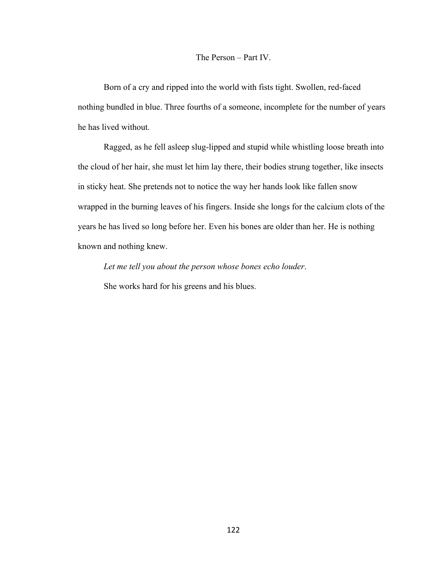## The Person – Part IV.

Born of a cry and ripped into the world with fists tight. Swollen, red-faced nothing bundled in blue. Three fourths of a someone, incomplete for the number of years he has lived without.

Ragged, as he fell asleep slug-lipped and stupid while whistling loose breath into the cloud of her hair, she must let him lay there, their bodies strung together, like insects in sticky heat. She pretends not to notice the way her hands look like fallen snow wrapped in the burning leaves of his fingers. Inside she longs for the calcium clots of the years he has lived so long before her. Even his bones are older than her. He is nothing known and nothing knew.

*Let me tell you about the person whose bones echo louder*. She works hard for his greens and his blues.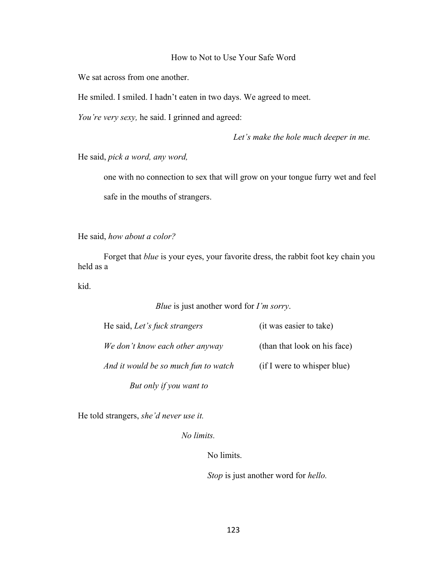## How to Not to Use Your Safe Word

We sat across from one another.

He smiled. I smiled. I hadn't eaten in two days. We agreed to meet.

*You're very sexy,* he said. I grinned and agreed:

*Let's make the hole much deeper in me.* 

He said, *pick a word, any word,* 

one with no connection to sex that will grow on your tongue furry wet and feel safe in the mouths of strangers.

He said, *how about a color?*

Forget that *blue* is your eyes, your favorite dress, the rabbit foot key chain you held as a

kid.

## *Blue* is just another word for *I'm sorry*.

| He said, Let's fuck strangers        | (it was easier to take)      |
|--------------------------------------|------------------------------|
| We don't know each other anyway      | (than that look on his face) |
| And it would be so much fun to watch | (if I were to whisper blue)  |
| But only if you want to              |                              |

He told strangers, *she'd never use it.*

*No limits.* 

No limits.

*Stop* is just another word for *hello.*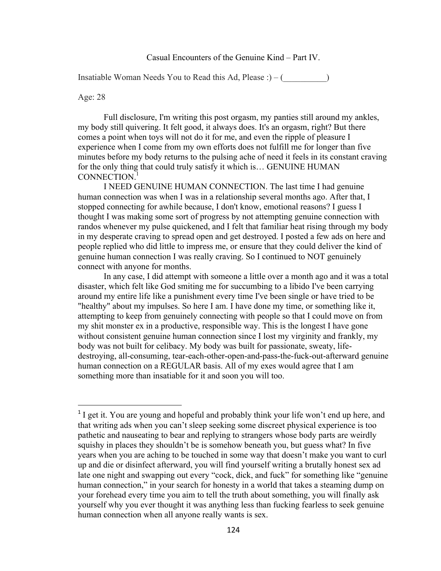#### Casual Encounters of the Genuine Kind – Part IV.

Insatiable Woman Needs You to Read this Ad, Please : $) - ($ 

#### Age: 28

 

Full disclosure, I'm writing this post orgasm, my panties still around my ankles, my body still quivering. It felt good, it always does. It's an orgasm, right? But there comes a point when toys will not do it for me, and even the ripple of pleasure I experience when I come from my own efforts does not fulfill me for longer than five minutes before my body returns to the pulsing ache of need it feels in its constant craving for the only thing that could truly satisfy it which is… GENUINE HUMAN CONNECTION.<sup>1</sup>

I NEED GENUINE HUMAN CONNECTION. The last time I had genuine human connection was when I was in a relationship several months ago. After that, I stopped connecting for awhile because, I don't know, emotional reasons? I guess I thought I was making some sort of progress by not attempting genuine connection with randos whenever my pulse quickened, and I felt that familiar heat rising through my body in my desperate craving to spread open and get destroyed. I posted a few ads on here and people replied who did little to impress me, or ensure that they could deliver the kind of genuine human connection I was really craving. So I continued to NOT genuinely connect with anyone for months.

In any case, I did attempt with someone a little over a month ago and it was a total disaster, which felt like God smiting me for succumbing to a libido I've been carrying around my entire life like a punishment every time I've been single or have tried to be "healthy" about my impulses. So here I am. I have done my time, or something like it, attempting to keep from genuinely connecting with people so that I could move on from my shit monster ex in a productive, responsible way. This is the longest I have gone without consistent genuine human connection since I lost my virginity and frankly, my body was not built for celibacy. My body was built for passionate, sweaty, lifedestroying, all-consuming, tear-each-other-open-and-pass-the-fuck-out-afterward genuine human connection on a REGULAR basis. All of my exes would agree that I am something more than insatiable for it and soon you will too.

<sup>&</sup>lt;sup>1</sup> I get it. You are young and hopeful and probably think your life won't end up here, and that writing ads when you can't sleep seeking some discreet physical experience is too pathetic and nauseating to bear and replying to strangers whose body parts are weirdly squishy in places they shouldn't be is somehow beneath you, but guess what? In five years when you are aching to be touched in some way that doesn't make you want to curl up and die or disinfect afterward, you will find yourself writing a brutally honest sex ad late one night and swapping out every "cock, dick, and fuck" for something like "genuine human connection," in your search for honesty in a world that takes a steaming dump on your forehead every time you aim to tell the truth about something, you will finally ask yourself why you ever thought it was anything less than fucking fearless to seek genuine human connection when all anyone really wants is sex.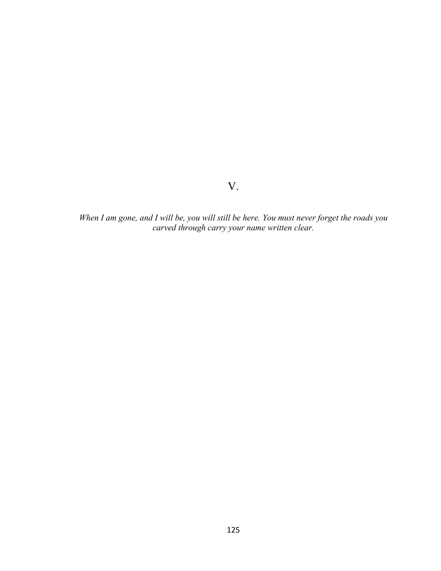V.

*When I am gone, and I will be, you will still be here. You must never forget the roads you carved through carry your name written clear.*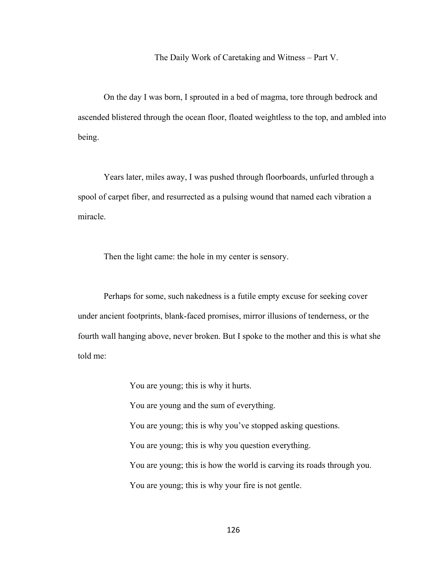The Daily Work of Caretaking and Witness – Part V.

On the day I was born, I sprouted in a bed of magma, tore through bedrock and ascended blistered through the ocean floor, floated weightless to the top, and ambled into being.

Years later, miles away, I was pushed through floorboards, unfurled through a spool of carpet fiber, and resurrected as a pulsing wound that named each vibration a miracle.

Then the light came: the hole in my center is sensory.

Perhaps for some, such nakedness is a futile empty excuse for seeking cover under ancient footprints, blank-faced promises, mirror illusions of tenderness, or the fourth wall hanging above, never broken. But I spoke to the mother and this is what she told me:

You are young; this is why it hurts.

You are young and the sum of everything.

You are young; this is why you've stopped asking questions.

You are young; this is why you question everything.

You are young; this is how the world is carving its roads through you.

You are young; this is why your fire is not gentle.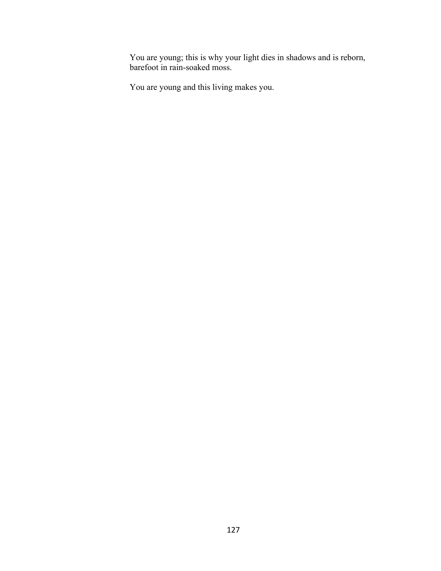You are young; this is why your light dies in shadows and is reborn, barefoot in rain-soaked moss.

You are young and this living makes you.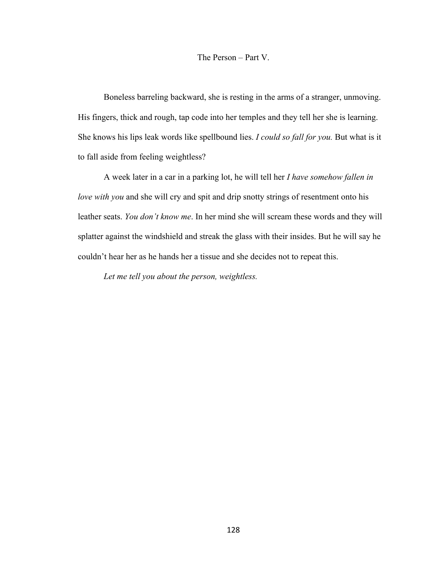#### The Person – Part V.

Boneless barreling backward, she is resting in the arms of a stranger, unmoving. His fingers, thick and rough, tap code into her temples and they tell her she is learning. She knows his lips leak words like spellbound lies. *I could so fall for you.* But what is it to fall aside from feeling weightless?

A week later in a car in a parking lot, he will tell her *I have somehow fallen in love with you* and she will cry and spit and drip snotty strings of resentment onto his leather seats. *You don't know me*. In her mind she will scream these words and they will splatter against the windshield and streak the glass with their insides. But he will say he couldn't hear her as he hands her a tissue and she decides not to repeat this.

*Let me tell you about the person, weightless.*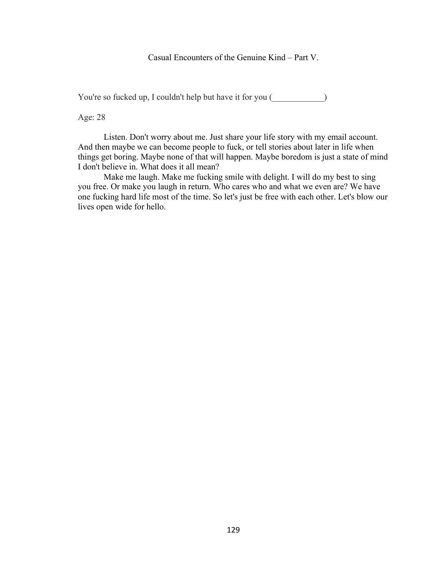## Casual Encounters of the Genuine Kind – Part V.

You're so fucked up, I couldn't help but have it for you ()

Age: 28

Listen. Don't worry about me. Just share your life story with my email account. And then maybe we can become people to fuck, or tell stories about later in life when things get boring. Maybe none of that will happen. Maybe boredom is just a state of mind I don't believe in. What does it all mean?

Make me laugh. Make me fucking smile with delight. I will do my best to sing you free. Or make you laugh in return. Who cares who and what we even are? We have one fucking hard life most of the time. So let's just be free with each other. Let's blow our lives open wide for hello.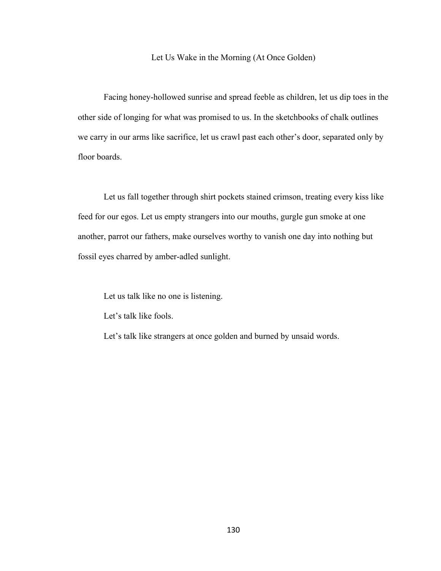#### Let Us Wake in the Morning (At Once Golden)

Facing honey-hollowed sunrise and spread feeble as children, let us dip toes in the other side of longing for what was promised to us. In the sketchbooks of chalk outlines we carry in our arms like sacrifice, let us crawl past each other's door, separated only by floor boards.

Let us fall together through shirt pockets stained crimson, treating every kiss like feed for our egos. Let us empty strangers into our mouths, gurgle gun smoke at one another, parrot our fathers, make ourselves worthy to vanish one day into nothing but fossil eyes charred by amber-adled sunlight.

Let us talk like no one is listening.

Let's talk like fools.

Let's talk like strangers at once golden and burned by unsaid words.